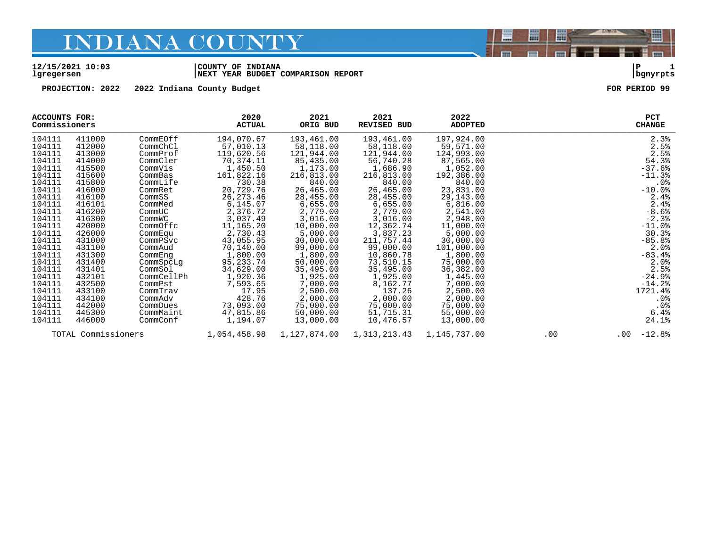#### **12/15/2021 10:03 |COUNTY OF INDIANA |P 1 lgregersen |NEXT YEAR BUDGET COMPARISON REPORT |bgnyrpts**

**PROJECTION: 2022 2022 Indiana County Budget FOR PERIOD 99**

| ACCOUNTS FOR:<br>Commissioners |                     |            | 2020<br><b>ACTUAL</b> | 2021<br>ORIG BUD | 2021<br><b>REVISED BUD</b> | 2022<br><b>ADOPTED</b> |     | PCT<br><b>CHANGE</b> |
|--------------------------------|---------------------|------------|-----------------------|------------------|----------------------------|------------------------|-----|----------------------|
| 104111                         | 411000              | CommEOff   | 194,070.67            | 193,461.00       | 193,461.00                 | 197,924.00             |     | 2.3%                 |
| 104111                         | 412000              | CommChCl   | 57,010.13             | 58,118.00        | 58,118.00                  | 59,571.00              |     | 2.5%                 |
| 104111                         | 413000              | CommProf   | 119,620.56            | 121,944.00       | 121,944.00                 | 124,993.00             |     | 2.5%                 |
| 104111                         | 414000              | CommCler   | 70,374.11             | 85,435.00        | 56,740.28                  | 87,565.00              |     | 54.3%                |
| 104111                         | 415500              | CommVis    | 1,450.50              | 1,173.00         | 1,686.90                   | 1,052.00               |     | $-37.6%$             |
| 104111                         | 415600              | CommBas    | 161,822.16            | 216,813.00       | 216,813.00                 | 192,386.00             |     | $-11.3%$             |
| 104111                         | 415800              | CommLife   | 730.38                | 840.00           | 840.00                     | 840.00                 |     | $.0\%$               |
| 104111                         | 416000              | CommRet    | 20,729.76             | 26,465.00        | 26,465.00                  | 23,831.00              |     | $-10.0%$             |
| 104111                         | 416100              | CommSS     | 26,273.46             | 28,455.00        | 28,455.00                  | 29,143.00              |     | 2.4%                 |
| 104111                         | 416101              | CommMed    | 6,145.07              | 6,655.00         | 6,655.00                   | 6,816.00               |     | 2.4%                 |
| 104111                         | 416200              | CommUC     | 2,376.72              | 2,779.00         | 2,779.00                   | 2,541.00               |     | $-8.6%$              |
| 104111                         | 416300              | CommWC     | 3,037.49              | 3,016.00         | 3,016.00                   | 2,948.00               |     | $-2.3%$              |
| 104111                         | 420000              | CommOffc   | 11,165.20             | 10,000.00        | 12,362.74                  | 11,000.00              |     | $-11.0%$             |
| 104111                         | 426000              | CommEqu    | 2,730.43              | 5,000.00         | 3,837.23                   | 5,000.00               |     | 30.3%                |
| 104111                         | 431000              | CommPSvc   | 43,055.95             | 30,000.00        | 211,757.44                 | 30,000.00              |     | $-85.8%$             |
| 104111                         | 431100              | CommAud    | 70,140.00             | 99,000.00        | 99,000.00                  | 101,000.00             |     | 2.0%                 |
| 104111                         | 431300              | CommEng    | 1,800.00              | 1,800.00         | 10,860.78                  | 1,800.00               |     | $-83.4%$             |
| 104111                         | 431400              | CommSpcLq  | 95, 233. 74           | 50,000.00        | 73,510.15                  | 75,000.00              |     | 2.0%                 |
| 104111                         | 431401              | CommSol    | 34,629.00             | 35,495.00        | 35,495.00                  | 36,382.00              |     | 2.5%                 |
| 104111                         | 432101              | CommCellPh | 1,920.36              | 1,925.00         | 1,925.00                   | 1,445.00               |     | $-24.9%$             |
| 104111                         | 432500              | CommPst    | 7,593.65              | 7,000.00         | 8,162.77                   | 7,000.00               |     | $-14.2%$             |
| 104111                         | 433100              | CommTrav   | 17.95                 | 2,500.00         | 137.26                     | 2,500.00               |     | 1721.4%              |
| 104111                         | 434100              | CommAdv    | 428.76                | 2,000.00         | 2,000.00                   | 2,000.00               |     | $.0\%$               |
| 104111                         | 442000              | CommDues   | 73,093.00             | 75,000.00        | 75,000.00                  | 75,000.00              |     | $.0\%$               |
| 104111                         | 445300              | CommMaint  | 47,815.86             | 50,000.00        | 51,715.31                  | 55,000.00              |     | 6.4%                 |
| 104111                         | 446000              | CommConf   | 1,194.07              | 13,000.00        | 10,476.57                  | 13,000.00              |     | 24.1%                |
|                                | TOTAL Commissioners |            | 1,054,458.98          | 1,127,874.00     | 1,313,213.43               | 1,145,737.00           | .00 | $-12.8%$<br>$.00 \,$ |

闇

圌

昌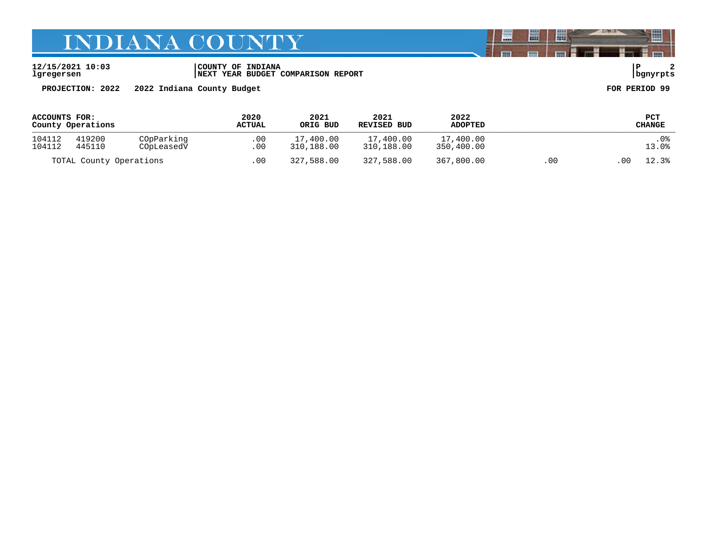**12/15/2021 10:03 |COUNTY OF INDIANA |P 2 lgregersen |NEXT YEAR BUDGET COMPARISON REPORT |bgnyrpts**

**PROJECTION: 2022 2022 Indiana County Budget FOR PERIOD 99**

| ACCOUNTS FOR:           |        |            | 2020          | 2021       | 2021        | 2022           |             | PCT           |
|-------------------------|--------|------------|---------------|------------|-------------|----------------|-------------|---------------|
| County Operations       |        |            | <b>ACTUAL</b> | ORIG BUD   | REVISED BUD | <b>ADOPTED</b> |             | <b>CHANGE</b> |
| 104112                  | 419200 | COpParking | .00           | 17,400.00  | 17,400.00   | 17,400.00      |             | .0%           |
| 104112                  | 445110 | COpLeasedV | .00           | 310,188.00 | 310,188.00  | 350,400.00     |             | 13.0%         |
| TOTAL County Operations |        | .00        | 327,588.00    | 327,588.00 | 367,800.00  | .00            | 12.3%<br>00 |               |

闇

圌

昌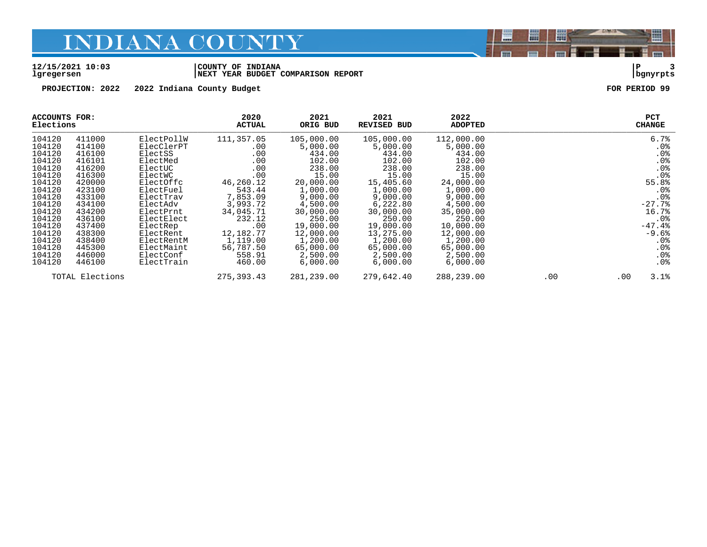#### **12/15/2021 10:03 |COUNTY OF INDIANA |P 3 lgregersen |NEXT YEAR BUDGET COMPARISON REPORT |bgnyrpts**

**PROJECTION: 2022 2022 Indiana County Budget FOR PERIOD 99**

| ACCOUNTS FOR:<br>Elections |                 |            | 2020<br><b>ACTUAL</b> | 2021<br>ORIG BUD | 2021<br><b>REVISED BUD</b> | 2022<br><b>ADOPTED</b> |     | <b>PCT</b><br><b>CHANGE</b> |
|----------------------------|-----------------|------------|-----------------------|------------------|----------------------------|------------------------|-----|-----------------------------|
| 104120                     | 411000          | ElectPollW | 111,357.05            | 105,000.00       | 105,000.00                 | 112,000.00             |     | 6.7%                        |
| 104120                     | 414100          | ElecClerPT | .00                   | 5,000.00         | 5,000.00                   | 5,000.00               |     | .0 <sub>8</sub>             |
| 104120                     | 416100          | ElectSS    | .00                   | 434.00           | 434.00                     | 434.00                 |     | .0 <sub>8</sub>             |
| 104120                     | 416101          | ElectMed   | .00                   | 102.00           | 102.00                     | 102.00                 |     | .0%                         |
| 104120                     | 416200          | ElectUC    | .00                   | 238.00           | 238.00                     | 238.00                 |     | .0%                         |
| 104120                     | 416300          | ElectWC    | .00                   | 15.00            | 15.00                      | 15.00                  |     | .0%                         |
| 104120                     | 420000          | ElectOffc  | 46,260.12             | 20,000.00        | 15,405.60                  | 24,000.00              |     | 55.8%                       |
| 104120                     | 423100          | ElectFuel  | 543.44                | 1,000.00         | 1,000.00                   | 1,000.00               |     | .0 <sub>8</sub>             |
| 104120                     | 433100          | ElectTrav  | 7,853.09              | 9,000.00         | 9,000.00                   | 9,000.00               |     | .0%                         |
| 104120                     | 434100          | ElectAdv   | 3,993.72              | 4,500.00         | 6,222.80                   | 4,500.00               |     | $-27.7%$                    |
| 104120                     | 434200          | ElectPrnt  | 34,045.71             | 30,000.00        | 30,000.00                  | 35,000.00              |     | 16.7%                       |
| 104120                     | 436100          | ElectElect | 232.12                | 250.00           | 250.00                     | 250.00                 |     | .0 <sub>8</sub>             |
| 104120                     | 437400          | ElectRep   | .00                   | 19,000.00        | 19,000.00                  | 10,000.00              |     | $-47.4%$                    |
| 104120                     | 438300          | ElectRent  | 12,182.77             | 12,000.00        | 13,275.00                  | 12,000.00              |     | $-9.6%$                     |
| 104120                     | 438400          | ElectRentM | 1,119.00              | 1,200.00         | 1,200.00                   | 1,200.00               |     | .0%                         |
| 104120                     | 445300          | ElectMaint | 56,787.50             | 65,000.00        | 65,000.00                  | 65,000.00              |     | $.0\%$                      |
| 104120                     | 446000          | ElectConf  | 558.91                | 2,500.00         | 2,500.00                   | 2,500.00               |     | .0%                         |
| 104120                     | 446100          | ElectTrain | 460.00                | 6,000.00         | 6,000.00                   | 6,000.00               |     | .0 <sub>8</sub>             |
|                            | TOTAL Elections |            | 275, 393.43           | 281,239.00       | 279,642.40                 | 288,239.00             | .00 | 3.1%<br>.00                 |



E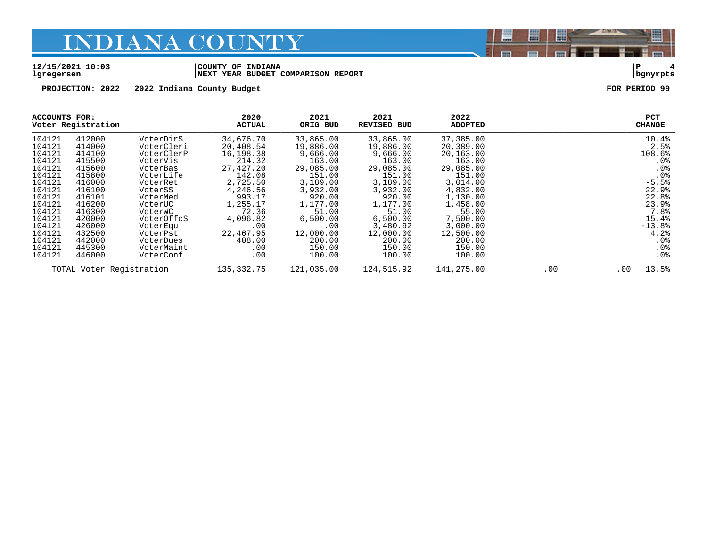#### **12/15/2021 10:03 |COUNTY OF INDIANA |P 4 lgregersen |NEXT YEAR BUDGET COMPARISON REPORT |bgnyrpts**

**PROJECTION: 2022 2022 Indiana County Budget FOR PERIOD 99**

|                          | ACCOUNTS FOR:<br>Voter Registration |            | 2020<br><b>ACTUAL</b> | 2021<br>ORIG BUD | 2021<br><b>REVISED BUD</b> | 2022<br><b>ADOPTED</b> |          |       | <b>PCT</b><br><b>CHANGE</b> |
|--------------------------|-------------------------------------|------------|-----------------------|------------------|----------------------------|------------------------|----------|-------|-----------------------------|
| 104121                   | 412000                              | VoterDirS  | 34,676.70             | 33,865.00        | 33,865.00                  | 37,385.00              |          |       | 10.4%                       |
| 104121                   | 414000                              | VoterCleri | 20,408.54             | 19,886.00        | 19,886.00                  | 20,389.00              |          |       | 2.5%                        |
| 104121                   | 414100                              | VoterClerP | 16,198.38             | 9,666.00         | 9,666.00                   | 20,163.00              |          |       | 108.6%                      |
| 104121                   | 415500                              | VoterVis   | 214.32                | 163.00           | 163.00                     | 163.00                 |          |       | .0 <sub>8</sub>             |
| 104121                   | 415600                              | VoterBas   | 27,427.20             | 29,085.00        | 29,085.00                  | 29,085.00              |          |       | .0 <sub>8</sub>             |
| 104121                   | 415800                              | VoterLife  | 142.08                | 151.00           | 151.00                     | 151.00                 |          |       | .0%                         |
| 104121                   | 416000                              | VoterRet   | 2,725.50              | 3,189.00         | 3,189.00                   | 3,014.00               |          |       | $-5.5%$                     |
| 104121                   | 416100                              | VoterSS    | 4,246.56              | 3,932.00         | 3,932.00                   | 4,832.00               |          |       | 22.9%                       |
| 104121                   | 416101                              | VoterMed   | 993.17                | 920.00           | 920.00                     | 1,130.00               |          |       | 22.8%                       |
| 104121                   | 416200                              | VoterUC    | 1,255.17              | 1,177.00         | 1,177.00                   | 1,458.00               |          |       | 23.9%                       |
| 104121                   | 416300                              | VoterWC    | 72.36                 | 51.00            | 51.00                      | 55.00                  |          |       | 7.8%                        |
| 104121                   | 420000                              | VoterOffcS | 4,096.82              | 6,500.00         | 6,500.00                   | 7,500.00               |          |       | 15.4%                       |
| 104121                   | 426000                              | VoterEqu   | .00                   | .00              | 3,480.92                   | 3,000.00               |          |       | $-13.8%$                    |
| 104121                   | 432500                              | VoterPst   | 22,467.95             | 12,000.00        | 12,000.00                  | 12,500.00              |          |       | 4.2%                        |
| 104121                   | 442000                              | VoterDues  | 408.00                | 200.00           | 200.00                     | 200.00                 |          |       | .0 <sub>8</sub>             |
| 104121                   | 445300                              | VoterMaint | .00                   | 150.00           | 150.00                     | 150.00                 |          |       | .0%                         |
| 104121                   | 446000                              | VoterConf  | .00                   | 100.00           | 100.00                     | 100.00                 |          |       | .0 <sub>8</sub>             |
| TOTAL Voter Registration |                                     | 135,332.75 | 121,035.00            | 124,515.92       | 141,275.00                 | .00                    | $.00 \,$ | 13.5% |                             |

闇

圌

E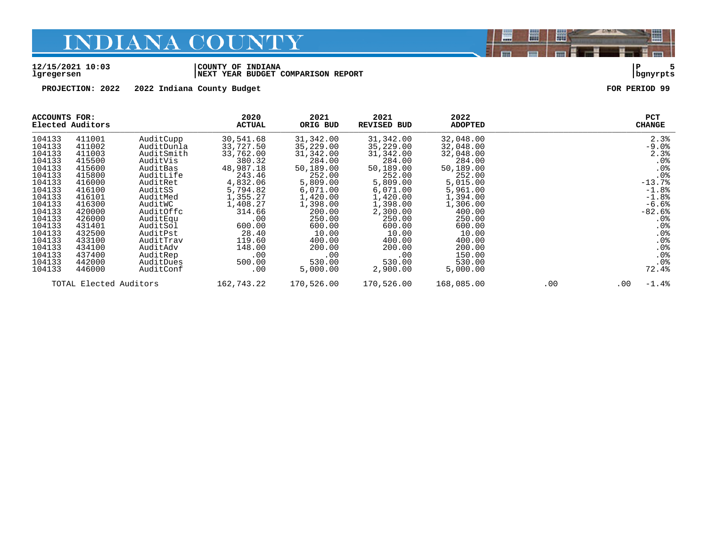#### **12/15/2021 10:03 |COUNTY OF INDIANA |P 5 lgregersen |NEXT YEAR BUDGET COMPARISON REPORT |bgnyrpts**

**PROJECTION: 2022 2022 Indiana County Budget FOR PERIOD 99**

| ACCOUNTS FOR:<br>Elected Auditors |                        | 2020<br><b>ACTUAL</b> | 2021<br>ORIG BUD | 2021<br><b>REVISED BUD</b> | 2022<br>ADOPTED |            | <b>PCT</b><br><b>CHANGE</b> |                     |
|-----------------------------------|------------------------|-----------------------|------------------|----------------------------|-----------------|------------|-----------------------------|---------------------|
| 104133                            | 411001                 | AuditCupp             | 30,541.68        | 31,342.00                  | 31,342.00       | 32,048.00  |                             | 2.3%                |
| 104133                            | 411002                 | AuditDunla            | 33,727.50        | 35,229.00                  | 35,229.00       | 32,048.00  |                             | $-9.0$              |
| 104133                            | 411003                 | AuditSmith            | 33,762.00        | 31,342.00                  | 31,342.00       | 32,048.00  |                             | 2.3%                |
| 104133                            | 415500                 | AuditVis              | 380.32           | 284.00                     | 284.00          | 284.00     |                             | $.0\%$              |
| 104133                            | 415600                 | AuditBas              | 48,987.18        | 50,189.00                  | 50,189.00       | 50,189.00  |                             | .0%                 |
| 104133                            | 415800                 | AuditLife             | 243.46           | 252.00                     | 252.00          | 252.00     |                             | .0%                 |
| 104133                            | 416000                 | AuditRet              | 4,832.06         | 5,809.00                   | 5,809.00        | 5,015.00   |                             | $-13.7%$            |
| 104133                            | 416100                 | AuditSS               | 5,794.82         | 6,071.00                   | 6,071.00        | 5,961.00   |                             | $-1.8%$             |
| 104133                            | 416101                 | AuditMed              | 1,355.27         | 1,420.00                   | 1,420.00        | 1,394.00   |                             | $-1.8%$             |
| 104133                            | 416300                 | AuditWC               | 1,408.27         | 1,398.00                   | 1,398.00        | 1,306.00   |                             | $-6.6%$             |
| 104133                            | 420000                 | AuditOffc             | 314.66           | 200.00                     | 2,300.00        | 400.00     |                             | $-82.6%$            |
| 104133                            | 426000                 | AuditEqu              | .00              | 250.00                     | 250.00          | 250.00     |                             | $.0\%$              |
| 104133                            | 431401                 | AuditSol              | 600.00           | 600.00                     | 600.00          | 600.00     |                             | $.0\%$              |
| 104133                            | 432500                 | AuditPst              | 28.40            | 10.00                      | 10.00           | 10.00      |                             | $.0\%$              |
| 104133                            | 433100                 | AuditTrav             | 119.60           | 400.00                     | 400.00          | 400.00     |                             | .0%                 |
| 104133                            | 434100                 | AuditAdv              | 148.00           | 200.00                     | 200.00          | 200.00     |                             | .0%                 |
| 104133                            | 437400                 | AuditRep              | .00              | .00                        | .00             | 150.00     |                             | .0%                 |
| 104133                            | 442000                 | AuditDues             | 500.00           | 530.00                     | 530.00          | 530.00     |                             | .0%                 |
| 104133                            | 446000                 | AuditConf             | .00              | 5,000.00                   | 2,900.00        | 5,000.00   |                             | 72.4%               |
|                                   | TOTAL Elected Auditors |                       | 162,743.22       | 170,526.00                 | 170,526.00      | 168,085.00 | .00                         | $-1.4%$<br>$.00 \,$ |

闇

圌

昌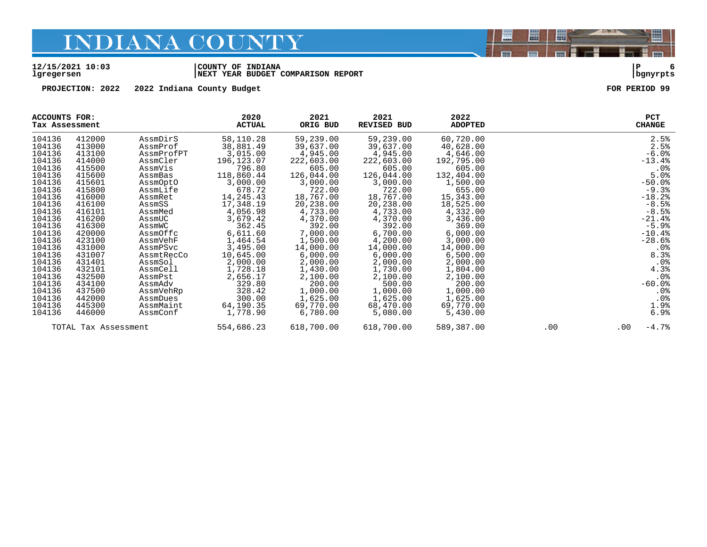#### **12/15/2021 10:03 |COUNTY OF INDIANA |P 6 lgregersen |NEXT YEAR BUDGET COMPARISON REPORT |bgnyrpts**

**PROJECTION: 2022 2022 Indiana County Budget FOR PERIOD 99**

|        | <b>ACCOUNTS FOR:</b><br>Tax Assessment |            | 2020<br><b>ACTUAL</b> | 2021<br>ORIG BUD | 2021<br>REVISED BUD | 2022<br><b>ADOPTED</b> |     | PCT<br><b>CHANGE</b> |
|--------|----------------------------------------|------------|-----------------------|------------------|---------------------|------------------------|-----|----------------------|
| 104136 | 412000                                 | AssmDirS   | 58,110.28             | 59,239.00        | 59,239.00           | 60,720.00              |     | 2.5%                 |
| 104136 | 413000                                 | AssmProf   | 38,881.49             | 39,637.00        | 39,637.00           | 40,628.00              |     | 2.5%                 |
| 104136 | 413100                                 | AssmProfPT | 3,015.00              | 4,945.00         | 4,945.00            | 4,646.00               |     | $-6.0%$              |
| 104136 | 414000                                 | AssmCler   | 196,123.07            | 222,603.00       | 222,603.00          | 192,795.00             |     | $-13.4%$             |
| 104136 | 415500                                 | AssmVis    | 796.80                | 605.00           | 605.00              | 605.00                 |     | $.0\%$               |
| 104136 | 415600                                 | AssmBas    | 118,860.44            | 126,044.00       | 126,044.00          | 132,404.00             |     | 5.0%                 |
| 104136 | 415601                                 | AssmOptO   | 3,000.00              | 3,000.00         | 3,000.00            | 1,500.00               |     | $-50.0%$             |
| 104136 | 415800                                 | AssmLife   | 678.72                | 722.00           | 722.00              | 655.00                 |     | $-9.3%$              |
| 104136 | 416000                                 | AssmRet    | 14,245.43             | 18,767.00        | 18,767.00           | 15,343.00              |     | $-18.2%$             |
| 104136 | 416100                                 | AssmSS     | 17,348.19             | 20,238.00        | 20,238.00           | 18,525.00              |     | $-8.5%$              |
| 104136 | 416101                                 | AssmMed    | 4,056.98              | 4,733.00         | 4,733.00            | 4,332.00               |     | $-8.5%$              |
| 104136 | 416200                                 | AssmUC     | 3,679.42              | 4,370.00         | 4,370.00            | 3,436.00               |     | $-21.4%$             |
| 104136 | 416300                                 | AssmWC     | 362.45                | 392.00           | 392.00              | 369.00                 |     | $-5.9%$              |
| 104136 | 420000                                 | AssmOffc   | 6,611.60              | 7,000.00         | 6,700.00            | 6,000.00               |     | $-10.4%$             |
| 104136 | 423100                                 | AssmVehF   | 1,464.54              | 1,500.00         | 4,200.00            | 3,000.00               |     | $-28.6%$             |
| 104136 | 431000                                 | AssmPSvc   | 3,495.00              | 14,000.00        | 14,000.00           | 14,000.00              |     | $.0\%$               |
| 104136 | 431007                                 | AssmtRecCo | 10,645.00             | 6,000.00         | 6,000.00            | 6,500.00               |     | 8.3%                 |
| 104136 | 431401                                 | AssmSol    | 2,000.00              | 2,000.00         | 2,000.00            | 2,000.00               |     | .0%                  |
| 104136 | 432101                                 | AssmCell   | 1,728.18              | 1,430.00         | 1,730.00            | 1,804.00               |     | 4.3%                 |
| 104136 | 432500                                 | AssmPst    | 2,656.17              | 2,100.00         | 2,100.00            | 2,100.00               |     | .0%                  |
| 104136 | 434100                                 | AssmAdv    | 329.80                | 200.00           | 500.00              | 200.00                 |     | $-60.0%$             |
| 104136 | 437500                                 | AssmVehRp  | 328.42                | 1,000.00         | 1,000.00            | 1,000.00               |     | .0%                  |
| 104136 | 442000                                 | AssmDues   | 300.00                | 1,625.00         | 1,625.00            | 1,625.00               |     | .0%                  |
| 104136 | 445300                                 | AssmMaint  | 64,190.35             | 69,770.00        | 68,470.00           | 69,770.00              |     | 1.9%                 |
| 104136 | 446000                                 | AssmConf   | 1,778.90              | 6,780.00         | 5,080.00            | 5,430.00               |     | 6.9%                 |
|        | TOTAL Tax Assessment                   |            | 554,686.23            | 618,700.00       | 618,700.00          | 589,387.00             | .00 | $-4.7%$<br>.00       |

圏

圌

E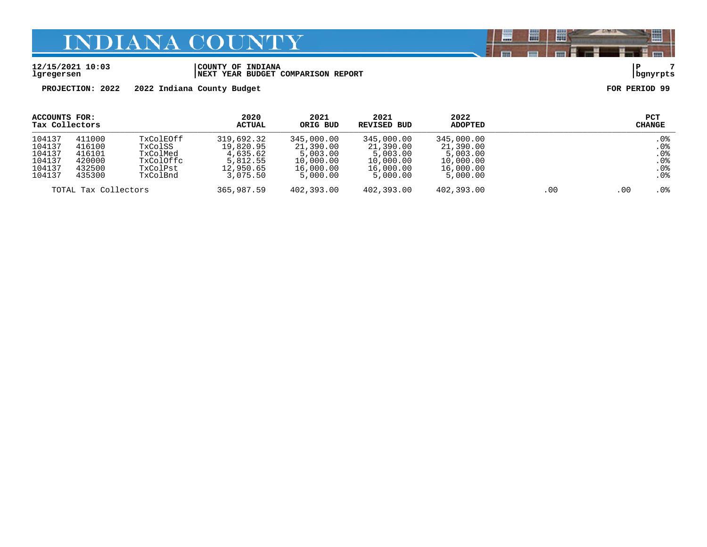#### **12/15/2021 10:03 |COUNTY OF INDIANA |P 7 lgregersen |NEXT YEAR BUDGET COMPARISON REPORT |bgnyrpts**

**PROJECTION: 2022 2022 Indiana County Budget FOR PERIOD 99**

| ACCOUNTS FOR:<br>Tax Collectors                          |                                                          |                                                                       | 2020<br>ACTUAL                                                           | 2021<br>ORIG BUD                                                          | 2021<br>REVISED BUD                                                       | 2022<br><b>ADOPTED</b>                                                    |     |        | <b>PCT</b><br>CHANGE                                                       |
|----------------------------------------------------------|----------------------------------------------------------|-----------------------------------------------------------------------|--------------------------------------------------------------------------|---------------------------------------------------------------------------|---------------------------------------------------------------------------|---------------------------------------------------------------------------|-----|--------|----------------------------------------------------------------------------|
| 104137<br>104137<br>104137<br>104137<br>104137<br>104137 | 411000<br>416100<br>416101<br>420000<br>432500<br>435300 | TxColEOff<br>TxColSS<br>TxColMed<br>TxColOffc<br>TxColPst<br>TxColBnd | 319,692.32<br>19,820.95<br>4,635.62<br>5,812.55<br>12,950.65<br>3,075.50 | 345,000.00<br>21,390.00<br>5.003.00<br>10,000.00<br>16,000.00<br>5,000.00 | 345,000.00<br>21,390.00<br>5,003.00<br>10,000.00<br>16,000.00<br>5,000.00 | 345,000.00<br>21,390.00<br>5,003.00<br>10,000.00<br>16,000.00<br>5,000.00 |     |        | .0 <sub>8</sub><br>.0%<br>.0 <sub>8</sub><br>.0%<br>.0%<br>.0 <sub>8</sub> |
| TOTAL Tax Collectors                                     |                                                          | 365,987.59                                                            | 402,393.00                                                               | 402,393.00                                                                | 402,393.00                                                                | .00                                                                       | .00 | $.0\%$ |                                                                            |

闇

圌

E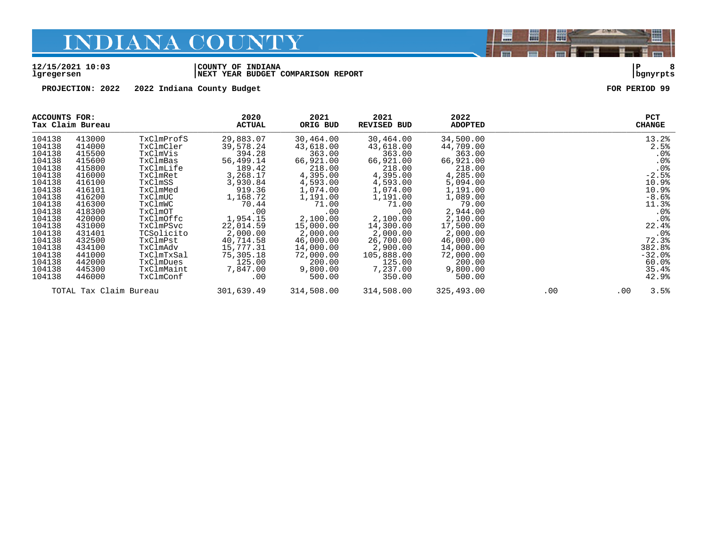#### **12/15/2021 10:03 |COUNTY OF INDIANA |P 8 lgregersen |NEXT YEAR BUDGET COMPARISON REPORT |bgnyrpts**

**PROJECTION: 2022 2022 Indiana County Budget FOR PERIOD 99**

| ACCOUNTS FOR: | Tax Claim Bureau       |            | 2020<br><b>ACTUAL</b> | 2021<br>ORIG BUD | 2021<br>REVISED BUD | 2022<br><b>ADOPTED</b> |     |     | <b>PCT</b><br><b>CHANGE</b> |
|---------------|------------------------|------------|-----------------------|------------------|---------------------|------------------------|-----|-----|-----------------------------|
| 104138        | 413000                 | TxClmProfS | 29,883.07             | 30,464.00        | 30,464.00           | 34,500.00              |     |     | 13.2%                       |
| 104138        | 414000                 | TxClmCler  | 39,578.24             | 43,618.00        | 43,618.00           | 44,709.00              |     |     | 2.5%                        |
| 104138        | 415500                 | TxClmVis   | 394.28                | 363.00           | 363.00              | 363.00                 |     |     | $.0\%$                      |
| 104138        | 415600                 | TxClmBas   | 56,499.14             | 66,921.00        | 66,921.00           | 66,921.00              |     |     | .0%                         |
| 104138        | 415800                 | TxClmLife  | 189.42                | 218.00           | 218.00              | 218.00                 |     |     | .0%                         |
| 104138        | 416000                 | TxClmRet   | 3,268.17              | 4,395.00         | 4,395.00            | 4,285.00               |     |     | $-2.5%$                     |
| 104138        | 416100                 | TxClmSS    | 3,930.84              | 4,593.00         | 4,593.00            | 5,094.00               |     |     | 10.9%                       |
| 104138        | 416101                 | TxClmMed   | 919.36                | 1,074.00         | 1,074.00            | 1,191.00               |     |     | 10.9%                       |
| 104138        | 416200                 | TxClmUC    | 1,168.72              | 1,191.00         | 1,191.00            | 1,089.00               |     |     | $-8.6%$                     |
| 104138        | 416300                 | TxClmWC    | 70.44                 | 71.00            | 71.00               | 79.00                  |     |     | 11.3%                       |
| 104138        | 418300                 | TxClmOT    | .00                   | .00              | .00                 | 2,944.00               |     |     | $.0\%$                      |
| 104138        | 420000                 | TxClmOffc  | 1,954.15              | 2,100.00         | 2,100.00            | 2,100.00               |     |     | $.0\%$                      |
| 104138        | 431000                 | TxClmPSvc  | 22,014.59             | 15,000.00        | 14,300.00           | 17,500.00              |     |     | 22.4%                       |
| 104138        | 431401                 | TCSolicito | 2,000.00              | 2,000.00         | 2,000.00            | 2,000.00               |     |     | $.0\%$                      |
| 104138        | 432500                 | TxClmPst   | 40,714.58             | 46,000.00        | 26,700.00           | 46,000.00              |     |     | 72.3%                       |
| 104138        | 434100                 | TxClmAdv   | 15,777.31             | 14,000.00        | 2,900.00            | 14,000.00              |     |     | 382.8%                      |
| 104138        | 441000                 | TxClmTxSal | 75,305.18             | 72,000.00        | 105,888.00          | 72,000.00              |     |     | $-32.0%$                    |
| 104138        | 442000                 | TxClmDues  | 125.00                | 200.00           | 125.00              | 200.00                 |     |     | $60.0$ $^{\circ}$           |
| 104138        | 445300                 | TxClmMaint | 7,847.00              | 9,800.00         | 7,237.00            | 9,800.00               |     |     | 35.4%                       |
| 104138        | 446000                 | TxClmConf  | .00                   | 500.00           | 350.00              | 500.00                 |     |     | 42.9%                       |
|               | TOTAL Tax Claim Bureau |            | 301,639.49            | 314,508.00       | 314,508.00          | 325,493.00             | .00 | .00 | 3.5%                        |

闇

圌

昌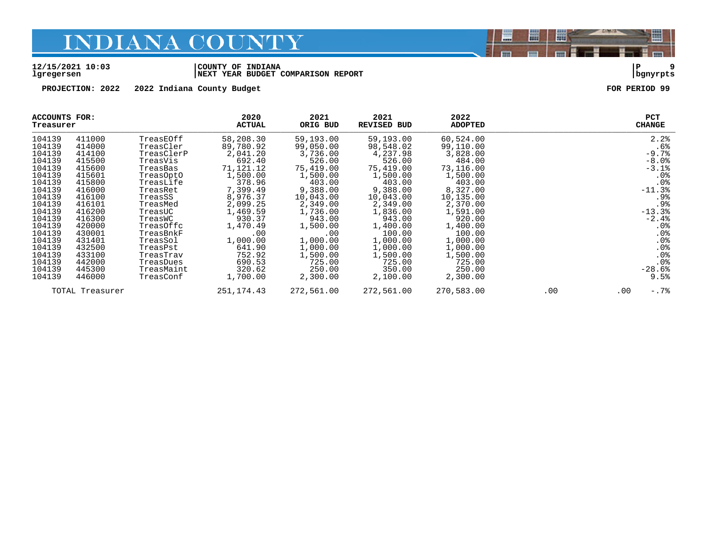#### **12/15/2021 10:03 |COUNTY OF INDIANA |P 9 lgregersen |NEXT YEAR BUDGET COMPARISON REPORT |bgnyrpts**

**PROJECTION: 2022 2022 Indiana County Budget FOR PERIOD 99**

| ACCOUNTS FOR:<br>Treasurer |                 |            | 2020<br><b>ACTUAL</b> | 2021<br>ORIG BUD | 2021<br><b>REVISED BUD</b> | 2022<br><b>ADOPTED</b> |     | <b>PCT</b><br><b>CHANGE</b> |
|----------------------------|-----------------|------------|-----------------------|------------------|----------------------------|------------------------|-----|-----------------------------|
| 104139                     | 411000          | TreasEOff  | 58,208.30             | 59,193.00        | 59,193.00                  | 60,524.00              |     | 2.2%                        |
| 104139                     | 414000          | TreasCler  | 89,780.92             | 99,050.00        | 98,548.02                  | 99,110.00              |     | .6%                         |
| 104139                     | 414100          | TreasClerP | 2,041.20              | 3,736.00         | 4,237.98                   | 3,828.00               |     | $-9.7%$                     |
| 104139                     | 415500          | TreasVis   | 692.40                | 526.00           | 526.00                     | 484.00                 |     | $-8.0$ .                    |
| 104139                     | 415600          | TreasBas   | 71,121.12             | 75,419.00        | 75,419.00                  | 73,116.00              |     | $-3.1$ $8$                  |
| 104139                     | 415601          | TreasOptO  | 1,500.00              | 1,500.00         | 1,500.00                   | 1,500.00               |     | .0%                         |
| 104139                     | 415800          | TreasLife  | 378.96                | 403.00           | 403.00                     | 403.00                 |     | .0 <sub>8</sub>             |
| 104139                     | 416000          | TreasRet   | 7,399.49              | 9,388.00         | 9,388.00                   | 8,327.00               |     | $-11.3%$                    |
| 104139                     | 416100          | TreasSS    | 8,976.37              | 10,043.00        | 10,043.00                  | 10,135.00              |     | .9%                         |
| 104139                     | 416101          | TreasMed   | 2,099.25              | 2,349.00         | 2,349.00                   | 2,370.00               |     | .9%                         |
| 104139                     | 416200          | TreasUC    | 1,469.59              | 1,736.00         | 1,836.00                   | 1,591.00               |     | $-13.3$                     |
| 104139                     | 416300          | TreasWC    | 930.37                | 943.00           | 943.00                     | 920.00                 |     | $-2.4%$                     |
| 104139                     | 420000          | TreasOffc  | 1,470.49              | 1,500.00         | 1,400.00                   | 1,400.00               |     | $.0\%$                      |
| 104139                     | 430001          | TreasBnkF  | .00                   | .00              | 100.00                     | 100.00                 |     | .0%                         |
| 104139                     | 431401          | TreasSol   | 1,000.00              | 1,000.00         | 1,000.00                   | 1,000.00               |     | $.0\%$                      |
| 104139                     | 432500          | TreasPst   | 641.90                | 1,000.00         | 1,000.00                   | 1,000.00               |     | $.0\%$                      |
| 104139                     | 433100          | TreasTrav  | 752.92                | 1,500.00         | 1,500.00                   | 1,500.00               |     | .0%                         |
| 104139                     | 442000          | TreasDues  | 690.53                | 725.00           | 725.00                     | 725.00                 |     | .0%                         |
| 104139                     | 445300          | TreasMaint | 320.62                | 250.00           | 350.00                     | 250.00                 |     | $-28.6%$                    |
| 104139                     | 446000          | TreasConf  | 1,700.00              | 2,300.00         | 2,100.00                   | 2,300.00               |     | 9.5%                        |
|                            | TOTAL Treasurer |            | 251,174.43            | 272,561.00       | 272,561.00                 | 270,583.00             | .00 | $-.7$ $%$<br>$.00 \,$       |

闇

圌

E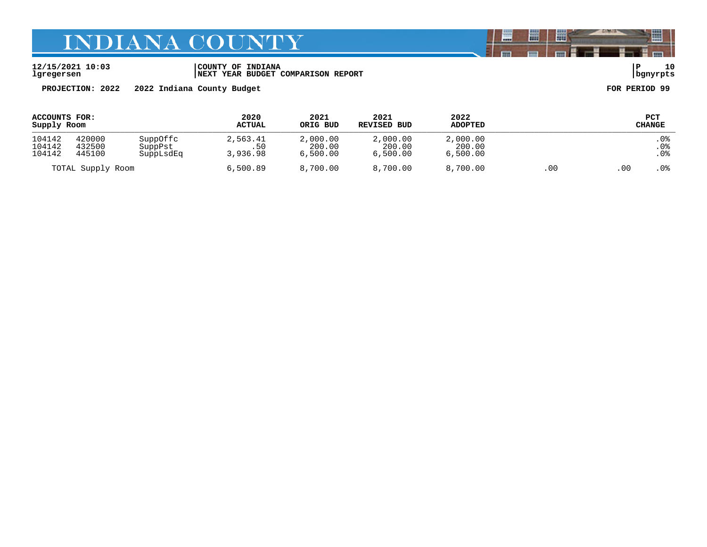**12/15/2021 10:03 |COUNTY OF INDIANA |P 10 lgregersen |NEXT YEAR BUDGET COMPARISON REPORT |bgnyrpts**

**PROJECTION: 2022 2022 Indiana County Budget FOR PERIOD 99**

| ACCOUNTS FOR:<br>Supply Room |                            |                                  | 2020<br><b>ACTUAL</b>       | 2021<br>ORIG BUD               | 2021<br><b>REVISED BUD</b>     | 2022<br><b>ADOPTED</b>         |      |                 | PCT<br><b>CHANGE</b> |
|------------------------------|----------------------------|----------------------------------|-----------------------------|--------------------------------|--------------------------------|--------------------------------|------|-----------------|----------------------|
| 104142<br>104142<br>104142   | 420000<br>432500<br>445100 | SuppOffc<br>SuppPst<br>SuppLsdEq | 2,563.41<br>.50<br>3,936.98 | 2,000.00<br>200.00<br>6,500.00 | 2,000.00<br>200.00<br>6.500.00 | 2,000.00<br>200.00<br>6,500.00 |      |                 | . 0%<br>.0%<br>.0%   |
| TOTAL Supply Room            |                            | 6,500.89                         | 8,700.00                    | 8,700.00                       | 8,700.00                       | .00                            | . 00 | .0 <sub>8</sub> |                      |

闇

圌

昌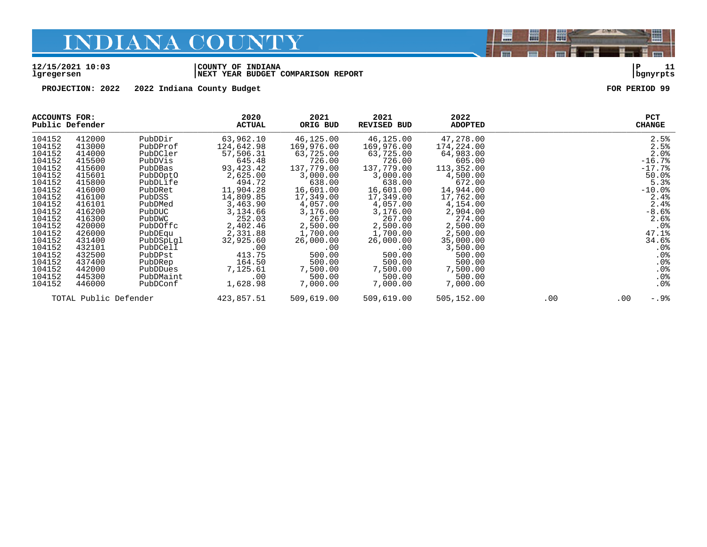#### **12/15/2021 10:03 |COUNTY OF INDIANA |P 11 lgregersen |NEXT YEAR BUDGET COMPARISON REPORT |bgnyrpts**

**PROJECTION: 2022 2022 Indiana County Budget FOR PERIOD 99**

| <b>ACCOUNTS FOR:</b><br>Public Defender |                       |           | 2020<br><b>ACTUAL</b> | 2021<br>ORIG BUD | 2021<br><b>REVISED BUD</b> | 2022<br><b>ADOPTED</b> |     |          | <b>PCT</b><br><b>CHANGE</b> |
|-----------------------------------------|-----------------------|-----------|-----------------------|------------------|----------------------------|------------------------|-----|----------|-----------------------------|
| 104152                                  | 412000                | PubDDir   | 63,962.10             | 46,125.00        | 46,125.00                  | 47,278.00              |     |          | 2.5%                        |
| 104152                                  | 413000                | PubDProf  | 124,642.98            | 169,976.00       | 169,976.00                 | 174,224.00             |     |          | 2.5%                        |
| 104152                                  | 414000                | PubDCler  | 57,506.31             | 63,725.00        | 63,725.00                  | 64,983.00              |     |          | 2.0%                        |
| 104152                                  | 415500                | PubDVis   | 645.48                | 726.00           | 726.00                     | 605.00                 |     |          | $-16.7%$                    |
| 104152                                  | 415600                | PubDBas   | 93,423.42             | 137,779.00       | 137,779.00                 | 113,352.00             |     |          | $-17.7%$                    |
| 104152                                  | 415601                | PubDOptO  | 2,625.00              | 3,000.00         | 3,000.00                   | 4,500.00               |     |          | 50.0%                       |
| 104152                                  | 415800                | PubDLife  | 494.72                | 638.00           | 638.00                     | 672.00                 |     |          | 5.3%                        |
| 104152                                  | 416000                | PubDRet   | 11,904.28             | 16,601.00        | 16,601.00                  | 14,944.00              |     |          | $-10.0$ %                   |
| 104152                                  | 416100                | PubDSS    | 14,809.85             | 17,349.00        | 17,349.00                  | 17,762.00              |     |          | 2.4%                        |
| 104152                                  | 416101                | PubDMed   | 3,463.90              | 4,057.00         | 4,057.00                   | 4,154.00               |     |          | 2.4%                        |
| 104152                                  | 416200                | PubDUC    | 3,134.66              | 3,176.00         | 3,176.00                   | 2,904.00               |     |          | $-8.6%$                     |
| 104152                                  | 416300                | PubDWC    | 252.03                | 267.00           | 267.00                     | 274.00                 |     |          | 2.6%                        |
| 104152                                  | 420000                | PubDOffc  | 2,402.46              | 2,500.00         | 2,500.00                   | 2,500.00               |     |          | $.0\%$                      |
| 104152                                  | 426000                | PubDEqu   | 2,331.88              | 1,700.00         | 1,700.00                   | 2,500.00               |     |          | 47.1%                       |
| 104152                                  | 431400                | PubDSpLql | 32,925.60             | 26,000.00        | 26,000.00                  | 35,000.00              |     |          | 34.6%                       |
| 104152                                  | 432101                | PubDCell  | .00                   | .00              | .00                        | 3,500.00               |     |          | $.0\%$                      |
| 104152                                  | 432500                | PubDPst   | 413.75                | 500.00           | 500.00                     | 500.00                 |     |          | $.0\%$                      |
| 104152                                  | 437400                | PubDRep   | 164.50                | 500.00           | 500.00                     | 500.00                 |     |          | .0%                         |
| 104152                                  | 442000                | PubDDues  | 7,125.61              | 7,500.00         | 7,500.00                   | 7,500.00               |     |          | .0%                         |
| 104152                                  | 445300                | PubDMaint | $.00 \,$              | 500.00           | 500.00                     | 500.00                 |     |          | .0%                         |
| 104152                                  | 446000                | PubDConf  | 1,628.98              | 7,000.00         | 7,000.00                   | 7,000.00               |     |          | $.0\%$                      |
|                                         | TOTAL Public Defender |           | 423,857.51            | 509,619.00       | 509,619.00                 | 505,152.00             | .00 | $.00 \,$ | $-.9%$                      |

闇

圌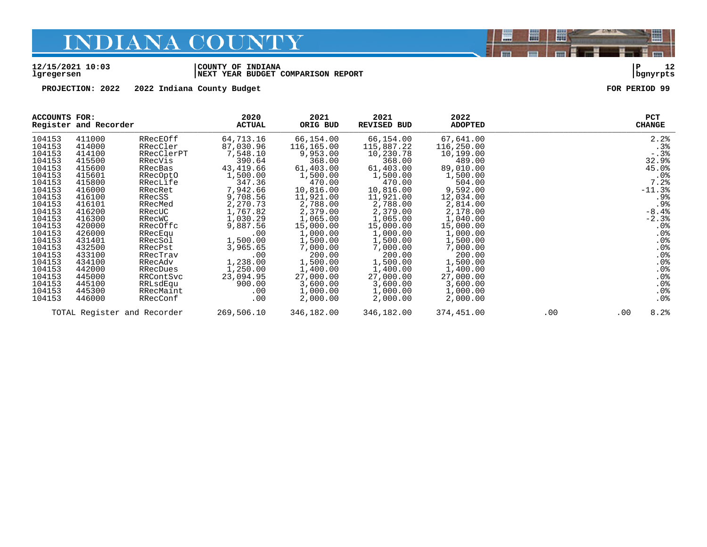#### **12/15/2021 10:03 |COUNTY OF INDIANA |P 12 lgregersen |NEXT YEAR BUDGET COMPARISON REPORT |bgnyrpts**

**PROJECTION: 2022 2022 Indiana County Budget FOR PERIOD 99**

| <b>ACCOUNTS FOR:</b> | Register and Recorder       |            | 2020<br><b>ACTUAL</b> | 2021<br>ORIG BUD | 2021<br>REVISED BUD | 2022<br><b>ADOPTED</b> |     |          | <b>PCT</b><br><b>CHANGE</b>                 |
|----------------------|-----------------------------|------------|-----------------------|------------------|---------------------|------------------------|-----|----------|---------------------------------------------|
| 104153               | 411000                      | RRecEOff   | 64,713.16             | 66,154.00        | 66,154.00           | 67,641.00              |     |          | 2.2%                                        |
| 104153               | 414000                      | RRecCler   | 87,030.96             | 116,165.00       | 115,887.22          | 116,250.00             |     |          | .3%                                         |
| 104153               | 414100                      | RRecClerPT | 7,548.10              | 9,953.00         | 10,230.78           | 10,199.00              |     |          | $-.3%$                                      |
| 104153               | 415500                      | RRecVis    | 390.64                | 368.00           | 368.00              | 489.00                 |     |          | 32.9%                                       |
| 104153               | 415600                      | RRecBas    | 43,419.66             | 61,403.00        | 61,403.00           | 89,010.00              |     |          | 45.0%                                       |
| 104153               | 415601                      | RRecOptO   | 1,500.00              | 1,500.00         | 1,500.00            | 1,500.00               |     |          | .0%                                         |
| 104153               | 415800                      | RRecLife   | 347.36                | 470.00           | 470.00              | 504.00                 |     |          | 7.2%                                        |
| 104153               | 416000                      | RRecRet    | 7,942.66              | 10,816.00        | 10,816.00           | 9,592.00               |     |          | $-11.3%$                                    |
| 104153               | 416100                      | RRecSS     | 9,708.56              | 11,921.00        | 11,921.00           | 12,034.00              |     |          | .9%                                         |
| 104153               | 416101                      | RRecMed    | 2,270.73              | 2,788.00         | 2,788.00            | 2,814.00               |     |          | .9%                                         |
| 104153               | 416200                      | RRecUC     | 1,767.82              | 2,379.00         | 2,379.00            | 2,178.00               |     |          | $-8.4%$                                     |
| 104153               | 416300                      | RRecWC     | 1,030.29              | 1,065.00         | 1,065.00            | 1,040.00               |     |          | $-2.3%$                                     |
| 104153               | 420000                      | RRecOffc   | 9,887.56              | 15,000.00        | 15,000.00           | 15,000.00              |     |          | $.0\%$                                      |
| 104153               | 426000                      | RRecEqu    | $.00 \ \rm$           | 1,000.00         | 1,000.00            | 1,000.00               |     |          | .0%                                         |
| 104153               | 431401                      | RRecSol    | 1,500.00              | 1,500.00         | 1,500.00            | 1,500.00               |     |          | $\begin{array}{c} 0\,8 \\ 0\,8 \end{array}$ |
| 104153               | 432500                      | RRecPst    | 3,965.65              | 7,000.00         | 7,000.00            | 7,000.00               |     |          |                                             |
| 104153               | 433100                      | RRecTrav   | .00                   | 200.00           | 200.00              | 200.00                 |     |          | .0%                                         |
| 104153               | 434100                      | RRecAdv    | 1,238.00              | 1,500.00         | 1,500.00            | 1,500.00               |     |          | .0%                                         |
| 104153               | 442000                      | RRecDues   | 1,250.00              | 1,400.00         | 1,400.00            | 1,400.00               |     |          | .0%                                         |
| 104153               | 445000                      | RRContSvc  | 23,094.95             | 27,000.00        | 27,000.00           | 27,000.00              |     |          | .0%                                         |
| 104153               | 445100                      | RRLsdEqu   | 900.00                | 3,600.00         | 3,600.00            | 3,600.00               |     |          | .0%                                         |
| 104153               | 445300                      | RRecMaint  | .00                   | 1,000.00         | 1,000.00            | 1,000.00               |     |          | .0%                                         |
| 104153               | 446000                      | RRecConf   | $.00 \,$              | 2,000.00         | 2,000.00            | 2,000.00               |     |          | .0 <sub>8</sub>                             |
|                      | TOTAL Register and Recorder |            | 269,506.10            | 346,182.00       | 346,182.00          | 374,451.00             | .00 | $.00 \,$ | 8.2%                                        |

闇

圌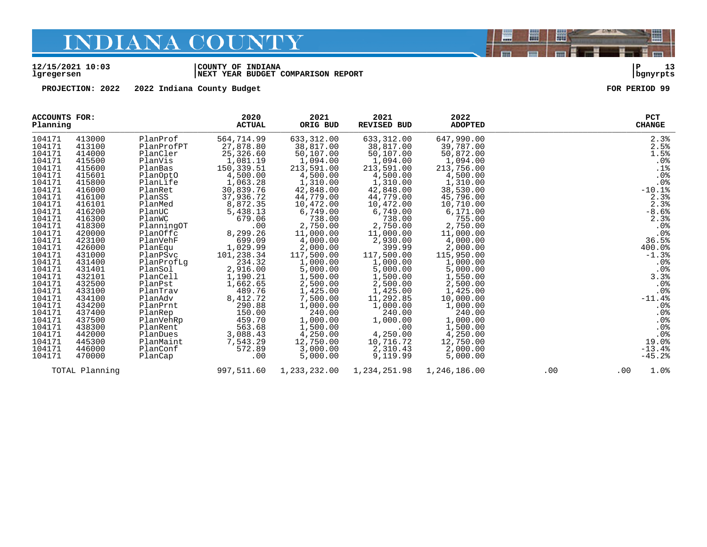#### **12/15/2021 10:03 |COUNTY OF INDIANA |P 13 lgregersen |NEXT YEAR BUDGET COMPARISON REPORT |bgnyrpts**

**PROJECTION: 2022 2022 Indiana County Budget FOR PERIOD 99**

| ACCOUNTS FOR:<br>Planning |                |            | 2020<br><b>ACTUAL</b> | 2021<br>ORIG BUD | 2021<br><b>REVISED BUD</b> | 2022<br><b>ADOPTED</b> |     | <b>PCT</b><br><b>CHANGE</b> |
|---------------------------|----------------|------------|-----------------------|------------------|----------------------------|------------------------|-----|-----------------------------|
| 104171                    | 413000         | PlanProf   | 564,714.99            | 633,312.00       | 633,312.00                 | 647,990.00             |     | 2.3%                        |
| 104171                    | 413100         | PlanProfPT | 27,878.80             | 38,817.00        | 38,817.00                  | 39,787.00              |     | 2.5%                        |
| 104171                    | 414000         | PlanCler   | 25,326.60             | 50,107.00        | 50,107.00                  | 50,872.00              |     | 1.5%                        |
| 104171                    | 415500         | PlanVis    | 1,081.19              | 1,094.00         | 1,094.00                   | 1,094.00               |     | $.0\%$                      |
| 104171                    | 415600         | PlanBas    | 150,339.51            | 213,591.00       | 213,591.00                 | 213,756.00             |     | .1%                         |
| 104171                    | 415601         | PlanOptO   | 4,500.00              | 4,500.00         | 4,500.00                   | 4,500.00               |     | .0%                         |
| 104171                    | 415800         | PlanLife   | 1,063.28              | 1,310.00         | 1,310.00                   | 1,310.00               |     | .0%                         |
| 104171                    | 416000         | PlanRet    | 30,839.76             | 42,848.00        | 42,848.00                  | 38,530.00              |     | $-10.1%$                    |
| 104171                    | 416100         | PlanSS     | 37,936.72             | 44,779.00        | 44,779.00                  | 45,796.00              |     | 2.3%                        |
| 104171                    | 416101         | PlanMed    | 8,872.35              | 10,472.00        | 10,472.00                  | 10,710.00              |     | 2.3%                        |
| 104171                    | 416200         | PlanUC     | 5,438.13              | 6,749.00         | 6,749.00                   | 6,171.00               |     | $-8.6%$                     |
| 104171                    | 416300         | PlanWC     | 679.06                | 738.00           | 738.00                     | 755.00                 |     | 2.3%                        |
| 104171                    | 418300         | PlanningOT | .00                   | 2,750.00         | 2,750.00                   | 2,750.00               |     | .0%                         |
| 104171                    | 420000         | PlanOffc   | 8,299.26              | 11,000.00        | 11,000.00                  | 11,000.00              |     | .0%                         |
| 104171                    | 423100         | PlanVehF   | 699.09                | 4,000.00         | 2,930.00                   | 4,000.00               |     | 36.5%                       |
| 104171                    | 426000         | PlanEqu    | 1,029.99              | 2,000.00         | 399.99                     | 2,000.00               |     | 400.0%                      |
| 104171                    | 431000         | PlanPSvc   | 101,238.34            | 117,500.00       | 117,500.00                 | 115,950.00             |     | $-1.3%$                     |
| 104171                    | 431400         | PlanProfLq | 234.32                | 1,000.00         | 1,000.00                   | 1,000.00               |     | .0%                         |
| 104171                    | 431401         | PlanSol    | 2,916.00              | 5,000.00         | 5,000.00                   | 5,000.00               |     | $.0\%$                      |
| 104171                    | 432101         | PlanCell   | 1,190.21              | 1,500.00         | 1,500.00                   | 1,550.00               |     | 3.3%                        |
| 104171                    | 432500         | PlanPst    | 1,662.65              | 2,500.00         | 2,500.00                   | 2,500.00               |     | .0%                         |
| 104171                    | 433100         | PlanTrav   | 489.76                | 1,425.00         | 1,425.00                   | 1,425.00               |     | .0%                         |
| 104171                    | 434100         | PlanAdv    | 8,412.72              | 7,500.00         | 11,292.85                  | 10,000.00              |     | $-11.4%$                    |
| 104171                    | 434200         | PlanPrnt   | 290.88                | 1,000.00         | 1,000.00                   | 1,000.00               |     | $.0\%$                      |
| 104171                    | 437400         | PlanRep    | 150.00                | 240.00           | 240.00                     | 240.00                 |     | .0%                         |
| 104171                    | 437500         | PlanVehRp  | 459.70                | 1,000.00         | 1,000.00                   | 1,000.00               |     | $.0\frac{8}{8}$             |
| 104171                    | 438300         | PlanRent   | 563.68                | 1,500.00         | .00                        | 1,500.00               |     |                             |
| 104171                    | 442000         | PlanDues   | 3,088.43              | 4,250.00         | 4,250.00                   | 4,250.00               |     | .0%                         |
| 104171                    | 445300         | PlanMaint  | 7,543.29              | 12,750.00        | 10,716.72                  | 12,750.00              |     | 19.0%                       |
| 104171                    | 446000         | PlanConf   | 572.89                | 3,000.00         | 2,310.43                   | 2,000.00               |     | $-13.4%$                    |
| 104171                    | 470000         | PlanCap    | .00                   | 5,000.00         | 9,119.99                   | 5,000.00               |     | $-45.2%$                    |
|                           | TOTAL Planning |            | 997,511.60            | 1,233,232.00     | 1,234,251.98               | 1,246,186.00           | .00 | 1.0%<br>$.00 \,$            |

闇

圌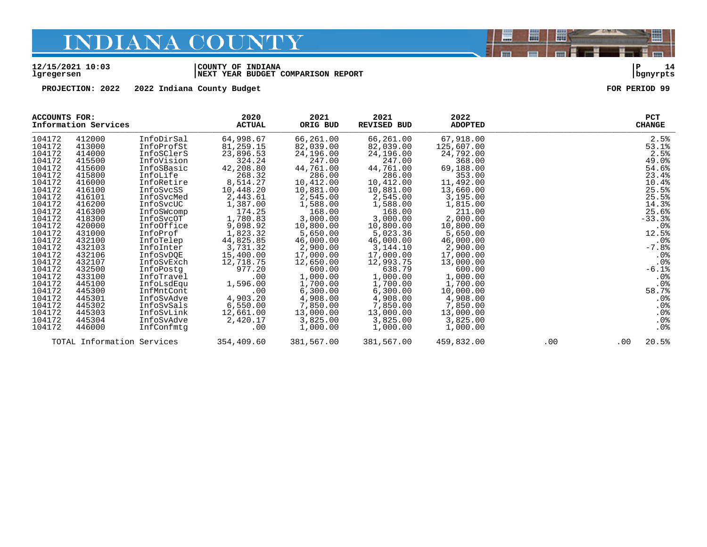#### **12/15/2021 10:03 |COUNTY OF INDIANA |P 14 lgregersen |NEXT YEAR BUDGET COMPARISON REPORT |bgnyrpts**

**PROJECTION: 2022 2022 Indiana County Budget FOR PERIOD 99**

| ACCOUNTS FOR: | Information Services |                            | 2020<br><b>ACTUAL</b> | 2021<br>ORIG BUD | 2021<br><b>REVISED BUD</b> | 2022<br><b>ADOPTED</b> |     |          | <b>PCT</b><br><b>CHANGE</b> |
|---------------|----------------------|----------------------------|-----------------------|------------------|----------------------------|------------------------|-----|----------|-----------------------------|
| 104172        | 412000               | InfoDirSal                 | 64,998.67             | 66,261.00        | 66,261.00                  | 67,918.00              |     |          | 2.5%                        |
| 104172        | 413000               | InfoProfSt                 | 81,259.15             | 82,039.00        | 82,039.00                  | 125,607.00             |     |          | 53.1%                       |
| 104172        | 414000               | InfoSClerS                 | 23,896.53             | 24,196.00        | 24,196.00                  | 24,792.00              |     |          | 2.5%                        |
| 104172        | 415500               | InfoVision                 | 324.24                | 247.00           | 247.00                     | 368.00                 |     |          | 49.0%                       |
| 104172        | 415600               | InfoSBasic                 | 42,208.80             | 44,761.00        | 44,761.00                  | 69,188.00              |     |          | 54.6%                       |
| 104172        | 415800               | InfoLife                   | 268.32                | 286.00           | 286.00                     | 353.00                 |     |          | 23.4%                       |
| 104172        | 416000               | InfoRetire                 | 8,514.27              | 10,412.00        | 10,412.00                  | 11,492.00              |     |          | 10.4%                       |
| 104172        | 416100               | InfoSvcSS                  | 10,448.20             | 10,881.00        | 10,881.00                  | 13,660.00              |     |          | 25.5%                       |
| 104172        | 416101               | InfoSvcMed                 | 2,443.61              | 2,545.00         | 2,545.00                   | 3,195.00               |     |          | 25.5%                       |
| 104172        | 416200               | InfoSvcUC                  | 1,387.00              | 1,588.00         | 1,588.00                   | 1,815.00               |     |          | 14.3%                       |
| 104172        | 416300               | InfoSWcomp                 | 174.25                | 168.00           | 168.00                     | 211.00                 |     |          | 25.6%                       |
| 104172        | 418300               | InfoSvcOT                  | 1,780.83              | 3,000.00         | 3,000.00                   | 2,000.00               |     |          | $-33.3%$                    |
| 104172        | 420000               | InfoOffice                 | 9,098.92              | 10,800.00        | 10,800.00                  | 10,800.00              |     |          | $.0\%$                      |
| 104172        | 431000               | InfoProf                   | 1,823.32              | 5,650.00         | 5,023.36                   | 5,650.00               |     |          | 12.5%                       |
| 104172        | 432100               | InfoTelep                  | 44,825.85             | 46,000.00        | 46,000.00                  | 46,000.00              |     |          | .0%                         |
| 104172        | 432103               | InfoInter                  | 3,731.32              | 2,900.00         | 3,144.10                   | 2,900.00               |     |          | $-7.8%$                     |
| 104172        | 432106               | InfoSvDQE                  | 15,400.00             | 17,000.00        | 17,000.00                  | 17,000.00              |     |          | .0%                         |
| 104172        | 432107               | InfoSvExch                 | 12,718.75             | 12,650.00        | 12,993.75                  | 13,000.00              |     |          | .0%                         |
| 104172        | 432500               | InfoPostq                  | 977.20                | 600.00           | 638.79                     | 600.00                 |     |          | $-6.1%$                     |
| 104172        | 433100               | InfoTravel                 | .00                   | 1,000.00         | 1,000.00                   | 1,000.00               |     |          | $.0\%$                      |
| 104172        | 445100               | InfoLsdEqu                 | 1,596.00              | 1,700.00         | 1,700.00                   | 1,700.00               |     |          | $.0\%$                      |
| 104172        | 445300               | InfMntCont                 | .00                   | 6,300.00         | 6,300.00                   | 10,000.00              |     |          | 58.7%                       |
| 104172        | 445301               | InfoSvAdve                 | 4,903.20              | 4,908.00         | 4,908.00                   | 4,908.00               |     |          | .0%                         |
| 104172        | 445302               | InfoSvSals                 | 6,550.00              | 7,850.00         | 7,850.00                   | 7,850.00               |     |          | .0%                         |
| 104172        | 445303               | InfoSvLink                 | 12,661.00             | 13,000.00        | 13,000.00                  | 13,000.00              |     |          | $.0\%$                      |
| 104172        | 445304               | InfoSvAdve                 | 2,420.17              | 3,825.00         | 3,825.00                   | 3,825.00               |     |          | $.0\%$                      |
| 104172        | 446000               | InfConfmtq                 | .00                   | 1,000.00         | 1,000.00                   | 1,000.00               |     |          | $.0\%$                      |
|               |                      | TOTAL Information Services | 354,409.60            | 381,567.00       | 381,567.00                 | 459,832.00             | .00 | $.00 \,$ | 20.5%                       |

闇

圌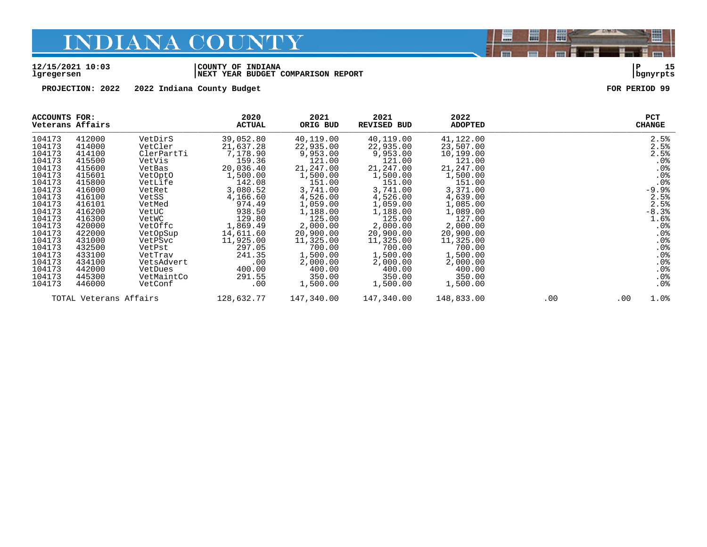#### **12/15/2021 10:03 |COUNTY OF INDIANA |P 15 lgregersen |NEXT YEAR BUDGET COMPARISON REPORT |bgnyrpts**

**PROJECTION: 2022 2022 Indiana County Budget FOR PERIOD 99**

| ACCOUNTS FOR:<br>Veterans Affairs |        |            | 2020<br><b>ACTUAL</b> | 2021<br>ORIG BUD | 2021<br>REVISED BUD | 2022<br><b>ADOPTED</b> |          |      | <b>PCT</b><br><b>CHANGE</b> |
|-----------------------------------|--------|------------|-----------------------|------------------|---------------------|------------------------|----------|------|-----------------------------|
| 104173                            | 412000 | VetDirS    | 39,052.80             | 40,119.00        | 40,119.00           | 41,122.00              |          |      | 2.5%                        |
| 104173                            | 414000 | VetCler    | 21,637.28             | 22,935.00        | 22,935.00           | 23,507.00              |          |      | 2.5%                        |
| 104173                            | 414100 | ClerPartTi | 7,178.90              | 9,953.00         | 9,953.00            | 10,199.00              |          |      | 2.5%                        |
| 104173                            | 415500 | VetVis     | 159.36                | 121.00           | 121.00              | 121.00                 |          |      | .0%                         |
| 104173                            | 415600 | VetBas     | 20,036.40             | 21,247.00        | 21,247.00           | 21,247.00              |          |      | .0%                         |
| 104173                            | 415601 | VetOptO    | 1,500.00              | 1,500.00         | 1,500.00            | 1,500.00               |          |      | .0%                         |
| 104173                            | 415800 | VetLife    | 142.08                | 151.00           | 151.00              | 151.00                 |          |      | .0%                         |
| 104173                            | 416000 | VetRet     | 3,080.52              | 3,741.00         | 3,741.00            | 3,371.00               |          |      | $-9.9%$                     |
| 104173                            | 416100 | VetSS      | 4,166.60              | 4,526.00         | 4,526.00            | 4,639.00               |          |      | 2.5%                        |
| 104173                            | 416101 | VetMed     | 974.49                | 1,059.00         | 1,059.00            | 1,085.00               |          |      | 2.5%                        |
| 104173                            | 416200 | VetUC      | 938.50                | 1,188.00         | 1,188.00            | 1,089.00               |          |      | $-8.3%$                     |
| 104173                            | 416300 | VetWC      | 129.80                | 125.00           | 125.00              | 127.00                 |          |      | 1.6%                        |
| 104173                            | 420000 | VetOffc    | 1,869.49              | 2,000.00         | 2,000.00            | 2,000.00               |          |      | $.0\%$                      |
| 104173                            | 422000 | VetOpSup   | 14,611.60             | 20,900.00        | 20,900.00           | 20,900.00              |          |      | $.0\%$                      |
| 104173                            | 431000 | VetPSvc    | 11,925.00             | 11,325.00        | 11,325.00           | 11,325.00              |          |      | .0%                         |
| 104173                            | 432500 | VetPst     | 297.05                | 700.00           | 700.00              | 700.00                 |          |      | .0%                         |
| 104173                            | 433100 | VetTrav    | 241.35                | 1,500.00         | 1,500.00            | 1,500.00               |          |      | .0%                         |
| 104173                            | 434100 | VetsAdvert | .00                   | 2,000.00         | 2,000.00            | 2,000.00               |          |      | .0%                         |
| 104173                            | 442000 | VetDues    | 400.00                | 400.00           | 400.00              | 400.00                 |          |      | .0%                         |
| 104173                            | 445300 | VetMaintCo | 291.55                | 350.00           | 350.00              | 350.00                 |          |      | $.0\%$                      |
| 104173                            | 446000 | VetConf    | .00                   | 1,500.00         | 1,500.00            | 1,500.00               |          |      | $.0\%$                      |
| TOTAL Veterans Affairs            |        | 128,632.77 | 147,340.00            | 147,340.00       | 148,833.00          | .00                    | $.00 \,$ | 1.0% |                             |

闇

圌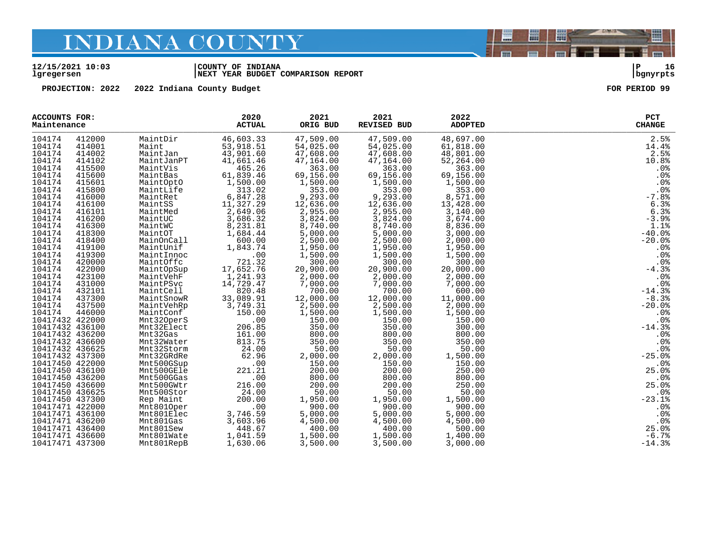#### **12/15/2021 10:03 |COUNTY OF INDIANA |P 16 lgregersen |NEXT YEAR BUDGET COMPARISON REPORT |bgnyrpts**

**PROJECTION: 2022 2022 Indiana County Budget FOR PERIOD 99**

| ACCOUNTS FOR:<br>Maintenance |        |            | 2020<br><b>ACTUAL</b> | 2021<br>ORIG BUD | 2021<br><b>REVISED BUD</b> | 2022<br><b>ADOPTED</b> | PCT<br><b>CHANGE</b> |
|------------------------------|--------|------------|-----------------------|------------------|----------------------------|------------------------|----------------------|
| 104174                       | 412000 | MaintDir   | 46,603.33             | 47,509.00        | 47,509.00                  | 48,697.00              | 2.5%                 |
| 104174                       | 414001 | Maint      | 53,918.51             | 54,025.00        | 54,025.00                  | 61,818.00              | 14.4%                |
| 104174                       | 414002 | MaintJan   | 43,901.60             | 47,608.00        | 47,608.00                  | 48,801.00              | 2.5%                 |
| 104174                       | 414102 | MaintJanPT | 41,661.46             | 47,164.00        | 47,164.00                  | 52,264.00              | 10.8%                |
| 104174                       | 415500 | MaintVis   | 465.26                | 363.00           | 363.00                     | 363.00                 | .0%                  |
| 104174                       | 415600 | MaintBas   | 61,839.46             | 69,156.00        | 69,156.00                  | 69,156.00              | .0%                  |
| 104174                       | 415601 | MaintOptO  | 1,500.00              | 1,500.00         | 1,500.00                   | 1,500.00               | .0%                  |
| 104174                       | 415800 | MaintLife  | 313.02                | 353.00           | 353.00                     | 353.00                 | .0%                  |
| 104174                       | 416000 | MaintRet   | 6,847.28              | 9,293.00         | 9,293.00                   | 8,571.00               | $-7.8%$              |
| 104174                       | 416100 | MaintSS    | 11,327.29             | 12,636.00        | 12,636.00                  | 13,428.00              | 6.3%                 |
| 104174                       | 416101 | MaintMed   | 2,649.06              | 2,955.00         | 2,955.00                   | 3,140.00               | 6.3%                 |
| 104174                       | 416200 | MaintUC    | 3,686.32              | 3,824.00         | 3,824.00                   | 3,674.00               | $-3.9%$              |
| 104174                       | 416300 | MaintWC    | 8,231.81              | 8,740.00         | 8,740.00                   | 8,836.00               | 1.1%                 |
| 104174                       | 418300 | MaintOT    | 1,684.44              | 5,000.00         | 5,000.00                   | 3,000.00               | $-40.0%$             |
| 104174                       | 418400 | MainOnCall | 600.00                | 2,500.00         | 2,500.00                   | 2,000.00               | $-20.0%$             |
| 104174                       | 419100 | MaintUnif  | 1,843.74              | 1,950.00         | 1,950.00                   | 1,950.00               | .0%                  |
| 104174                       | 419300 | MaintInnoc | .00                   | 1,500.00         | 1,500.00                   | 1,500.00               | .0%                  |
| 104174                       | 420000 | MaintOffc  | 721.32                | 300.00           | 300.00                     | 300.00                 | .0%                  |
| 104174                       | 422000 | MaintOpSup | 17,652.76             | 20,900.00        | 20,900.00                  | 20,000.00              | $-4.3%$              |
| 104174                       | 423100 | MaintVehF  | 1,241.93              | 2,000.00         | 2,000.00                   | 2,000.00               | .0%                  |
| 104174                       | 431000 | MaintPSvc  | 14,729.47             | 7,000.00         | 7,000.00                   | 7,000.00               | .0%                  |
| 104174                       | 432101 | MaintCell  | 820.48                | 700.00           | 700.00                     | 600.00                 | $-14.3%$             |
| 104174                       | 437300 | MaintSnowR | 33,089.91             | 12,000.00        | 12,000.00                  | 11,000.00              | $-8.3%$              |
| 104174                       | 437500 | MaintVehRp | 3,749.31              | 2,500.00         | 2,500.00                   | 2,000.00               | $-20.0%$             |
| 104174                       | 446000 | MaintConf  | 150.00                | 1,500.00         | 1,500.00                   | 1,500.00               | .0%                  |
| 10417432 422000              |        | Mnt32OperS | .00                   | 150.00           | 150.00                     | 150.00                 | .0%                  |
| 10417432 436100              |        | Mnt32Elect | 206.85                | 350.00           | 350.00                     | 300.00                 | $-14.3%$             |
| 10417432 436200              |        | Mnt32Gas   | 161.00                | 800.00           | 800.00                     | 800.00                 | .0%                  |
| 10417432 436600              |        | Mnt32Water | 813.75                | 350.00           | 350.00                     | 350.00                 | .0%                  |
| 10417432 436625              |        | Mnt32Storm | 24.00                 | 50.00            | 50.00                      | 50.00                  | .0%                  |
| 10417432 437300              |        | Mnt32GRdRe | 62.96                 | 2,000.00         | 2,000.00                   | 1,500.00               | $-25.0%$             |
| 10417450 422000              |        | Mnt500GSup | .00                   | 150.00           | 150.00                     | 150.00                 | .0%                  |
| 10417450 436100              |        | Mnt500GEle | 221.21                | 200.00           | 200.00                     | 250.00                 | 25.0%                |
| 10417450 436200              |        | Mnt500GGas | .00                   | 800.00           | 800.00                     | 800.00                 | .0%                  |
| 10417450 436600              |        | Mnt500GWtr | 216.00                | 200.00           | 200.00                     | 250.00                 | 25.0%                |
| 10417450 436625              |        | Mnt500Stor | 24.00                 | 50.00            | 50.00                      | 50.00                  | $.0$ %<br>-23.1 %    |
| 10417450 437300              |        | Rep Maint  | 200.00                | 1,950.00         | 1,950.00                   | 1,500.00               |                      |
| 10417471 422000              |        | Mnt8010per | .00                   | 900.00           | 900.00                     | 900.00                 | .0%                  |
| 10417471 436100              |        | Mnt801Elec | 3,746.59              | 5,000.00         | 5,000.00                   | 5,000.00               | .0 <sub>8</sub>      |
| 10417471 436200              |        | Mnt801Gas  | 3,603.96              | 4,500.00         | 4,500.00                   | 4,500.00               | .0%                  |
| 10417471 436400              |        | Mnt801Sew  | 448.67                | 400.00           | 400.00                     | 500.00                 | 25.0%                |
| 10417471 436600              |        | Mnt801Wate | 1,041.59              | 1,500.00         | 1,500.00                   | 1,400.00               | $-6.7%$              |
| 10417471 437300              |        | Mnt801RepB | 1,630.06              | 3,500.00         | 3,500.00                   | 3,000.00               | $-14.3%$             |



圏

圌

E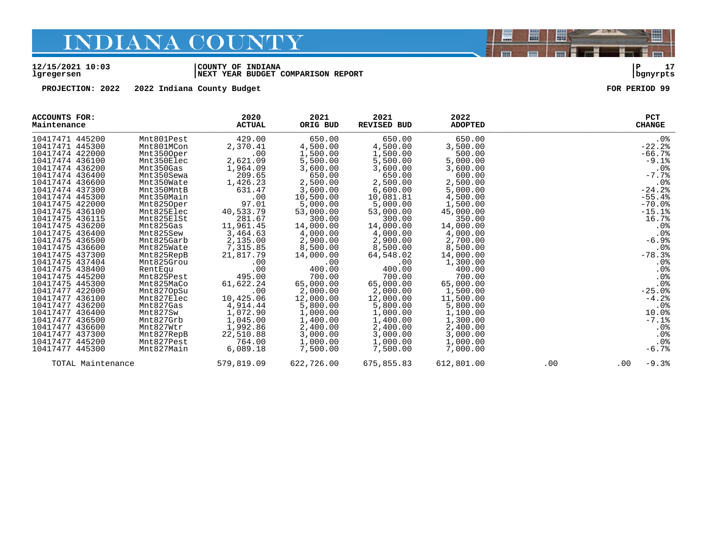#### **12/15/2021 10:03 |COUNTY OF INDIANA |P 17 lgregersen |NEXT YEAR BUDGET COMPARISON REPORT |bgnyrpts**

**PROJECTION: 2022 2022 Indiana County Budget FOR PERIOD 99**

| <b>ACCOUNTS FOR:</b><br>Maintenance |            | 2020<br><b>ACTUAL</b> | 2021<br>ORIG BUD | 2021<br><b>REVISED BUD</b> | 2022<br><b>ADOPTED</b> |     | <b>PCT</b><br><b>CHANGE</b> |
|-------------------------------------|------------|-----------------------|------------------|----------------------------|------------------------|-----|-----------------------------|
| 10417471 445200                     | Mnt801Pest | 429.00                | 650.00           | 650.00                     | 650.00                 |     | .0%                         |
| 10417471 445300                     | Mnt801MCon | 2,370.41              | 4,500.00         | 4,500.00                   | 3,500.00               |     | $-22.2$                     |
| 10417474 422000                     | Mnt3500per | .00                   | 1,500.00         | 1,500.00                   | 500.00                 |     | $-66.7%$                    |
| 10417474 436100                     | Mnt350Elec | 2,621.09              | 5,500.00         | 5,500.00                   | 5,000.00               |     | $-9.1$ $8$                  |
| 10417474 436200                     | Mnt350Gas  | 1,964.09              | 3,600.00         | 3,600.00                   | 3,600.00               |     | .0%                         |
| 10417474 436400                     | Mnt350Sewa | 209.65                | 650.00           | 650.00                     | 600.00                 |     | $-7.7%$                     |
| 10417474 436600                     | Mnt350Wate | 1,426.23              | 2,500.00         | 2,500.00                   | 2,500.00               |     | .0%                         |
| 10417474 437300                     | Mnt350MntB | 631.47                | 3,600.00         | 6,600.00                   | 5,000.00               |     | $-24.2%$                    |
| 10417474 445300                     | Mnt350Main | .00                   | 10,500.00        | 10,081.81                  | 4,500.00               |     | $-55.4%$                    |
| 10417475 422000                     | Mnt8250per | 97.01                 | 5,000.00         | 5,000.00                   | 1,500.00               |     | $-70.0%$                    |
| 10417475 436100                     | Mnt825Elec | 40,533.79             | 53,000.00        | 53,000.00                  | 45,000.00              |     | $-15.1%$                    |
| 10417475 436115                     | Mnt825ElSt | 281.67                | 300.00           | 300.00                     | 350.00                 |     | 16.7%                       |
| 10417475 436200                     | Mnt825Gas  | 11,961.45             | 14,000.00        | 14,000.00                  | 14,000.00              |     | .0%                         |
| 10417475 436400                     | Mnt825Sew  | 3,464.63              | 4,000.00         | 4,000.00                   | 4,000.00               |     | .0 <sup>8</sup>             |
| 10417475 436500                     | Mnt825Garb | 2,135.00              | 2,900.00         | 2,900.00                   | 2,700.00               |     | $-6.9%$                     |
| 10417475 436600                     | Mnt825Wate | 7,315.85              | 8,500.00         | 8,500.00                   | 8,500.00               |     | .0 <sub>8</sub>             |
| 10417475 437300                     | Mnt825RepB | 21,817.79             | 14,000.00        | 64,548.02                  | 14,000.00              |     | $-78.3%$                    |
| 10417475 437404                     | Mnt825Grou | .00                   | .00              | .00                        | 1,300.00               |     | $.0\%$                      |
| 10417475 438400                     | RentEqu    | .00                   | 400.00           | 400.00                     | 400.00                 |     | .0%                         |
| 10417475 445200                     | Mnt825Pest | 495.00                | 700.00           | 700.00                     | 700.00                 |     | .0%                         |
| 10417475 445300                     | Mnt825MaCo | 61,622.24             | 65,000.00        | 65,000.00                  | 65,000.00              |     | .0%                         |
| 10417477 422000                     | Mnt8270pSu | .00                   | 2,000.00         | 2,000.00                   | 1,500.00               |     | $-25.0%$                    |
| 10417477 436100                     | Mnt827Elec | 10,425.06             | 12,000.00        | 12,000.00                  | 11,500.00              |     | $-4.2%$                     |
| 10417477 436200                     | Mnt827Gas  | 4,914.44              | 5,800.00         | 5,800.00                   | 5,800.00               |     | .0 <sub>8</sub>             |
| 10417477 436400                     | Mnt827Sw   | 1,072.90              | 1,000.00         | 1,000.00                   | 1,100.00               |     | 10.0%                       |
| 10417477 436500                     | Mnt827Grb  | 1,045.00              | 1,400.00         | 1,400.00                   | 1,300.00               |     | $-7.1$ $8$                  |
| 10417477 436600                     | Mnt827Wtr  | 1,992.86              | 2,400.00         | 2,400.00                   | 2,400.00               |     | $.0\%$                      |
| 10417477 437300                     | Mnt827RepB | 22,510.88             | 3,000.00         | 3,000.00                   | 3,000.00               |     | $.0\%$                      |
| 10417477 445200                     | Mnt827Pest | 764.00                | 1,000.00         | 1,000.00                   | 1,000.00               |     | .0%                         |
| 10417477 445300                     | Mnt827Main | 6,089.18              | 7,500.00         | 7,500.00                   | 7,000.00               |     | $-6.7%$                     |
| TOTAL Maintenance                   |            | 579,819.09            | 622,726.00       | 675,855.83                 | 612,801.00             | .00 | $-9.3%$<br>.00              |

闇

圌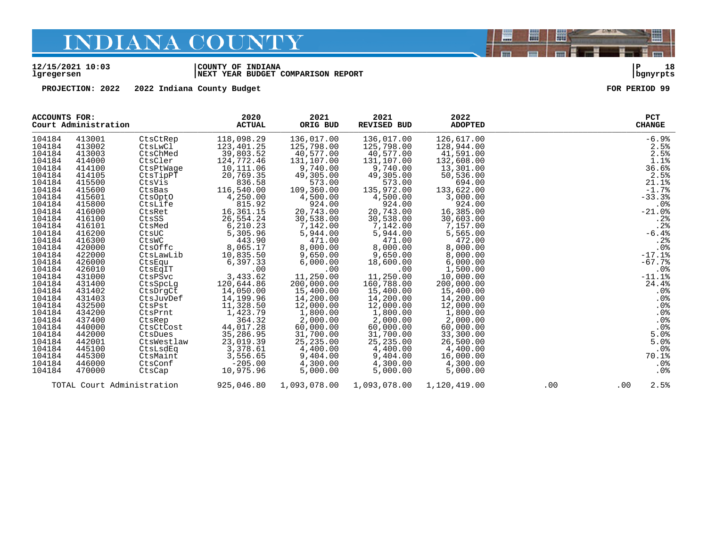#### **12/15/2021 10:03 |COUNTY OF INDIANA |P 18 lgregersen |NEXT YEAR BUDGET COMPARISON REPORT |bgnyrpts**

**PROJECTION: 2022 2022 Indiana County Budget FOR PERIOD 99**

| ACCOUNTS FOR:                                                                                                                                                                                                                                                                        |                                                                                                                                                                                                                                                                                      |                                                                                                                                                                                                                                                                                                                  | 2020                                                                                                                                                                                                                                                                                                                                                    | 2021                                                                                                                                                                                                                                                                                                                                                  | 2021                                                                                                                                                                                                                                                                                                                                                   | 2022                                                                                                                                                                                                                                                                                                                                                        |     | <b>PCT</b>                                                                                                                                                                                                                                          |
|--------------------------------------------------------------------------------------------------------------------------------------------------------------------------------------------------------------------------------------------------------------------------------------|--------------------------------------------------------------------------------------------------------------------------------------------------------------------------------------------------------------------------------------------------------------------------------------|------------------------------------------------------------------------------------------------------------------------------------------------------------------------------------------------------------------------------------------------------------------------------------------------------------------|---------------------------------------------------------------------------------------------------------------------------------------------------------------------------------------------------------------------------------------------------------------------------------------------------------------------------------------------------------|-------------------------------------------------------------------------------------------------------------------------------------------------------------------------------------------------------------------------------------------------------------------------------------------------------------------------------------------------------|--------------------------------------------------------------------------------------------------------------------------------------------------------------------------------------------------------------------------------------------------------------------------------------------------------------------------------------------------------|-------------------------------------------------------------------------------------------------------------------------------------------------------------------------------------------------------------------------------------------------------------------------------------------------------------------------------------------------------------|-----|-----------------------------------------------------------------------------------------------------------------------------------------------------------------------------------------------------------------------------------------------------|
| Court Administration                                                                                                                                                                                                                                                                 |                                                                                                                                                                                                                                                                                      |                                                                                                                                                                                                                                                                                                                  | <b>ACTUAL</b>                                                                                                                                                                                                                                                                                                                                           | ORIG BUD                                                                                                                                                                                                                                                                                                                                              | <b>REVISED BUD</b>                                                                                                                                                                                                                                                                                                                                     | <b>ADOPTED</b>                                                                                                                                                                                                                                                                                                                                              |     | <b>CHANGE</b>                                                                                                                                                                                                                                       |
| 104184<br>104184<br>104184<br>104184<br>104184<br>104184<br>104184<br>104184<br>104184<br>104184<br>104184<br>104184<br>104184<br>104184<br>104184<br>104184<br>104184<br>104184<br>104184<br>104184<br>104184<br>104184<br>104184<br>104184<br>104184<br>104184<br>104184<br>104184 | 413001<br>413002<br>413003<br>414000<br>414100<br>414105<br>415500<br>415600<br>415601<br>415800<br>416000<br>416100<br>416101<br>416200<br>416300<br>420000<br>422000<br>426000<br>426010<br>431000<br>431400<br>431402<br>431403<br>432500<br>434200<br>437400<br>440000<br>442000 | CtsCtRep<br>CtsLwCl<br>CtsChMed<br>CtsCler<br>CtsPtWage<br>CtsTipPT<br>CtsVis<br>CtsBas<br>CtsOptO<br>CtsLife<br>CtsRet<br>CtsSS<br>CtsMed<br>CtsUC<br>CtsWC<br>CtsOffc<br>CtsLawLib<br>CtsEqu<br>CtsEqIT<br>CtsPSvc<br>CtsSpcLq<br>CtsDrqCt<br>CtsJuvDef<br>CtsPst<br>CtsPrnt<br>CtsRep<br>CtsCtCost<br>CtsDues | 118,098.29<br>123, 401.25<br>39,803.52<br>124,772.46<br>10,111.06<br>20,769.35<br>836.58<br>116,540.00<br>4,250.00<br>815.92<br>16,361.15<br>26,554.24<br>6,210.23<br>5,305.96<br>443.90<br>8,065.17<br>10,835.50<br>6,397.33<br>.00<br>3,433.62<br>120,644.86<br>14,050.00<br>14, 199.96<br>11, 328.50<br>1,423.79<br>364.32<br>44,017.28<br>35,286.95 | 136,017.00<br>125,798.00<br>40,577.00<br>131,107.00<br>9,740.00<br>49,305.00<br>573.00<br>109,360.00<br>4,500.00<br>924.00<br>20,743.00<br>30,538.00<br>7,142.00<br>5,944.00<br>471.00<br>8,000.00<br>9,650.00<br>6,000.00<br>.00<br>11,250.00<br>200,000.00<br>15,400.00<br>14,200.00<br>12,000.00<br>1,800.00<br>2,000.00<br>60,000.00<br>31,700.00 | 136,017.00<br>125,798.00<br>40,577.00<br>131,107.00<br>9,740.00<br>49,305.00<br>573.00<br>135,972.00<br>4,500.00<br>924.00<br>20,743.00<br>30,538.00<br>7,142.00<br>5,944.00<br>471.00<br>8,000.00<br>9,650.00<br>18,600.00<br>.00<br>11,250.00<br>160,788.00<br>15,400.00<br>14,200.00<br>12,000.00<br>1,800.00<br>2,000.00<br>60,000.00<br>31,700.00 | 126,617.00<br>128,944.00<br>41,591.00<br>132,608.00<br>13,301.00<br>50,536.00<br>694.00<br>133,622.00<br>3,000.00<br>924.00<br>16,385.00<br>30,603.00<br>7,157.00<br>5,565.00<br>472.00<br>8,000.00<br>8,000.00<br>6,000.00<br>1,500.00<br>10,000.00<br>200,000.00<br>15,400.00<br>14,200.00<br>12,000.00<br>1,800.00<br>2,000.00<br>60,000.00<br>33,300.00 |     | $-6.9%$<br>2.5%<br>2.5%<br>1.1%<br>36.6%<br>2.5%<br>21.1%<br>$-1.7%$<br>$-33.3%$<br>.0%<br>$-21.0%$<br>.2%<br>.2%<br>$-6.4%$<br>.2%<br>.0%<br>$-17.1%$<br>$-67.7%$<br>.0%<br>$-11.1%$<br>24.4%<br>$.0\%$<br>.0%<br>.0%<br>.0%<br>.0%<br>.0%<br>5.0% |
| 104184                                                                                                                                                                                                                                                                               | 442001                                                                                                                                                                                                                                                                               | CtsWestlaw                                                                                                                                                                                                                                                                                                       | 23,019.39                                                                                                                                                                                                                                                                                                                                               | 25,235.00                                                                                                                                                                                                                                                                                                                                             | 25,235.00                                                                                                                                                                                                                                                                                                                                              | 26,500.00                                                                                                                                                                                                                                                                                                                                                   |     | 5.0%                                                                                                                                                                                                                                                |
| 104184                                                                                                                                                                                                                                                                               | 445100                                                                                                                                                                                                                                                                               | CtsLsdEq                                                                                                                                                                                                                                                                                                         | 3,378.61                                                                                                                                                                                                                                                                                                                                                | 4,400.00                                                                                                                                                                                                                                                                                                                                              | 4.400.00                                                                                                                                                                                                                                                                                                                                               | 4,400.00                                                                                                                                                                                                                                                                                                                                                    |     | .0%                                                                                                                                                                                                                                                 |
| 104184                                                                                                                                                                                                                                                                               | 445300                                                                                                                                                                                                                                                                               | CtsMaint                                                                                                                                                                                                                                                                                                         | 3,556.65                                                                                                                                                                                                                                                                                                                                                | 9,404.00                                                                                                                                                                                                                                                                                                                                              | 9,404.00                                                                                                                                                                                                                                                                                                                                               | 16,000.00                                                                                                                                                                                                                                                                                                                                                   |     | 70.1%                                                                                                                                                                                                                                               |
| 104184                                                                                                                                                                                                                                                                               | 446000                                                                                                                                                                                                                                                                               | CtsConf                                                                                                                                                                                                                                                                                                          | $-205.00$                                                                                                                                                                                                                                                                                                                                               | 4,300.00                                                                                                                                                                                                                                                                                                                                              | 4,300.00                                                                                                                                                                                                                                                                                                                                               | 4,300.00                                                                                                                                                                                                                                                                                                                                                    |     | $.0\%$                                                                                                                                                                                                                                              |
| 104184                                                                                                                                                                                                                                                                               | 470000                                                                                                                                                                                                                                                                               | CtsCap                                                                                                                                                                                                                                                                                                           | 10,975.96                                                                                                                                                                                                                                                                                                                                               | 5.000.00                                                                                                                                                                                                                                                                                                                                              | 5,000.00                                                                                                                                                                                                                                                                                                                                               | 5,000.00                                                                                                                                                                                                                                                                                                                                                    |     | .0 <sup>8</sup>                                                                                                                                                                                                                                     |
|                                                                                                                                                                                                                                                                                      |                                                                                                                                                                                                                                                                                      | TOTAL Court Administration                                                                                                                                                                                                                                                                                       | 925,046.80                                                                                                                                                                                                                                                                                                                                              |                                                                                                                                                                                                                                                                                                                                                       |                                                                                                                                                                                                                                                                                                                                                        | 1,120,419.00                                                                                                                                                                                                                                                                                                                                                | .00 | 2.5%<br>$.00 \,$                                                                                                                                                                                                                                    |

闇

圌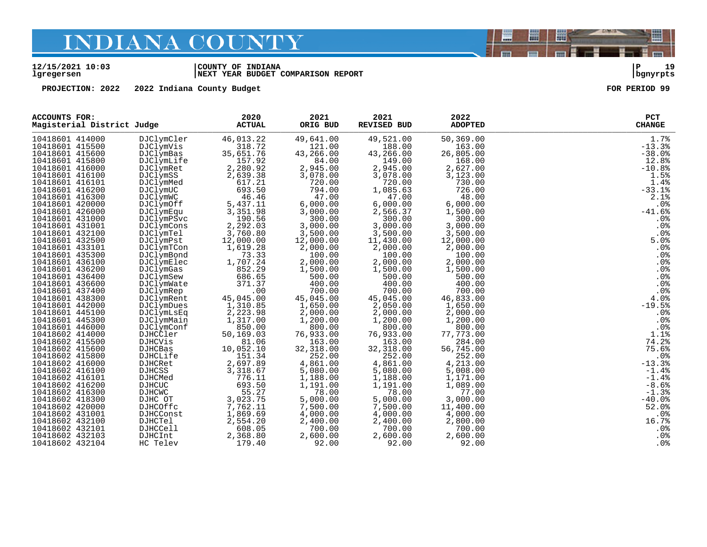#### **12/15/2021 10:03 |COUNTY OF INDIANA |P 19 lgregersen |NEXT YEAR BUDGET COMPARISON REPORT |bgnyrpts**

**PROJECTION: 2022 2022 Indiana County Budget FOR PERIOD 99**

| <b>ACCOUNTS FOR:</b><br>Magisterial District Judge |                | 2020<br><b>ACTUAL</b> | 2021<br>ORIG BUD | 2021<br>REVISED BUD | 2022<br><b>ADOPTED</b> | PCT<br><b>CHANGE</b> |
|----------------------------------------------------|----------------|-----------------------|------------------|---------------------|------------------------|----------------------|
| 10418601 414000                                    | DJClymCler     | 46,013.22             | 49,641.00        | 49,521.00           | 50,369.00              | 1.7%                 |
| 10418601 415500                                    | DJClymVis      | 318.72                | 121.00           | 188.00              | 163.00                 | $-13.3%$             |
| 10418601 415600                                    | DJClymBas      | 35,651.76             | 43,266.00        | 43,266.00           | 26,805.00              | $-38.0%$             |
| 10418601 415800                                    | DJClymLife     | 157.92                | 84.00            | 149.00              | 168.00                 | 12.8%                |
| 10418601 416000                                    | DJClymRet      | 2,280.92              | 2,945.00         | 2,945.00            | 2,627.00               | $-10.8%$             |
| 10418601 416100                                    | DJClymSS       | 2,639.38              | 3,078.00         | 3,078.00            | 3,123.00               | 1.5%                 |
| 10418601 416101                                    | DJClymMed      | 617.21                | 720.00           | 720.00              | 730.00                 | 1.4%                 |
| 10418601 416200                                    | DJClymUC       | 693.50                | 794.00           | 1,085.63            | 726.00                 | $-33.1%$             |
| 10418601 416300                                    | DJClymWC       | 46.46                 | 47.00            | 47.00               | 48.00                  | 2.1%                 |
| 10418601 420000                                    | DJClymOff      | 5,437.11              | 6,000.00         | 6,000.00            | 6,000.00               | .0%                  |
| 10418601 426000                                    | DJClymEqu      | 3,351.98              | 3,000.00         | 2,566.37            | 1,500.00               | $-41.6%$             |
| 10418601 431000                                    | DJClymPSvc     | 190.56                | 300.00           | 300.00              | 300.00                 | .0%                  |
| 10418601 431001                                    | DJClymCons     | 2,292.03              | 3,000.00         | 3,000.00            | 3,000.00               | .0%                  |
| 10418601 432100                                    | DJClymTel      | 3,760.80              | 3,500.00         | 3,500.00            | 3,500.00               | .0 <sub>8</sub>      |
| 10418601 432500                                    | DJClymPst      | 12,000.00             | 12,000.00        | 11,430.00           | 12,000.00              | 5.0%                 |
| 10418601 433101                                    | DJClymTCon     | 1,619.28              | 2,000.00         | 2,000.00            | 2,000.00               | .0%                  |
| 10418601 435300                                    | DJClymBond     | 73.33                 | 100.00           | 100.00              | 100.00                 | .0%                  |
| 10418601 436100                                    | DJClymElec     | 1,707.24              | 2,000.00         | 2,000.00            | 2,000.00               | .0%                  |
| 10418601 436200                                    | DJClymGas      | 852.29                | 1,500.00         | 1,500.00            | 1,500.00               | $.0\%$               |
| 10418601 436400                                    | DJClymSew      | 686.65                | 500.00           | 500.00              | 500.00                 | .0%                  |
| 10418601 436600                                    | DJClymWate     | 371.37                | 400.00           | 400.00              | 400.00                 | .0%                  |
| 10418601 437400                                    | DJClymRep      | .00                   | 700.00           | 700.00              | 700.00                 | .0%                  |
| 10418601 438300                                    | DJClymRent     | 45,045.00             | 45,045.00        | 45,045.00           | 46,833.00              | 4.0%                 |
| 10418601 442000                                    | DJClymDues     | 1,310.85              | 1,650.00         | 2,050.00            | 1,650.00               | $-19.5%$             |
| 10418601 445100                                    | DJClymLsEq     | 2,223.98              | 2,000.00         | 2,000.00            | 2,000.00               | .0%                  |
| 10418601 445300                                    | DJClymMain     | 1,317.00              | 1,200.00         | 1,200.00            | 1,200.00               | .0%                  |
| 10418601 446000                                    | DJClymConf     | 850.00                | 800.00           | 800.00              | 800.00                 | .0%                  |
| 10418602 414000                                    | DJHCCler       | 50,169.03             | 76,933.00        | 76,933.00           | 77,773.00              | 1.1%                 |
| 10418602 415500                                    | <b>DJHCVis</b> | 81.06                 | 163.00           | 163.00              | 284.00                 | 74.2%                |
| 10418602 415600                                    | DJHCBas        | 10,052.10             | 32,318.00        | 32, 318.00          | 56,745.00              | 75.6%                |
| 10418602 415800                                    | DJHCLife       | 151.34                | 252.00           | 252.00              | 252.00                 | .0%                  |
| 10418602 416000                                    | DJHCRet        | 2,697.89              | 4,861.00         | 4,861.00            | 4,213.00               | $-13.3%$             |
| 10418602 416100                                    | <b>DJHCSS</b>  | 3,318.67              | 5,080.00         | 5,080.00            | 5,008.00               | $-1.4%$              |
| 10418602 416101                                    | <b>DJHCMed</b> | 776.11                | 1,188.00         | 1,188.00            | 1,171.00               | $-1.4%$              |
| 10418602 416200                                    | <b>DJHCUC</b>  | 693.50                | 1,191.00         | 1,191.00            | 1,089.00               | $-8.6%$              |
| 10418602 416300                                    | DJHCWC         | 55.27                 | 78.00            | 78.00               | 77.00                  | $-1.3%$              |
| 10418602 418300                                    | DJHC OT        | 3,023.75              | 5,000.00         | 5,000.00            | 3,000.00               | $-40.0%$             |
| 10418602 420000                                    | DJHCOffc       | 7,762.11              | 7,500.00         | 7,500.00            | 11,400.00              | 52.0%                |
| 10418602 431001                                    | DJHCConst      | 1,869.69              | 4,000.00         | 4,000.00            | 4,000.00               | .0%                  |
| 10418602 432100                                    | <b>DJHCTel</b> | 2,554.20              | 2,400.00         | 2,400.00            | 2,800.00               | 16.7%                |
| 10418602 432101                                    | DJHCCell       | 608.05                | 700.00           | 700.00              | 700.00                 | .0%                  |
| 10418602 432103                                    | DJHCInt        | 2,368.80              | 2,600.00         | 2,600.00            | 2,600.00               | .0%                  |
| 10418602 432104                                    | HC Telev       | 179.40                | 92.00            | 92.00               | 92.00                  | .0%                  |



闇

圌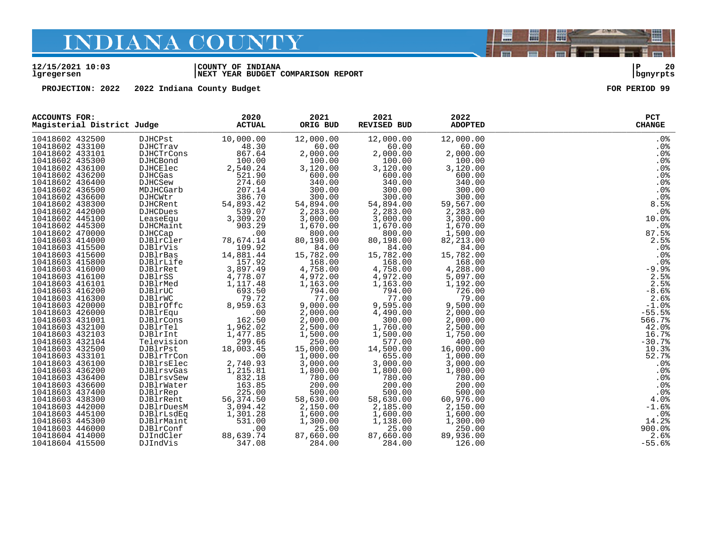#### **12/15/2021 10:03 |COUNTY OF INDIANA |P 20 lgregersen |NEXT YEAR BUDGET COMPARISON REPORT |bgnyrpts**

**PROJECTION: 2022 2022 Indiana County Budget FOR PERIOD 99**

| <b>ACCOUNTS FOR:</b><br>Magisterial District Judge |                 | 2020<br><b>ACTUAL</b> | 2021<br>ORIG BUD | 2021<br><b>REVISED BUD</b> | 2022<br><b>ADOPTED</b> | PCT<br><b>CHANGE</b> |
|----------------------------------------------------|-----------------|-----------------------|------------------|----------------------------|------------------------|----------------------|
| 10418602 432500                                    | DJHCPst         | 10,000.00             | 12,000.00        | 12,000.00                  | 12,000.00              | $.0\%$               |
| 10418602 433100                                    | <b>DJHCTrav</b> | 48.30                 | 60.00            | 60.00                      | 60.00                  | .0%                  |
| 10418602 433101                                    | DJHCTrCons      | 867.64                | 2,000.00         | 2,000.00                   | 2,000.00               | .0%                  |
| 10418602 435300                                    | <b>DJHCBond</b> | 100.00                | 100.00           | 100.00                     | 100.00                 | .0%                  |
| 10418602 436100                                    | DJHCElec        | 2,540.24              | 3,120.00         | 3,120.00                   | 3,120.00               | .0%                  |
| 10418602 436200                                    | DJHCGas         | 521.90                | 600.00           | 600.00                     | 600.00                 | $.0\%$               |
| 10418602 436400                                    | <b>DJHCSew</b>  | 274.60                | 340.00           | 340.00                     | 340.00                 | .0%                  |
| 10418602 436500                                    | MDJHCGarb       | 207.14                | 300.00           | 300.00                     | 300.00                 | .0%                  |
| 10418602 436600                                    | DJHCWtr         | 386.70                | 300.00           | 300.00                     | 300.00                 | .0 <sub>8</sub>      |
| 10418602 438300                                    | DJHCRent        | 54,893.42             | 54,894.00        | 54,894.00                  | 59,567.00              | 8.5%                 |
| 10418602 442000                                    | DJHCDues        | 539.07                | 2,283.00         | 2,283.00                   | 2,283.00               | .0%                  |
| 10418602 445100                                    | LeaseEqu        | 3,309.20              | 3,000.00         | 3,000.00                   | 3,300.00               | 10.0%                |
| 10418602 445300                                    | DJHCMaint       | 903.29                | 1,670.00         | 1,670.00                   | 1,670.00               | .0%                  |
| 10418602 470000                                    | DJHCCap         | .00                   | 800.00           | 800.00                     | 1,500.00               | 87.5%                |
| 10418603 414000                                    | DJBlrCler       | 78,674.14             | 80,198.00        | 80,198.00                  | 82, 213.00             | 2.5%                 |
| 10418603 415500                                    | DJBlrVis        | 109.92                | 84.00            | 84.00                      | 84.00                  | .0%                  |
| 10418603 415600                                    | DJBlrBas        | 14,881.44             | 15,782.00        | 15,782.00                  | 15,782.00              | .0 <sub>8</sub>      |
| 10418603 415800                                    | DJBlrLife       | 157.92                | 168.00           | 168.00                     | 168.00                 | .0%                  |
| 10418603 416000                                    | DJBlrRet        | 3,897.49              | 4,758.00         | 4,758.00                   | 4,288.00               | $-9.9$               |
| 10418603 416100                                    | DJBlrSS         | 4,778.07              | 4,972.00         | 4,972.00                   | 5,097.00               | 2.5%                 |
| 10418603 416101                                    | DJBlrMed        | 1,117.48              | 1,163.00         | 1,163.00                   | 1,192.00               | 2.5%                 |
| 10418603 416200                                    | DJBlrUC         | 693.50                | 794.00           | 794.00                     | 726.00                 | $-8.6%$              |
| 10418603 416300                                    | DJBlrWC         | 79.72                 | 77.00            | 77.00                      | 79.00                  | 2.6%                 |
| 10418603 420000                                    | DJBlrOffc       | 8,959.63              | 9,000.00         | 9,595.00                   | 9,500.00               | $-1.0%$              |
| 10418603 426000                                    | DJBlrEqu        | .00                   | 2,000.00         | 4,490.00                   | 2,000.00               | $-55.5%$             |
| 10418603 431001                                    | DJBlrCons       | 162.50                | 2,000.00         | 300.00                     | 2,000.00               | 566.7%               |
| 10418603 432100                                    | DJBlrTel        | 1,962.02              | 2,500.00         | 1,760.00                   | 2,500.00               | 42.0%                |
| 10418603 432103                                    | DJBlrInt        | 1,477.85              | 1,500.00         | 1,500.00                   | 1,750.00               | 16.7%                |
| 10418603 432104                                    | Television      | 299.66                | 250.00           | 577.00                     | 400.00                 | $-30.7%$             |
| 10418603 432500                                    | DJBlrPst        | 18,003.45             | 15,000.00        | 14,500.00                  | 16,000.00              | 10.3%                |
| 10418603 433101                                    | DJBlrTrCon      | .00                   | 1,000.00         | 655.00                     | 1,000.00               | 52.7%                |
| 10418603 436100                                    | DJBlrsElec      | 2,740.93              | 3,000.00         | 3,000.00                   | 3,000.00               | .0%                  |
| 10418603 436200                                    | DJBlrsvGas      | 1,215.81              | 1,800.00         | 1,800.00                   | 1,800.00               | .0%                  |
| 10418603 436400                                    | DJBlrsvSew      | 832.18                | 780.00           | 780.00                     | 780.00                 | .0%                  |
| 10418603 436600                                    | DJBlrWater      | 163.85                | 200.00           | 200.00                     | 200.00                 | .0%                  |
| 10418603 437400                                    | DJBlrRep        | 225.00                | 500.00           | 500.00                     | 500.00                 | .0%                  |
| 10418603 438300                                    | DJBlrRent       | 56, 374.50            | 58,630.00        | 58,630.00                  | 60,976.00              | 4.0%                 |
| 10418603 442000                                    | DJBlrDuesM      | 3,094.42              | 2,150.00         | 2,185.00                   | 2,150.00               | $-1.6%$              |
| 10418603 445100                                    | DJBlrLsdEq      | 1,301.28              | 1,600.00         | 1,600.00                   | 1,600.00               | .0%                  |
| 10418603 445300                                    | DJBlrMaint      | 531.00                | 1,300.00         | 1,138.00                   | 1,300.00               | 14.2%                |
| 10418603 446000                                    | DJBlrConf       | .00                   | 25.00            | 25.00                      | 250.00                 | 900.0%               |
| 10418604 414000                                    | DJIndCler       | 88,639.74             | 87,660.00        | 87,660.00                  | 89,936.00              | 2.6%                 |
| 10418604 415500                                    | DJIndVis        | 347.08                | 284.00           | 284.00                     | 126.00                 | $-55.6%$             |

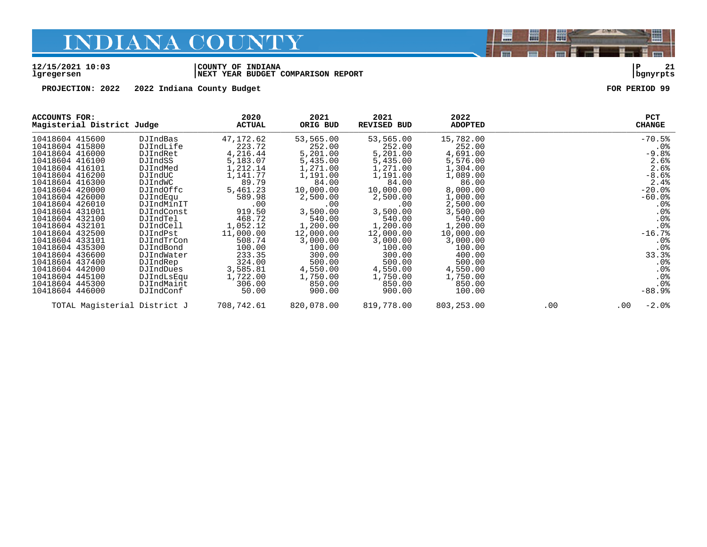#### **12/15/2021 10:03 |COUNTY OF INDIANA |P 21 lgregersen |NEXT YEAR BUDGET COMPARISON REPORT |bgnyrpts**

**PROJECTION: 2022 2022 Indiana County Budget FOR PERIOD 99**

| ACCOUNTS FOR:<br>Magisterial District Judge |            | 2020<br><b>ACTUAL</b> | 2021<br>ORIG BUD | 2021<br><b>REVISED BUD</b> | 2022<br><b>ADOPTED</b> |     | <b>PCT</b><br><b>CHANGE</b> |
|---------------------------------------------|------------|-----------------------|------------------|----------------------------|------------------------|-----|-----------------------------|
| 10418604 415600                             | DJIndBas   | 47,172.62             | 53,565.00        | 53,565.00                  | 15,782.00              |     | $-70.5%$                    |
| 10418604 415800                             | DJIndLife  | 223.72                | 252.00           | 252.00                     | 252.00                 |     | $.0\%$                      |
| 10418604 416000                             | DJIndRet   | 4,216.44              | 5,201.00         | 5,201.00                   | 4,691.00               |     | $-9.8%$                     |
| 10418604 416100                             | DJIndSS    | 5,183.07              | 5,435.00         | 5,435.00                   | 5,576.00               |     | 2.6%                        |
| 10418604 416101                             | DJIndMed   | 1,212.14              | 1,271.00         | 1,271.00                   | 1,304.00               |     | 2.6%                        |
| 10418604 416200                             | DJIndUC    | 1,141.77              | 1,191.00         | 1,191.00                   | 1,089.00               |     | $-8.6%$                     |
| 10418604 416300                             | DJIndWC    | 89.79                 | 84.00            | 84.00                      | 86.00                  |     | 2.4%                        |
| 10418604 420000                             | DJIndOffc  | 5,461.23              | 10,000.00        | 10,000.00                  | 8,000.00               |     | $-20.0%$                    |
| 10418604 426000                             | DJIndEqu   | 589.98                | 2,500.00         | 2,500.00                   | 1,000.00               |     | $-60.0%$                    |
| 10418604 426010                             | DJIndMinIT | .00                   | .00              | .00                        | 2,500.00               |     | $.0\%$                      |
| 10418604 431001                             | DJIndConst | 919.50                | 3,500.00         | 3,500.00                   | 3,500.00               |     | .0%                         |
| 10418604 432100                             | DJIndTel   | 468.72                | 540.00           | 540.00                     | 540.00                 |     | .0%                         |
| 10418604 432101                             | DJIndCell  | 1,052.12              | 1,200.00         | 1,200.00                   | 1,200.00               |     | .0 <sub>8</sub>             |
| 10418604 432500                             | DJIndPst   | 11,000.00             | 12,000.00        | 12,000.00                  | 10,000.00              |     | $-16.7%$                    |
| 10418604 433101                             | DJIndTrCon | 508.74                | 3,000.00         | 3,000.00                   | 3,000.00               |     | $.0\%$                      |
| 10418604 435300                             | DJIndBond  | 100.00                | 100.00           | 100.00                     | 100.00                 |     | .0%                         |
| 10418604 436600                             | DJIndWater | 233.35                | 300.00           | 300.00                     | 400.00                 |     | 33.3%                       |
| 10418604 437400                             | DJIndRep   | 324.00                | 500.00           | 500.00                     | 500.00                 |     | $.0\%$                      |
| 10418604 442000                             | DJIndDues  | 3,585.81              | 4,550.00         | 4,550.00                   | 4,550.00               |     | .0%                         |
| 10418604 445100                             | DJIndLsEqu | 1,722.00              | 1,750.00         | 1,750.00                   | 1,750.00               |     | .0%                         |
| 10418604 445300                             | DJIndMaint | 306.00                | 850.00           | 850.00                     | 850.00                 |     | .0%                         |
| 10418604 446000                             | DJIndConf  | 50.00                 | 900.00           | 900.00                     | 100.00                 |     | $-88.9%$                    |
| TOTAL Magisterial District J                |            | 708,742.61            | 820,078.00       | 819,778.00                 | 803,253.00             | .00 | $-2.0$ %<br>$.00 \,$        |

闇

圌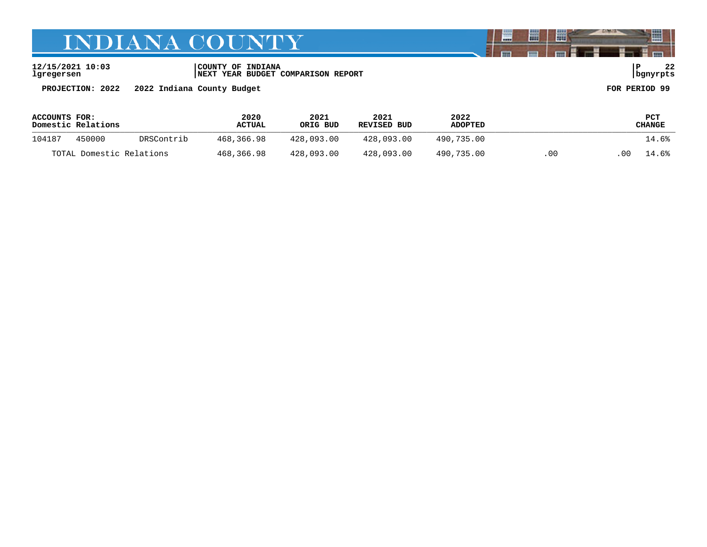**12/15/2021 10:03 |COUNTY OF INDIANA |P 22 lgregersen |NEXT YEAR BUDGET COMPARISON REPORT |bgnyrpts**

**PROJECTION: 2022 2022 Indiana County Budget FOR PERIOD 99**

| ACCOUNTS FOR: | Domestic Relations       |            | 2020<br><b>ACTUAL</b> | 2021<br>ORIG BUD | 2021<br>REVISED BUD | 2022<br><b>ADOPTED</b> |     |    | PCT<br>CHANGE |
|---------------|--------------------------|------------|-----------------------|------------------|---------------------|------------------------|-----|----|---------------|
| 104187        | 450000                   | DRSContrib | 468,366.98            | 428,093.00       | 428,093.00          | 490.735.00             |     |    | 14.6%         |
|               | TOTAL Domestic Relations |            | 468,366.98            | 428,093.00       | 428,093.00          | 490,735.00             | .00 | 00 | 14.6%         |

闇

圌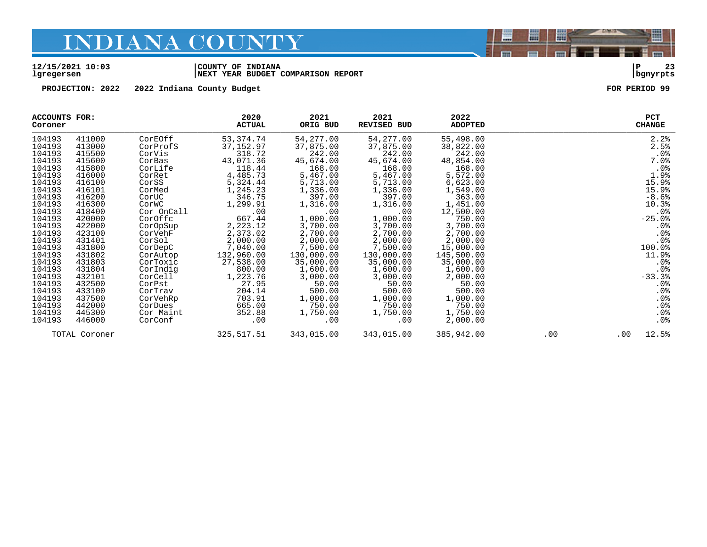#### **12/15/2021 10:03 |COUNTY OF INDIANA |P 23 lgregersen |NEXT YEAR BUDGET COMPARISON REPORT |bgnyrpts**

**PROJECTION: 2022 2022 Indiana County Budget FOR PERIOD 99**

| <b>ACCOUNTS FOR:</b><br>Coroner |               |            | 2020<br><b>ACTUAL</b> | 2021<br>ORIG BUD | 2021<br>REVISED BUD | 2022<br><b>ADOPTED</b> |     | PCT<br><b>CHANGE</b> |
|---------------------------------|---------------|------------|-----------------------|------------------|---------------------|------------------------|-----|----------------------|
| 104193                          | 411000        | CorEOff    | 53,374.74             | 54,277.00        | 54,277.00           | 55,498.00              |     | 2.2%                 |
| 104193                          | 413000        | CorProfS   | 37, 152.97            | 37,875.00        | 37,875.00           | 38,822.00              |     | 2.5%                 |
| 104193                          | 415500        | CorVis     | 318.72                | 242.00           | 242.00              | 242.00                 |     | .0%                  |
| 104193                          | 415600        | CorBas     | 43,071.36             | 45,674.00        | 45,674.00           | 48,854.00              |     | 7.0%                 |
| 104193                          | 415800        | CorLife    | 118.44                | 168.00           | 168.00              | 168.00                 |     | .0%                  |
| 104193                          | 416000        | CorRet     | 4,485.73              | 5,467.00         | 5,467.00            | 5,572.00               |     | 1.9%                 |
| 104193                          | 416100        | CorSS      | 5,324.44              | 5,713.00         | 5,713.00            | 6,623.00               |     | 15.9%                |
| 104193                          | 416101        | CorMed     | 1,245.23              | 1,336.00         | 1,336.00            | 1,549.00               |     | 15.9%                |
| 104193                          | 416200        | CorUC      | 346.75                | 397.00           | 397.00              | 363.00                 |     | $-8.6%$              |
| 104193                          | 416300        | CorWC      | 1,299.91              | 1,316.00         | 1,316.00            | 1,451.00               |     | 10.3%                |
| 104193                          | 418400        | Cor OnCall | .00                   | .00              | .00                 | 12,500.00              |     | $.0\%$               |
| 104193                          | 420000        | CorOffc    | 667.44                | 1,000.00         | 1,000.00            | 750.00                 |     | $-25.0%$             |
| 104193                          | 422000        | CorOpSup   | 2,223.12              | 3,700.00         | 3,700.00            | 3,700.00               |     | $.0\%$               |
| 104193                          | 423100        | CorVehF    | 2,373.02              | 2,700.00         | 2,700.00            | 2,700.00               |     | .0%                  |
| 104193                          | 431401        | CorSol     | 2,000.00              | 2,000.00         | 2,000.00            | 2,000.00               |     | .0%                  |
| 104193                          | 431800        | CorDepC    | 7,040.00              | 7,500.00         | 7,500.00            | 15,000.00              |     | 100.0%               |
| 104193                          | 431802        | CorAutop   | 132,960.00            | 130,000.00       | 130,000.00          | 145,500.00             |     | 11.9%                |
| 104193                          | 431803        | CorToxic   | 27,538.00             | 35,000.00        | 35,000.00           | 35,000.00              |     | $.0\%$               |
| 104193                          | 431804        | CorIndig   | 800.00                | 1,600.00         | 1,600.00            | 1,600.00               |     | $.0\%$               |
| 104193                          | 432101        | CorCell    | 1,223.76              | 3,000.00         | 3,000.00            | 2,000.00               |     | $-33.3%$             |
| 104193                          | 432500        | CorPst     | 27.95                 | 50.00            | 50.00               | 50.00                  |     | $.0\%$               |
| 104193                          | 433100        | CorTrav    | 204.14                | 500.00           | 500.00              | 500.00                 |     | .0%                  |
| 104193                          | 437500        | CorVehRp   | 703.91                | 1,000.00         | 1,000.00            | 1,000.00               |     | .0%                  |
| 104193                          | 442000        | CorDues    | 665.00                | 750.00           | 750.00              | 750.00                 |     | .0%                  |
| 104193                          | 445300        | Cor Maint  | 352.88                | 1,750.00         | 1,750.00            | 1,750.00               |     | $.0\%$               |
| 104193                          | 446000        | CorConf    | .00                   | .00              | .00                 | 2,000.00               |     | $.0\%$               |
|                                 | TOTAL Coroner |            | 325, 517.51           | 343,015.00       | 343,015.00          | 385,942.00             | .00 | 12.5%<br>$.00 \,$    |

闇

圌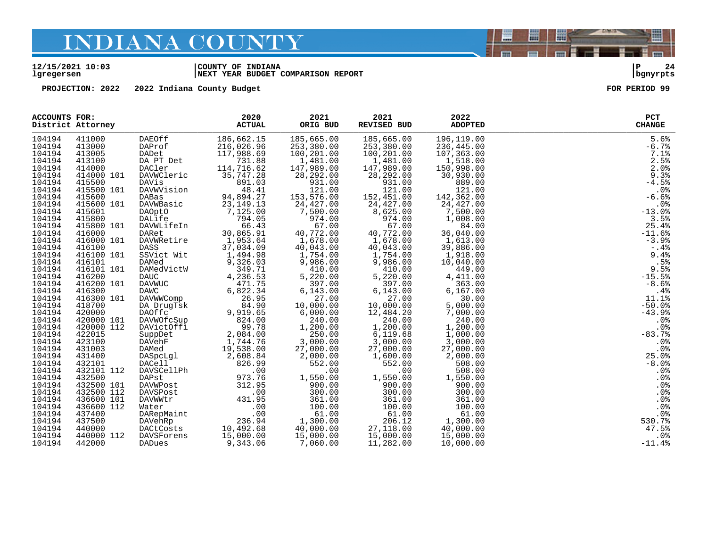#### **12/15/2021 10:03 |COUNTY OF INDIANA |P 24 lgregersen |NEXT YEAR BUDGET COMPARISON REPORT |bgnyrpts**

**PROJECTION: 2022 2022 Indiana County Budget FOR PERIOD 99**

|        |            | ACCOUNTS FOR:<br>District Attorney | 2020<br><b>ACTUAL</b>                                                                                                                                                                                                                                      | 2021<br>ORIG BUD                                                                                                                    | 2021<br>REVISED BUD                                                                                                                                                                                                                                                                | 2022<br><b>ADOPTED</b>                                                     | PCT<br><b>CHANGE</b> |
|--------|------------|------------------------------------|------------------------------------------------------------------------------------------------------------------------------------------------------------------------------------------------------------------------------------------------------------|-------------------------------------------------------------------------------------------------------------------------------------|------------------------------------------------------------------------------------------------------------------------------------------------------------------------------------------------------------------------------------------------------------------------------------|----------------------------------------------------------------------------|----------------------|
| 104194 | 411000     | DAEOff                             | 186,662.15                                                                                                                                                                                                                                                 | 185,665.00                                                                                                                          | 185,665.00                                                                                                                                                                                                                                                                         | 196,119.00<br>236,445.00                                                   | 5.6%                 |
| 104194 | 413000     | DAProf                             | 216,026.96                                                                                                                                                                                                                                                 | 253,380.00                                                                                                                          | 253,380.00                                                                                                                                                                                                                                                                         |                                                                            | $-6.7%$              |
| 104194 | 413005     | DADet                              | 117,988.69                                                                                                                                                                                                                                                 | 100,201.00                                                                                                                          | 100,201.00                                                                                                                                                                                                                                                                         | 107,363.00                                                                 | 7.1%                 |
| 104194 | 413100     |                                    |                                                                                                                                                                                                                                                            | 1,481.00                                                                                                                            |                                                                                                                                                                                                                                                                                    | 1,518.00                                                                   | 2.5%                 |
| 104194 | 414000     |                                    | DA PT Det 731.88<br>DACler 114,716.62                                                                                                                                                                                                                      | 147,989.00                                                                                                                          | $1,481.00$<br>$147,989.00$                                                                                                                                                                                                                                                         | ںں.150,998.00<br>150,998.00                                                | 2.0%                 |
| 104194 | 414000 101 | DAVWCleric 35,747.28               |                                                                                                                                                                                                                                                            |                                                                                                                                     |                                                                                                                                                                                                                                                                                    | 30,930.00                                                                  | 9.3%                 |
| 104194 | 415500     |                                    |                                                                                                                                                                                                                                                            |                                                                                                                                     |                                                                                                                                                                                                                                                                                    | 889.00                                                                     | $-4.5%$              |
| 104194 | 415500 101 |                                    |                                                                                                                                                                                                                                                            |                                                                                                                                     | 121.00                                                                                                                                                                                                                                                                             |                                                                            | $.0\%$               |
| 104194 | 415600     |                                    |                                                                                                                                                                                                                                                            |                                                                                                                                     |                                                                                                                                                                                                                                                                                    |                                                                            | $-6.6%$              |
| 104194 | 415600 101 |                                    | DAVis<br>DAVision 48.41<br>DABas 94,894.27<br>DAWNBasic 23,149.13                                                                                                                                                                                          | $28,292.00$<br>931.00<br>931.00<br>121.00<br>153,576.00<br>24,427.00                                                                | $\begin{array}{r} 14, 292.00\ 28, 292.00\ 931.00\ 121.00\ 152, 451.00\ 24, 427.00\ \end{array}$                                                                                                                                                                                    | $\begin{array}{r} 689.00 \\ 121.00 \\ 142,362.00 \\ 24,427.00 \end{array}$ | .0%                  |
| 104194 | 415601     |                                    |                                                                                                                                                                                                                                                            | 7,500.00                                                                                                                            |                                                                                                                                                                                                                                                                                    | 7,500.00                                                                   | $-13.0%$             |
| 104194 | 415800     |                                    |                                                                                                                                                                                                                                                            |                                                                                                                                     |                                                                                                                                                                                                                                                                                    | 1,008.00                                                                   | 3.5%                 |
| 104194 | 415800 101 |                                    | DAVWBaSIC 23, 149.13<br>DAOptO<br>DALife 7, 125.00<br>DALife 794.05<br>DAVWLifeIn 66.43<br>DARet 30, 865.91<br>DAVWRetire 1, 953.64<br>DASS 37, 034.09                                                                                                     | $974.00$<br>$67.00$<br>$40,772.00$<br>$1,678.00$<br>$40,043.00$                                                                     | $\begin{array}{cccc} 24,427.00 & 24,427.00 \\ 7,500.00 & 24,427.00 \\ 7,500.00 & 8,625.00 \\ 974.00 & 67.00 \\ 40,772.00 & 40,72.00 \\ 40,043.00 & 1,678.00 \\ 40,043.00 & 1,754.00 \\ 1,754.00 & 1,754.00 \\ 9,986.00 & 9,986.00 \\ 410.00 & 410.043.00 \\ 5,220.00 & 5$<br>67.00 | $1,008.00$<br>$84.00$<br>$36,040.00$<br>$1,613.00$<br>$39,886.00$          | 25.4%                |
| 104194 | 416000     |                                    |                                                                                                                                                                                                                                                            |                                                                                                                                     |                                                                                                                                                                                                                                                                                    |                                                                            | $-11.6%$             |
| 104194 | 416000 101 |                                    |                                                                                                                                                                                                                                                            |                                                                                                                                     |                                                                                                                                                                                                                                                                                    |                                                                            | $-3.9%$              |
| 104194 | 416100     |                                    |                                                                                                                                                                                                                                                            |                                                                                                                                     |                                                                                                                                                                                                                                                                                    |                                                                            | $-.4%$               |
| 104194 | 416100 101 | SSVict Wit                         | 09. 94. ب.<br>1, 494. 98<br>1, 200. 9                                                                                                                                                                                                                      | $\begin{array}{cccc} 40,043.06 & 1,754.00 \\ 1,754.00 & 9,986.00 \\ 410.00 & 5,220.0 \\ 5,397.0 \\ 4 & 6,143.0 \\ 27.1 \end{array}$ |                                                                                                                                                                                                                                                                                    | 1,918.00                                                                   | 9.4%                 |
| 104194 | 416101     | DAMed                              | 9,326.03                                                                                                                                                                                                                                                   |                                                                                                                                     |                                                                                                                                                                                                                                                                                    | 10,040.00                                                                  | .5%                  |
| 104194 | 416101 101 | DAMedVictW                         | $349.71$<br>4.236.53                                                                                                                                                                                                                                       |                                                                                                                                     |                                                                                                                                                                                                                                                                                    | 449.00                                                                     | 9.5%                 |
| 104194 | 416200     |                                    |                                                                                                                                                                                                                                                            |                                                                                                                                     |                                                                                                                                                                                                                                                                                    | 4,411.00                                                                   | $-15.5%$             |
| 104194 | 416200 101 |                                    | 94.71<br>DANC 4,236.53<br>DAVWUC 471.75<br>DAWWCOmp 6,822.34<br>DAVWWCOmp 26.95<br>DA DrugTsk 84.90<br>DA DrugTsk 9,919.65<br>DAOffc 9,919.65<br>DAVWOfcSup 9,78<br>SuppDet 2,084.00<br>NaVebF                                                             |                                                                                                                                     |                                                                                                                                                                                                                                                                                    | 363.00                                                                     | $-8.6%$              |
| 104194 | 416300     |                                    |                                                                                                                                                                                                                                                            |                                                                                                                                     |                                                                                                                                                                                                                                                                                    | 6, 167.00                                                                  | $.4\%$               |
| 104194 | 416300 101 |                                    |                                                                                                                                                                                                                                                            |                                                                                                                                     |                                                                                                                                                                                                                                                                                    | 30.00                                                                      | 11.1%                |
| 104194 | 418700     |                                    |                                                                                                                                                                                                                                                            |                                                                                                                                     |                                                                                                                                                                                                                                                                                    | 5,000.00                                                                   | $-50.0%$             |
| 104194 | 420000     |                                    |                                                                                                                                                                                                                                                            | $\begin{array}{r} 27.000\ -2000.000\ 6\,, 000.000\ 240.000\ 1\,, 200.000\ 250.000\ \end{array}$                                     |                                                                                                                                                                                                                                                                                    | 7,000.00                                                                   | $-43.9%$             |
| 104194 | 420000 101 |                                    |                                                                                                                                                                                                                                                            |                                                                                                                                     |                                                                                                                                                                                                                                                                                    | 240.00                                                                     | .0%                  |
| 104194 | 420000 112 |                                    |                                                                                                                                                                                                                                                            |                                                                                                                                     |                                                                                                                                                                                                                                                                                    | 1,200.00                                                                   | .0%                  |
| 104194 | 422015     |                                    |                                                                                                                                                                                                                                                            |                                                                                                                                     |                                                                                                                                                                                                                                                                                    | 1,000.00                                                                   | $-83.7%$             |
| 104194 | 423100     |                                    |                                                                                                                                                                                                                                                            | $\begin{array}{c} 250.00\ 3,000.00\ 27,000.00\ 2,000.00 \end{array}$                                                                |                                                                                                                                                                                                                                                                                    | 3,000.00                                                                   | $.0\%$               |
| 104194 | 431003     |                                    |                                                                                                                                                                                                                                                            |                                                                                                                                     |                                                                                                                                                                                                                                                                                    | 27,000.00                                                                  | .0%                  |
| 104194 | 431400     |                                    |                                                                                                                                                                                                                                                            |                                                                                                                                     |                                                                                                                                                                                                                                                                                    | 2,000.00                                                                   | 25.0%                |
| 104194 | 432101     |                                    |                                                                                                                                                                                                                                                            |                                                                                                                                     |                                                                                                                                                                                                                                                                                    | 508.00                                                                     | $-8.0%$              |
| 104194 | 432101 112 |                                    |                                                                                                                                                                                                                                                            | .00                                                                                                                                 | .00                                                                                                                                                                                                                                                                                | 508.00                                                                     | .0%                  |
| 104194 | 432500     |                                    |                                                                                                                                                                                                                                                            | 1,550.00                                                                                                                            | 1,550.00                                                                                                                                                                                                                                                                           | 1,550.00                                                                   | $.0\%$               |
| 104194 | 432500 101 |                                    |                                                                                                                                                                                                                                                            | 900.00                                                                                                                              | 900.00                                                                                                                                                                                                                                                                             | 900.00                                                                     | .0%                  |
| 104194 | 432500 112 |                                    |                                                                                                                                                                                                                                                            | 300.00                                                                                                                              | 300.00                                                                                                                                                                                                                                                                             | 300.00                                                                     | .0%                  |
| 104194 | 436600 101 |                                    | SuppDet 2,084.00<br>DAVehF 1,744.76<br>DAMed 19,538.00<br>DASpcLg1 2,608.84<br>DACell 826.99<br>DAVSCellPh 00<br>DAPst 973.76<br>DAVSPost 312.95<br>DAVSPost 312.95<br>DAVSPOSt 431.95<br>Water .00<br>DARepMaint 00<br>DARepMaint 00<br>DARepMaint 00<br> | 361.00                                                                                                                              | $\begin{array}{cc}\n & 2^r \\  & 1 \\  & 1\n\end{array}$<br>361.00                                                                                                                                                                                                                 | 361.00                                                                     | .0%                  |
| 104194 | 436600 112 |                                    |                                                                                                                                                                                                                                                            | 100.00                                                                                                                              | 100.00                                                                                                                                                                                                                                                                             | 100.00                                                                     | .0%                  |
| 104194 | 437400     |                                    |                                                                                                                                                                                                                                                            | 61.00                                                                                                                               | 61.00                                                                                                                                                                                                                                                                              | 61.00                                                                      | .0%                  |
| 104194 | 437500     |                                    |                                                                                                                                                                                                                                                            | $1,300.00$<br>40,000.00                                                                                                             | 206.12                                                                                                                                                                                                                                                                             | 1,300.00                                                                   | 530.7%               |
| 104194 | 440000     |                                    |                                                                                                                                                                                                                                                            |                                                                                                                                     | 27,118.00                                                                                                                                                                                                                                                                          | 40,000.00                                                                  | 47.5%                |
| 104194 | 440000 112 | DAVSForens                         | 15,000.00                                                                                                                                                                                                                                                  | 15,000.00                                                                                                                           | 15,000.00                                                                                                                                                                                                                                                                          | 15,000.00                                                                  | $.0\%$               |
| 104194 | 442000     | DADues                             | 9,343.06                                                                                                                                                                                                                                                   | 7,060.00                                                                                                                            | 11,282.00                                                                                                                                                                                                                                                                          | 10,000.00                                                                  | $-11.4%$             |



闇

圌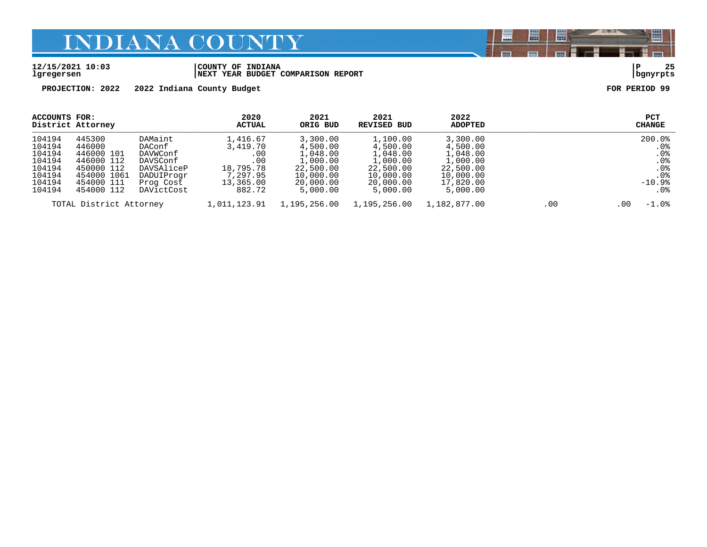#### **12/15/2021 10:03 |COUNTY OF INDIANA |P 25 lgregersen |NEXT YEAR BUDGET COMPARISON REPORT |bgnyrpts**

**PROJECTION: 2022 2022 Indiana County Budget FOR PERIOD 99**

| <b>ACCOUNTS FOR:</b>                                                         | District Attorney                                                                                     |                                                                                                  | 2020<br>ACTUAL                                                                     | 2021<br>ORIG BUD                                                                                | 2021<br>REVISED BUD                                                                             | 2022<br>ADOPTED                                                                                 |     | PCT<br><b>CHANGE</b>                                                                              |
|------------------------------------------------------------------------------|-------------------------------------------------------------------------------------------------------|--------------------------------------------------------------------------------------------------|------------------------------------------------------------------------------------|-------------------------------------------------------------------------------------------------|-------------------------------------------------------------------------------------------------|-------------------------------------------------------------------------------------------------|-----|---------------------------------------------------------------------------------------------------|
| 104194<br>104194<br>104194<br>104194<br>104194<br>104194<br>104194<br>104194 | 445300<br>446000<br>446000 101<br>446000 112<br>450000 112<br>454000 1061<br>454000 111<br>454000 112 | DAMaint<br>DAConf<br>DAVWConf<br>DAVSConf<br>DAVSAliceP<br>DADUIProgr<br>Prog Cost<br>DAVictCost | 1,416.67<br>3,419.70<br>.00<br>.00<br>18,795.78<br>7,297.95<br>13,365.00<br>882.72 | 3,300.00<br>4,500.00<br>1,048.00<br>1,000.00<br>22,500.00<br>10,000.00<br>20,000.00<br>5,000.00 | 1,100.00<br>4,500.00<br>1,048.00<br>1,000.00<br>22,500.00<br>10,000.00<br>20,000.00<br>5,000.00 | 3,300.00<br>4,500.00<br>1,048.00<br>1,000.00<br>22,500.00<br>10,000.00<br>17,820.00<br>5,000.00 |     | 200.0%<br>. 0%<br>.0 <sub>8</sub><br>.0 <sub>8</sub><br>.0 <sub>8</sub><br>.0%<br>$-10.9%$<br>.0% |
|                                                                              | TOTAL District Attorney                                                                               |                                                                                                  | 1,011,123.91                                                                       | 1,195,256.00                                                                                    | 1,195,256.00                                                                                    | 1,182,877.00                                                                                    | .00 | $-1.0\%$<br>.00                                                                                   |

闇 圌 晨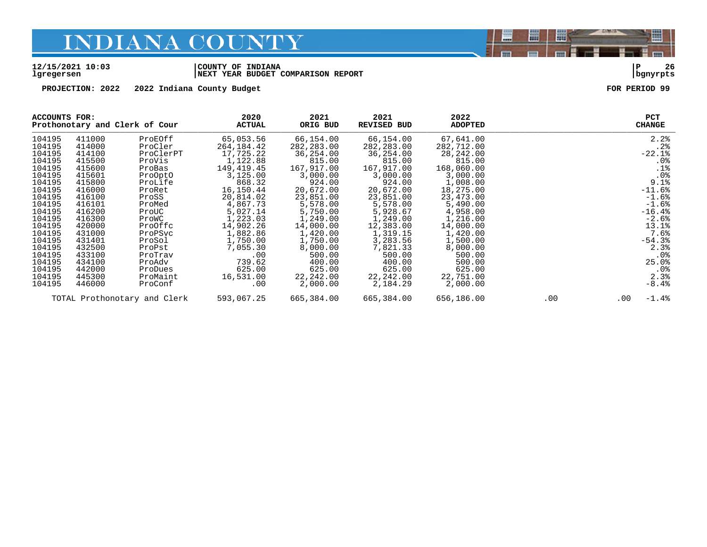**lgregersen |NEXT YEAR BUDGET COMPARISON REPORT |bgnyrpts**

### **12/15/2021 10:03 |COUNTY OF INDIANA |P 26**

**PROJECTION:** 2022 2022 Indiana County Budget **FOR PERIOD** 99

| ACCOUNTS FOR: |        | Prothonotary and Clerk of Cour | 2020<br><b>ACTUAL</b> | 2021<br>ORIG BUD | 2021<br><b>REVISED BUD</b> | 2022<br><b>ADOPTED</b> |     | <b>PCT</b><br><b>CHANGE</b> |                 |
|---------------|--------|--------------------------------|-----------------------|------------------|----------------------------|------------------------|-----|-----------------------------|-----------------|
| 104195        | 411000 | ProEOff                        | 65,053.56             | 66,154.00        | 66,154.00                  | 67,641.00              |     | 2.2%                        |                 |
| 104195        | 414000 | ProCler                        | 264, 184. 42          | 282, 283.00      | 282, 283.00                | 282,712.00             |     |                             | .2%             |
| 104195        | 414100 | ProClerPT                      | 17,725.22             | 36,254.00        | 36,254.00                  | 28,242.00              |     | $-22.1%$                    |                 |
| 104195        | 415500 | ProVis                         | 1,122.88              | 815.00           | 815.00                     | 815.00                 |     |                             | .0%             |
| 104195        | 415600 | ProBas                         | 149,419.45            | 167,917.00       | 167,917.00                 | 168,060.00             |     |                             | .1%             |
| 104195        | 415601 | ProOptO                        | 3,125.00              | 3,000.00         | 3,000.00                   | 3,000.00               |     |                             | .0%             |
| 104195        | 415800 | ProLife                        | 868.32                | 924.00           | 924.00                     | 1,008.00               |     | 9.1%                        |                 |
| 104195        | 416000 | ProRet                         | 16,150.44             | 20,672.00        | 20,672.00                  | 18,275.00              |     | $-11.6%$                    |                 |
| 104195        | 416100 | ProSS                          | 20,814.02             | 23,851.00        | 23,851.00                  | 23,473.00              |     | $-1.6%$                     |                 |
| 104195        | 416101 | ProMed                         | 4,867.73              | 5,578.00         | 5,578.00                   | 5,490.00               |     | $-1.6%$                     |                 |
| 104195        | 416200 | ProUC                          | 5,027.14              | 5,750.00         | 5,928.67                   | 4,958.00               |     | $-16.4%$                    |                 |
| 104195        | 416300 | ProWC                          | 1,223.03              | 1,249.00         | 1,249.00                   | 1,216.00               |     | $-2.6%$                     |                 |
| 104195        | 420000 | ProOffc                        | 14,902.26             | 14,000.00        | 12,383.00                  | 14,000.00              |     | 13.1%                       |                 |
| 104195        | 431000 | ProPSvc                        | 1,882.86              | 1,420.00         | 1,319.15                   | 1,420.00               |     | 7.6%                        |                 |
| 104195        | 431401 | ProSol                         | 1,750.00              | 1,750.00         | 3,283.56                   | 1,500.00               |     | $-54.3%$                    |                 |
| 104195        | 432500 | ProPst                         | 7,055.30              | 8,000.00         | 7,821.33                   | 8,000.00               |     | 2.3%                        |                 |
| 104195        | 433100 | ProTrav                        | .00                   | 500.00           | 500.00                     | 500.00                 |     |                             | .0 <sub>8</sub> |
| 104195        | 434100 | ProAdv                         | 739.62                | 400.00           | 400.00                     | 500.00                 |     | 25.0%                       |                 |
| 104195        | 442000 | ProDues                        | 625.00                | 625.00           | 625.00                     | 625.00                 |     |                             | $.0\%$          |
| 104195        | 445300 | ProMaint                       | 16,531.00             | 22,242.00        | 22,242.00                  | 22,751.00              |     | 2.3%                        |                 |
| 104195        | 446000 | ProConf                        | .00                   | 2,000.00         | 2,184.29                   | 2,000.00               |     | $-8.4%$                     |                 |
|               |        | TOTAL Prothonotary and Clerk   | 593,067.25            | 665,384.00       | 665,384.00                 | 656,186.00             | .00 | $-1.4%$<br>$.00 \,$         |                 |

闇

圌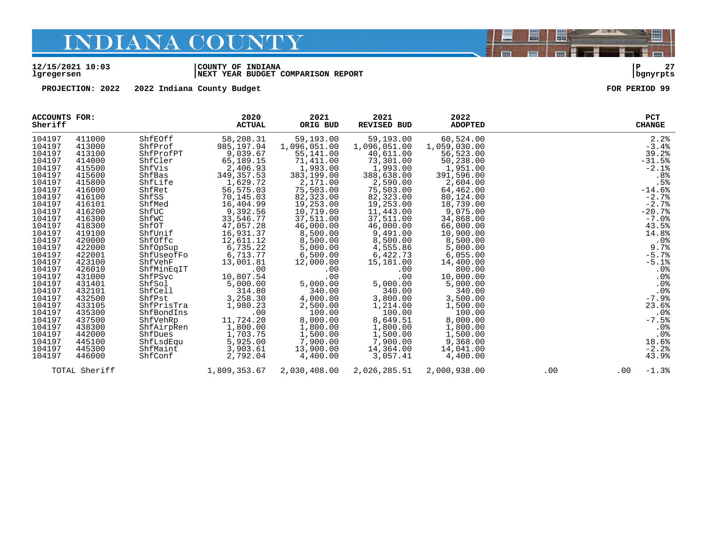#### **12/15/2021 10:03 |COUNTY OF INDIANA |P 27 lgregersen |NEXT YEAR BUDGET COMPARISON REPORT |bgnyrpts**

**PROJECTION: 2022 2022 Indiana County Budget FOR PERIOD 99**

闇

圌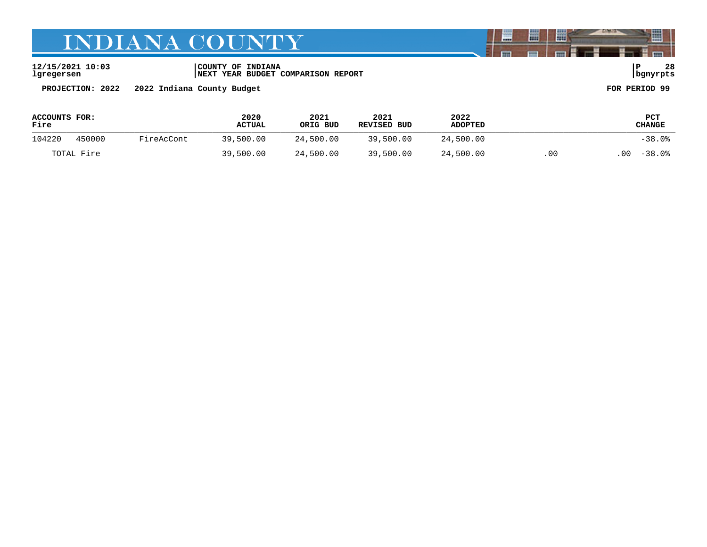**12/15/2021 10:03 |COUNTY OF INDIANA |P 28 lgregersen |NEXT YEAR BUDGET COMPARISON REPORT |bgnyrpts**

**PROJECTION: 2022 2022 Indiana County Budget FOR PERIOD 99**

| ACCOUNTS FOR:<br>Fire |        |            | 2020<br><b>ACTUAL</b> | 2021<br>ORIG BUD | 2021<br>REVISED BUD | 2022<br><b>ADOPTED</b> |     | <b>PCT</b><br>CHANGE |
|-----------------------|--------|------------|-----------------------|------------------|---------------------|------------------------|-----|----------------------|
| 104220                | 450000 | FireAcCont | 39,500.00             | 24,500.00        | 39,500.00           | 24,500.00              |     | $-38.0%$             |
| TOTAL Fire            |        |            | 39,500.00             | 24,500.00        | 39,500.00           | 24,500.00              | .00 | $-38.0$ .<br>.00     |

闇

圌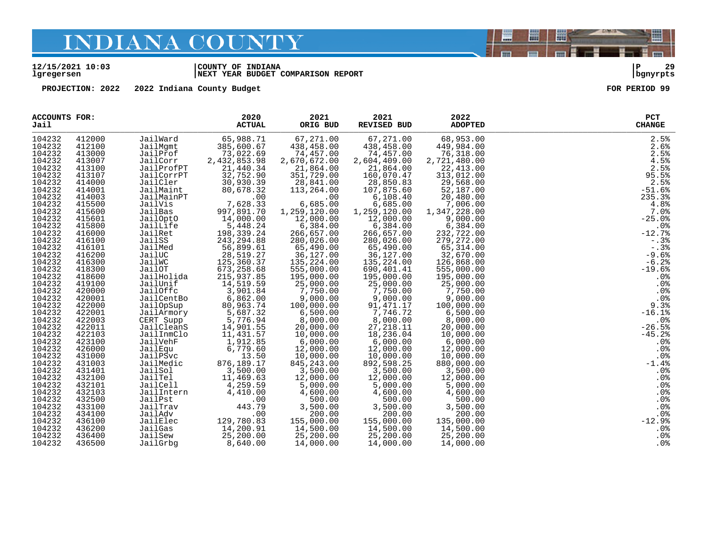#### **12/15/2021 10:03 |COUNTY OF INDIANA |P 29 lgregersen |NEXT YEAR BUDGET COMPARISON REPORT |bgnyrpts**

**PROJECTION: 2022 2022 Indiana County Budget FOR PERIOD 99**

| <b>ACCOUNTS FOR:</b><br>Jail |        |                       | 2020<br><b>ACTUAL</b>                        | 2021<br>ORIG BUD           | 2021<br>REVISED BUD                     | 2022<br><b>ADOPTED</b> | <b>PCT</b><br><b>CHANGE</b> |
|------------------------------|--------|-----------------------|----------------------------------------------|----------------------------|-----------------------------------------|------------------------|-----------------------------|
| 104232                       | 412000 | JailWard              | 65,988.71                                    | 67,271.00                  | 67,271.00                               | 68,953.00              | 2.5%                        |
| 104232                       | 412100 | JailMqmt              | 385,600.67                                   | 438,458.00                 | 438,458.00                              | 449,984.00             | 2.6%                        |
| 104232                       | 413000 | JailProf              | 73,022.69                                    | 74,457.00                  | 74,457.00                               | 76,318.00              | 2.5%                        |
| 104232                       | 413007 | JailCorr              | 2, 432, 853.98                               | 2,670,672.00               | 2,604,409.00                            | 2,721,480.00           | 4.5%                        |
| 104232                       | 413100 | JailProfPT            | 21,440.34                                    | 21,864.00                  | 21,864.00                               | 22,413.00              | $2.5%$<br>95.5%             |
| 104232                       | 413107 | JailCorrPT            | 32,752.90                                    | 351,729.00                 | 160,070.47                              | 313,012.00             |                             |
| 104232                       | 414000 | JailCler              | 30,930.39                                    | 28,841.00                  | 28,850.83                               | 29,568.00              | 2.5%                        |
| 104232                       | 414001 | JailCler<br>JailMaint | 80,678.32                                    | 113,264.00                 | 107,875.60                              | 52,187.00              | $-51.6%$                    |
| 104232                       | 414003 | JailMainPT            | .00<br>$\begin{array}{cc} 7 & 6 \end{array}$ | .00                        | 6, 108.40                               | 20,480.00              | 235.3%                      |
| 104232                       | 415500 | JailVis               | 7,628.33                                     | 6,685.00                   | 6,685.00                                | 7,006.00               | 4.8%                        |
| 104232                       | 415600 | JailBas               | 997,891.70                                   | 1,259,120.00               | 1,259,120.00                            | 1,347,228.00           | 7.0%                        |
| 104232                       | 415601 | JailOptO              | 14,000.00                                    | 12,000.00                  | 12,000.00                               | 9,000.00               | $-25.0%$                    |
| 104232                       | 415800 | JailLife              | 5,448.24                                     | 6,384.00                   | 6,384.00                                | 6,384.00               | .0%                         |
| 104232                       | 416000 | JailRet               | 198,339.24                                   | 266,657.00                 | 266,657.00                              | 232,722.00             | $-12.7%$                    |
| 104232                       | 416100 | JailSS                | 243, 294.88                                  | 280,026.00                 | 280,026.00                              | 279,272.00             | $-0.3%$                     |
| 104232                       | 416101 | JailMed               | 56,899.61                                    | 65,490.00                  | 65,490.00                               | 65,314.00              | $-.3%$                      |
| 104232                       | 416200 | JailUC                | 28,519.27                                    | 36,127.00                  | 36,127.00                               | 32,670.00              | $-9.6%$                     |
| 104232                       | 416300 | JailWC                | 125,360.37                                   | 135,224.00                 | 135,224.00                              | 126,868.00             | $-6.2%$                     |
| 104232                       | 418300 | JailOT                | 673,258.68                                   | 555,000.00                 | 690,401.41                              | 555,000.00             | $-19.6%$                    |
| 104232                       | 418600 | JailHolida            | 215,937.85                                   | 195,000.00                 | 195,000.00                              | 195,000.00             | .0%                         |
| 104232                       | 419100 | JailUnif              | 14,519.59                                    | 25,000.00                  | 25,000.00                               | 25,000.00              | .0 <sub>8</sub>             |
| 104232                       | 420000 | JailOffc              | 3,901.84                                     | 7,750.00                   | 7,750.00                                | 7,750.00               | .0%                         |
| 104232                       | 420001 | JailCentBo            | 6,862.00                                     | 9,000.00                   | $9,000.00$<br>$91,471.17$<br>$7,746.72$ | 9,000.00               | .0%                         |
| 104232                       | 422000 | JailOpSup             |                                              | 100,000.00                 |                                         | 100,000.00             | 9.3%                        |
| 104232                       | 422001 | JailArmory            | $80, 90$ , $32$<br>5,687.32                  | 6,500.00                   |                                         | 6,500.00               | $-16.1%$                    |
| 104232                       | 422003 | CERT Supp             | 5,776.94                                     | 8,000.00                   | 8,000.00                                | 8,000.00               | .0 <sub>8</sub>             |
| 104232                       | 422011 | JailCleanS            | 14,901.55<br>11,431.57                       | 20,000.00                  | 27,218.11                               | 20,000.00              | $-26.5%$                    |
| 104232                       | 422103 | JailInmClo            |                                              | $20,000.00$<br>$10,000.00$ | 18,236.04                               | 10,000.00              | $-45.2%$                    |
| 104232                       | 423100 | JailVehF              | 1,912.85                                     | 6,000.00                   | 6,000.00                                | 6,000.00               | .0%                         |
| 104232                       | 426000 | JailEqu               | 6,779.60                                     | 12,000.00                  | 12,000.00                               | 12,000.00              | .0%                         |
| 104232                       | 431000 | JailPSvc              | 13.50                                        | 10,000.00                  | 10,000.00                               | 10,000.00              | .0%                         |
| 104232                       | 431003 | JailMedic             | 876,189.17                                   | 845, 243.00                | 892,598.25                              | 880,000.00             | $-1.4%$                     |
| 104232                       | 431401 | JailSol               | 3,500.00                                     | 3,500.00                   | 3,500.00                                | 3,500.00               | .0%                         |
| 104232                       | 432100 | JailTel               | 11,469.63                                    | 12,000.00                  | 12,000.00                               | 12,000.00              | .0%                         |
| 104232                       | 432101 | JailCell              | 4,259.59                                     | 5,000.00                   | 5,000.00                                | 5,000.00               | .0%                         |
| 104232                       | 432103 | JailIntern            | 4,410.00                                     | 4,600.00                   | 4,600.00                                | 4,600.00               | .0%                         |
| 104232                       | 432500 | JailPst               | .00                                          | 500.00                     | 500.00                                  | 500.00                 | .0%                         |
| 104232                       | 433100 | JailTrav              | 443.79                                       | 3,500.00                   | 3,500.00                                | 3,500.00               | .0%                         |
| 104232                       | 434100 | JailAdv               | .00                                          | 200.00                     | 200.00                                  | 200.00                 | .0%                         |
| 104232                       | 436100 | JailElec              | 129,780.83                                   | 155,000.00                 | 155,000.00                              | 135,000.00             | $-12.9%$                    |
| 104232                       | 436200 | JailGas               | 14,200.91                                    | 14,500.00                  | 14,500.00                               | 14,500.00              | .0%                         |
| 104232                       | 436400 | JailSew               | 25,200.00                                    | 25,200.00                  | 25,200.00                               | 25,200.00              | .0%                         |
| 104232                       | 436500 | JailGrbg              | 8,640.00                                     | 14,000.00                  | 14,000.00                               | 14,000.00              | .0%                         |



圏

圌

E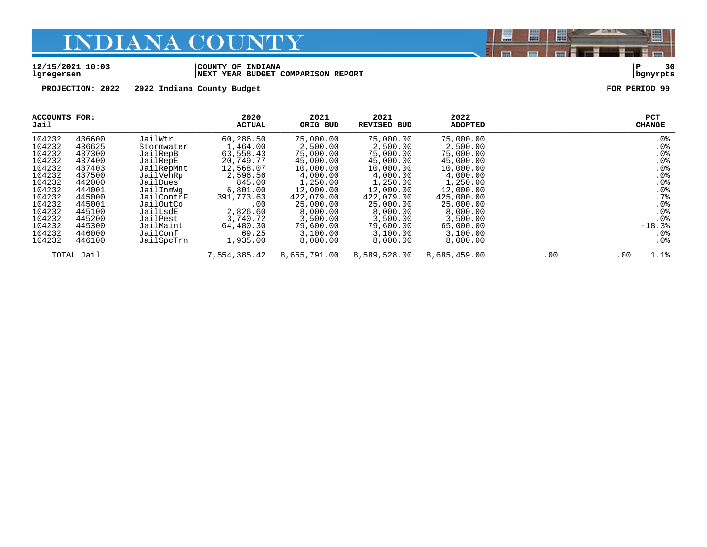#### **12/15/2021 10:03 |COUNTY OF INDIANA |P 30 lgregersen |NEXT YEAR BUDGET COMPARISON REPORT |bgnyrpts**

**PROJECTION: 2022 2022 Indiana County Budget FOR PERIOD 99**

| ACCOUNTS FOR:<br>Jail |            |            | 2020<br><b>ACTUAL</b> | 2021<br>ORIG BUD | 2021<br><b>REVISED BUD</b> | 2022<br><b>ADOPTED</b> |     | <b>PCT</b><br><b>CHANGE</b> |
|-----------------------|------------|------------|-----------------------|------------------|----------------------------|------------------------|-----|-----------------------------|
| 104232                | 436600     | JailWtr    | 60,286.50             | 75,000.00        | 75,000.00                  | 75,000.00              |     | $.0\%$                      |
| 104232                | 436625     | Stormwater | 1,464.00              | 2,500.00         | 2,500.00                   | 2,500.00               |     | .0%                         |
| 104232                | 437300     | JailRepB   | 63,558.43             | 75,000.00        | 75,000.00                  | 75,000.00              |     | .0%                         |
| 104232                | 437400     | JailRepE   | 20,749.77             | 45,000.00        | 45,000.00                  | 45,000.00              |     | .0%                         |
| 104232                | 437403     | JailRepMnt | 12,568.07             | 10,000.00        | 10,000.00                  | 10,000.00              |     | .0%                         |
| 104232                | 437500     | JailVehRp  | 2,596.56              | 4,000.00         | 4,000.00                   | 4,000.00               |     | .0%                         |
| 104232                | 442000     | JailDues   | 845.00                | 1,250.00         | 1,250.00                   | 1,250.00               |     | .0%                         |
| 104232                | 444001     | JailInmWg  | 6,801.00              | 12,000.00        | 12,000.00                  | 12,000.00              |     | .0%                         |
| 104232                | 445000     | JailContrF | 391,773.63            | 422,079.00       | 422,079.00                 | 425,000.00             |     | .7%                         |
| 104232                | 445001     | JailOutCo  | .00                   | 25,000.00        | 25,000.00                  | 25,000.00              |     | .0%                         |
| 104232                | 445100     | JailLsdE   | 2,826.60              | 8,000.00         | 8,000.00                   | 8,000.00               |     | .0%                         |
| 104232                | 445200     | JailPest   | 3,740.72              | 3,500.00         | 3,500.00                   | 3,500.00               |     | .0 <sub>8</sub>             |
| 104232                | 445300     | JailMaint  | 64,480.30             | 79,600.00        | 79,600.00                  | 65,000.00              |     | $-18.3%$                    |
| 104232                | 446000     | JailConf   | 69.25                 | 3,100.00         | 3,100.00                   | 3,100.00               |     | $.0\%$                      |
| 104232                | 446100     | JailSpcTrn | 1,935.00              | 8,000.00         | 8,000.00                   | 8,000.00               |     | .0 <sub>8</sub>             |
|                       | TOTAL Jail |            | 7,554,385.42          | 8,655,791.00     | 8,589,528.00               | 8,685,459.00           | .00 | 1.1%<br>.00                 |

闇

圌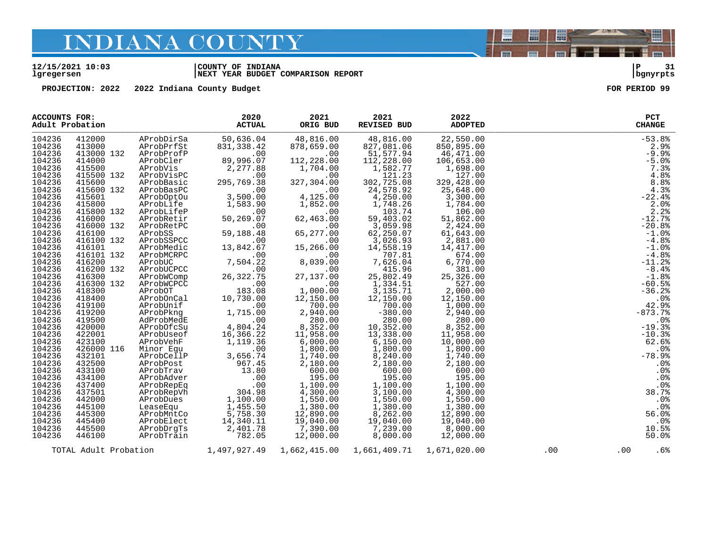#### **12/15/2021 10:03 |COUNTY OF INDIANA |P 31 lgregersen |NEXT YEAR BUDGET COMPARISON REPORT |bgnyrpts**

**PROJECTION: 2022 2022 Indiana County Budget FOR PERIOD 99**

| <b>ACCOUNTS FOR:</b><br>Adult Probation |            |                                       | 2020<br><b>ACTUAL</b>                    | 2021<br>ORIG BUD                                   | 2021<br>REVISED BUD                                                                                                     | 2022<br><b>ADOPTED</b>                                                                   |     |     | <b>PCT</b><br><b>CHANGE</b> |
|-----------------------------------------|------------|---------------------------------------|------------------------------------------|----------------------------------------------------|-------------------------------------------------------------------------------------------------------------------------|------------------------------------------------------------------------------------------|-----|-----|-----------------------------|
| 104236                                  | 412000     | AProbDirSa                            | 50,636.04                                | 48,816.00                                          | 48,816.00                                                                                                               | 22,550.00                                                                                |     |     | $-53.8%$                    |
| 104236                                  | 413000     | AProbPrfSt                            | 831,338.42                               | 878,659.00                                         | 827,081.06                                                                                                              | 850,895.00                                                                               |     |     | 2.9%                        |
| 104236                                  | 413000 132 | AProbProfP                            | .00                                      | .00                                                | 51,577.94                                                                                                               | 46,471.00                                                                                |     |     | $-9.9%$                     |
| 104236                                  | 414000     | AProbCler                             | 89,996.07                                | 112,228.00                                         | 112,228.00                                                                                                              | 106,653.00                                                                               |     |     | $-5.0%$                     |
| 104236                                  | 415500     | AProbVis                              | 2,277.88                                 | 1,704.00                                           | 1,582.77                                                                                                                | 1,698.00                                                                                 |     |     | 7.3%                        |
| 104236                                  | 415500 132 | AProbVisPC                            | .00                                      | .00                                                | 121.23                                                                                                                  | 127.00                                                                                   |     |     | 4.8%                        |
| 104236                                  | 415600     | AProbBasic                            | 295,769.38                               | 327,304.00                                         | 302,725.08                                                                                                              | 329,428.00                                                                               |     |     | 8.8%                        |
| 104236                                  | 415600 132 | AProbBasPC                            | .00                                      | .00                                                | 24,578.92                                                                                                               | 25,648.00                                                                                |     |     | 4.3%                        |
| 104236                                  | 415601     |                                       | 00 .<br>3 , 500 . 00                     | 4,125.00                                           | 4,250.00                                                                                                                |                                                                                          |     |     | $-22.4%$                    |
|                                         |            | AProbOptOu                            |                                          |                                                    |                                                                                                                         | 3,300.00                                                                                 |     |     |                             |
| 104236                                  | 415800     | AProbLife                             | 1,583.90                                 | 1,852.00                                           | 1,748.26                                                                                                                | 1,784.00                                                                                 |     |     | 2.0%                        |
| 104236                                  | 415800 132 | AProbLifeP                            | .00                                      | .00                                                | 103.74                                                                                                                  | 106.00                                                                                   |     |     | 2.2%                        |
| 104236                                  | 416000     | AProbRetir                            | 50,269.07                                | 62,463.00                                          | 59,403.02                                                                                                               | 51,862.00                                                                                |     |     | $-12.7%$                    |
| 104236                                  | 416000 132 | AProbRetPC                            | .00                                      | .00                                                | $3,059.98$<br>62,250.07                                                                                                 | 2,424.00                                                                                 |     |     | $-20.8%$                    |
| 104236                                  | 416100     | AProbSS                               | 59,188.48                                | 65,277.00                                          |                                                                                                                         | 61,643.00                                                                                |     |     | $-1.0$ %                    |
| 104236                                  | 416100 132 | AProbSSPCC                            | .00                                      | .00                                                | 3,026.93<br>14,558.19                                                                                                   | 2,881.00                                                                                 |     |     | $-4.8%$                     |
| 104236                                  | 416101     | AProbMedic                            | 13,842.67                                | 15,266.00                                          | 14,558.19                                                                                                               | 14,417.00                                                                                |     |     | $-1.0$ %                    |
| 104236                                  | 416101 132 | AProbMCRPC                            | .00                                      | .00                                                | 707.81                                                                                                                  | 674.00                                                                                   |     |     | $-4.8%$                     |
| 104236                                  | 416200     |                                       | 7,504.22                                 | 8,039.00                                           | 7,626.04                                                                                                                | 6,770.00                                                                                 |     |     | $-11.2%$                    |
| 104236                                  | 416200 132 |                                       | .00                                      | .00                                                | 415.96                                                                                                                  | 381.00                                                                                   |     |     | $-8.4%$                     |
| 104236                                  | 416300     |                                       | 26, 322. 75                              | 27,137.00                                          |                                                                                                                         | 25,326.00                                                                                |     |     | $-1.8%$                     |
| 104236                                  | 416300 132 | AProbWCPCC                            | .00                                      | .00                                                | 25,802.49<br>1,334.51                                                                                                   | 527.00                                                                                   |     |     | $-60.5%$                    |
| 104236                                  | 418300     | AProbOT                               | 183.08                                   | 1,000.00                                           | 3,135.71                                                                                                                | 2,000.00                                                                                 |     |     | $-36.2%$                    |
| 104236                                  | 418400     | AProbOnCal<br>AProbOnCal<br>AProbUrif | 10,730.00                                | 12,150.00                                          | 12,150.00                                                                                                               | 12,150.00                                                                                |     |     | .0%                         |
| 104236                                  | 419100     | AProbUnif                             |                                          | $700.00$<br>2.940.00                               |                                                                                                                         | 1,000.00                                                                                 |     |     | 42.9%                       |
| 104236                                  |            |                                       | AProbUnif 1,715.00<br>AProbPkng 1,715.00 |                                                    | $-380.00$                                                                                                               |                                                                                          |     |     | $-873.7%$                   |
|                                         | 419200     |                                       |                                          | 2,940.00                                           |                                                                                                                         | $\begin{bmatrix} 1 \\ 2 \\ 8 \\ 11 \\ 10 \end{bmatrix}$<br>2,940.00                      |     |     |                             |
| 104236                                  | 419500     | AdProbMedE                            | 4,804.24                                 | $280.00$<br>$8,352.00$<br>$11,958.00$              | $280.00$<br>$10,352.00$<br>$13,338.00$                                                                                  | 280.00                                                                                   |     |     | .0%                         |
| 104236                                  | 420000     | AProbOfcSu                            |                                          |                                                    |                                                                                                                         | 8,352.00                                                                                 |     |     | $-19.3%$                    |
| 104236                                  | 422001     | AProbUseof                            | 16,366.22                                |                                                    |                                                                                                                         | 11,958.00                                                                                |     |     | $-10.3%$                    |
| 104236                                  | 423100     | AProbVehF                             | 1,119.36                                 | 6,000.00<br>6,000.00<br>1,800.00                   | $13,338.00$<br>$1,800.00$<br>$3,240.00$<br>$2,180.00$<br>$600.00$<br>$195.00$<br>$1,100.00$<br>$3,100.00$<br>$1,580.00$ | $\begin{array}{r} 10,000.00\ 1,800.00\ 1,740.00\ 2,180.00\ 600.00\ 1,95.00\ \end{array}$ |     |     | 62.6%                       |
| 104236                                  | 426000 116 | Minor Equ                             | $\ddot{\phantom{0}}$ . 00                |                                                    |                                                                                                                         |                                                                                          |     |     | .0%                         |
| 104236                                  | 432101     | AProbCellP                            | 3,656.74<br>967.45                       | 1,740.00<br>2.180.00                               |                                                                                                                         |                                                                                          |     |     | $-78.9%$                    |
| 104236                                  | 432500     | AProbPost                             |                                          | 2,180.00                                           |                                                                                                                         |                                                                                          |     |     | .0%                         |
| 104236                                  | 433100     | AProbTrav                             | 13.80                                    | 600.00                                             |                                                                                                                         |                                                                                          |     |     | .0 <sub>8</sub>             |
| 104236                                  | 434100     | AProbAdver                            | .00                                      | 195.00                                             |                                                                                                                         |                                                                                          |     |     | .0%                         |
| 104236                                  | 437400     | AProbRepEq                            | .00                                      | $195.00$<br>$1,100.00$<br>$4,300.00$<br>$1,550.00$ |                                                                                                                         | 1,100.00                                                                                 |     |     | .0 <sub>8</sub>             |
| 104236                                  | 437501     | AProbRepVh                            | $304.\overline{98}$<br>1,100.00          |                                                    |                                                                                                                         | 4,300.00                                                                                 |     |     | 38.7%                       |
| 104236                                  | 442000     | AProbDues                             |                                          |                                                    |                                                                                                                         | 1,550.00                                                                                 |     |     | .0%                         |
| 104236                                  | 445100     | LeaseEqu                              | $\overline{1}$ , 455.50                  |                                                    |                                                                                                                         | 1,380.00                                                                                 |     |     | .0%                         |
| 104236                                  | 445300     | AProbMntCo                            | 5,758.30                                 | 1,380.00<br>12,890.00                              | 1,380.00<br>8,262.00<br>19,040.00<br>7,239.00                                                                           | 12,890.00                                                                                |     |     | 56.0%                       |
| 104236                                  | 445400     | AProbElect                            |                                          |                                                    |                                                                                                                         |                                                                                          |     |     |                             |
|                                         |            |                                       | 14,340.11                                | 19,040.00                                          |                                                                                                                         |                                                                                          |     |     | .0%                         |
| 104236                                  | 445500     | AProbDrqTs                            | 2,401.78                                 | 7,390.00                                           |                                                                                                                         | $19,040.00$<br>8,000.00                                                                  |     |     | 10.5%                       |
| 104236                                  | 446100     | AProbTrain                            | 782.05                                   | 12,000.00                                          | 8,000.00                                                                                                                | 12,000.00                                                                                |     |     | 50.0%                       |
|                                         |            |                                       | TOTAL Adult Probation 1,497,927.49       | 1,662,415.00                                       | 1,661,409.71                                                                                                            | 1,671,020.00                                                                             | .00 | .00 | .6%                         |

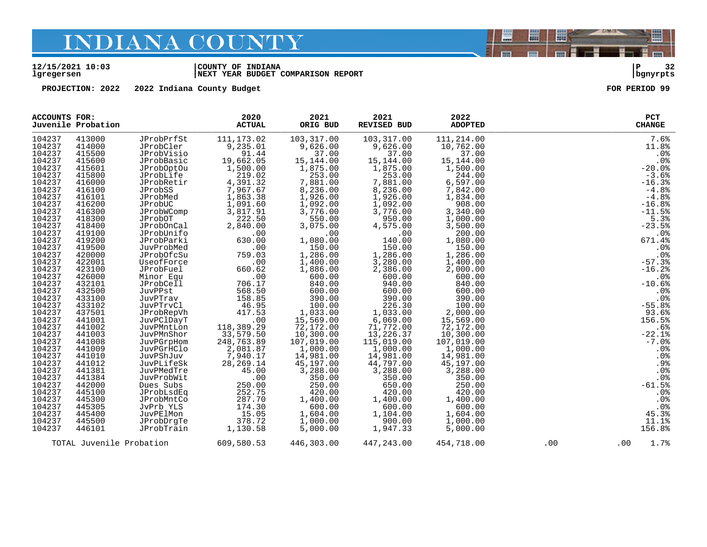#### **12/15/2021 10:03 |COUNTY OF INDIANA |P 32 lgregersen |NEXT YEAR BUDGET COMPARISON REPORT |bgnyrpts**

**PROJECTION: 2022 2022 Indiana County Budget FOR PERIOD 99**

| <b>ACCOUNTS FOR:</b> | Juvenile Probation |                          | 2020<br><b>ACTUAL</b>                              | 2021<br>ORIG BUD        | 2021<br>REVISED BUD                                                | 2022<br><b>ADOPTED</b> |     | PCT<br><b>CHANGE</b> |
|----------------------|--------------------|--------------------------|----------------------------------------------------|-------------------------|--------------------------------------------------------------------|------------------------|-----|----------------------|
| 104237               | 413000             | JProbPrfSt               | 111, 173.02                                        | 103,317.00              | 103,317.00                                                         | 111,214.00             |     | 7.6%                 |
| 104237               | 414000             | JProbCler                | 9,235.01                                           | 9,626.00                | 9,626.00                                                           | 10,762.00              |     | 11.8%                |
| 104237               | 415500             | JProbVisio               | 91.44                                              | 37.00                   | 37.00                                                              | 37.00                  |     | .0%                  |
| 104237               | 415600             | JProbBasic               |                                                    |                         |                                                                    | 15,144.00              |     | .0 <sup>8</sup>      |
| 104237               | 415601             | JProbOptOu               | 19,662.05<br>1,500.00                              | $15,144.00$<br>1,875.00 | 15, 144.00<br>1, 875.00                                            | 1,500.00               |     | $-20.0%$             |
| 104237               | 415800             | JProbLife                | 219.02                                             | 253.00                  | 253.00                                                             | 244.00                 |     | $-3.6%$              |
| 104237               | 416000             | JProbRetir               | 4, 391. .<br>7, 967. 67<br>^^^^3 38                | 7,881.00                | 7,881.00                                                           | 6,597.00               |     | $-16.3%$             |
| 104237               | 416100             | JProbSS                  |                                                    | 8,236.00                | 8,236.00                                                           | 7,842.00               |     | $-4.8%$              |
| 104237               | 416101             | JProbMed                 | 1,863.38                                           | 1,926.00                | 1,926.00                                                           | 1,834.00               |     | $-4.8%$              |
| 104237               | 416200             | JProbUC                  | 1,091.60                                           | 1,092.00                | 1,092.00                                                           | 908.00                 |     | $-16.8%$             |
| 104237               | 416300             | JProbWComp               | 3,817.91                                           | 3,776.00                | 3,776.00                                                           | 3,340.00               |     | $-11.5%$             |
| 104237               | 418300             | JProbOT                  | 222.50                                             | 550.00                  | 950.00                                                             | 1,000.00               |     | 5.3%                 |
| 104237               | 418400             | JProbOnCal               | 2,840.00                                           | 3,075.00                | 4,575.00                                                           | 3,500.00               |     | $-23.5%$             |
| 104237               | 419100             | JProbUnifo               | .00                                                | .00                     | .00                                                                | 200.00                 |     | .0%                  |
| 104237               | 419200             | JProbParki               | 630.00                                             | 1,080.00                | 140.00                                                             | 1,080.00               |     | 671.4%               |
| 104237               | 419500             | JuvProbMed               | .00                                                | 150.00                  | 150.00                                                             | 150.00                 |     | .0%                  |
| 104237               | 420000             | JProbOfcSu               | 759.03                                             | 1,286.00                | 1,286.00                                                           | 1,286.00               |     | .0%                  |
| 104237               | 422001             | UseofForce               | .00                                                | 1,400.00                | 3,280.00                                                           | 1,400.00               |     | $-57.3%$             |
| 104237               | 423100             | JProbFuel                | 660.62                                             | 1,886.00                | 2,386.00                                                           | 2,000.00               |     | $-16.2%$             |
| 104237               | 426000             | Minor Equ                | .00                                                | 600.00                  | 600.00                                                             | 600.00                 |     | .0%                  |
| 104237               | 432101             | JProbCell                | 706.17                                             | 840.00                  | 940.00                                                             | 840.00                 |     | $-10.6%$             |
| 104237               | 432500             | JuvPPst                  | 568.50                                             | 600.00                  | 600.00                                                             | 600.00                 |     | .0%                  |
| 104237               | 433100             | JuvPTrav                 | 158.85                                             | 390.00                  | 390.00                                                             | 390.00                 |     | .0%                  |
| 104237               | 433102             | JuvPTrvCl                | 46.95                                              |                         | 226.30                                                             | 100.00                 |     | $-55.8%$             |
| 104237               | 437501             | JProbRepVh               | 417.53<br>417.53<br>00.<br>118,389.29<br>33,579.50 | $100.00$<br>1,033.00    | $226.30$<br>$1,033.00$<br>$6,069.00$<br>$71,772.00$<br>$13,226.37$ | 2,000.00               |     | 93.6%                |
| 104237               | 441001             | JuvPClDayT               |                                                    | 15,569.00               |                                                                    | 15,569.00              |     | 156.5%               |
| 104237               | 441002             | JuvPMntLon               |                                                    | 72,172.00               |                                                                    | 72,172.00              |     | .6%                  |
| 104237               | 441003             | JuvPMnShor               |                                                    | 10,300.00               |                                                                    | 10,300.00              |     | $-22.1%$             |
| 104237               | 441008             | JuvPGrpHom               | 248,763.89                                         | 107,019.00              | 115,019.00                                                         | 107,019.00             |     | $-7.0%$              |
| 104237               | 441009             | JuvPGrHClo               | 2,081.87                                           | 1,000.00                | 1,000.00                                                           | 1,000.00               |     | .0%                  |
| 104237               | 441010             | JuvPShJuv                | 7,940.17                                           | 14,981.00               | 14,981.00                                                          | 14,981.00              |     | .0%                  |
| 104237               | 441012             | JuvPLifeSk               | 28, 269. 14                                        | 45,197.00               | 44,797.00                                                          | 45,197.00              |     | .9%                  |
| 104237               | 441381             | JuvPMedTre               | 45.00                                              | 3,288.00                | 3,288.00                                                           | 3,288.00               |     | .0%                  |
| 104237               | 441384             | JuvProbWit               | .00                                                | 350.00                  | 350.00                                                             | 350.00                 |     | .0%                  |
| 104237               | 442000             | Dues Subs                | 250.00                                             | 250.00                  | 650.00                                                             | 250.00                 |     | $-61.5%$             |
| 104237               | 445100             | JProbLsdEq               | 252.75                                             | 420.00                  | 420.00                                                             | 420.00                 |     | .0%                  |
| 104237               | 445300             | JProbMntCo               | 287.70                                             | 1,400.00                | 1,400.00                                                           | 1,400.00               |     | .0%                  |
| 104237               | 445305             | JvPrb YLS                | 174.30                                             | 600.00                  | 600.00                                                             | 600.00                 |     | .0%                  |
| 104237               | 445400             | JuvPElMon                | 15.05                                              | 1,604.00                | 1,104.00                                                           | 1,604.00               |     | 45.3%                |
| 104237               | 445500             | JProbDrqTe               | 378.72                                             | 1,000.00                | 900.00                                                             | 1,000.00               |     | 11.1%                |
| 104237               | 446101             | JProbTrain               | 1,130.58                                           | 5,000.00                | 1,947.33                                                           | 5,000.00               |     | 156.8%               |
|                      |                    | TOTAL Juvenile Probation | 609,580.53                                         | 446,303.00              | 447,243.00                                                         | 454,718.00             | .00 | 1.7%<br>.00          |



闇

圌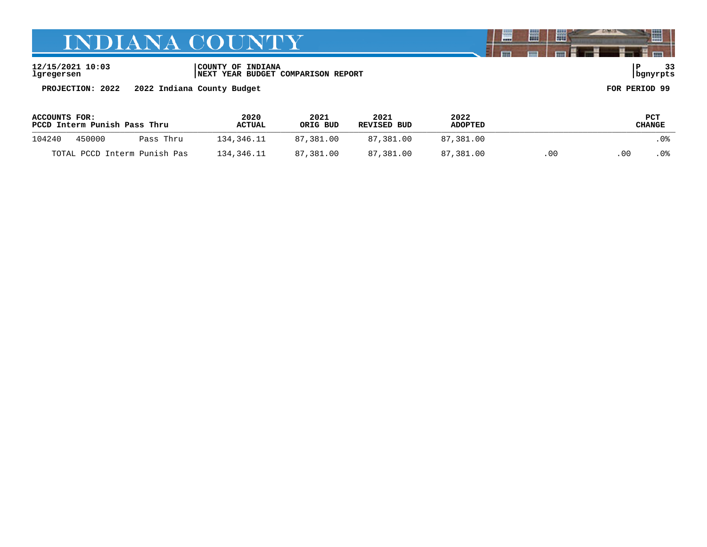**12/15/2021 10:03 |COUNTY OF INDIANA |P 33 lgregersen |NEXT YEAR BUDGET COMPARISON REPORT |bgnyrpts**

**PROJECTION: 2022 2022 Indiana County Budget FOR PERIOD 99**

| <b>ACCOUNTS FOR:</b>         | PCCD Interm Punish Pass Thru |           | 2020<br>2021<br>ORIG BUD<br><b>ACTUAL</b> |           | 2021<br>REVISED BUD | 2022<br><b>ADOPTED</b> |     |     | PCT<br>CHANGE |
|------------------------------|------------------------------|-----------|-------------------------------------------|-----------|---------------------|------------------------|-----|-----|---------------|
| 104240                       | 450000                       | Pass Thru | 134,346.11                                | 87,381.00 | 87,381.00           | 87,381.00              |     |     | . 0%          |
| TOTAL PCCD Interm Punish Pas |                              |           | 134,346.11                                | 87,381.00 | 87,381.00           | 87,381.00              | .00 | -00 | . 0%          |

闇

圌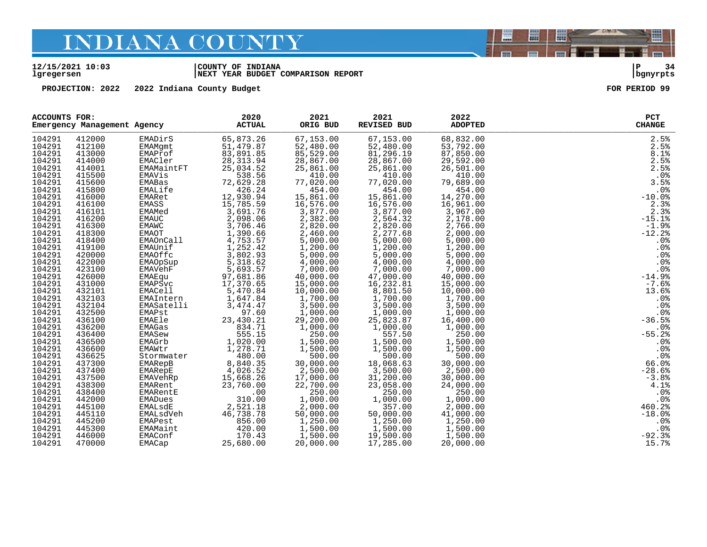#### **12/15/2021 10:03 |COUNTY OF INDIANA |P 34 lgregersen |NEXT YEAR BUDGET COMPARISON REPORT |bgnyrpts**

**PROJECTION: 2022 2022 Indiana County Budget FOR PERIOD 99**

| <b>ACCOUNTS FOR:</b> |        | Emergency Management Agency | 2020<br><b>ACTUAL</b>                                    | 2021<br>ORIG BUD          | 2021<br>REVISED BUD                 | 2022<br><b>ADOPTED</b>              | PCT<br><b>CHANGE</b> |
|----------------------|--------|-----------------------------|----------------------------------------------------------|---------------------------|-------------------------------------|-------------------------------------|----------------------|
| 104291               | 412000 | EMADirS                     | 65,873.26                                                | 67,153.00                 | 67,153.00                           | 68,832.00                           | 2.5%                 |
| 104291               | 412100 | EMAMqmt                     | 51,479.87                                                | 52,480.00                 | 52,480.00                           | 53,792.00                           | 2.5%                 |
| 104291               | 413000 | EMAProf                     | 83,891.85                                                | 85,529.00                 | 81,296.19                           | 87,850.00                           | 8.1%                 |
| 104291               | 414000 | EMACler                     | 28, 313.94                                               | 28,867.00                 | 28,867.00                           | 29,592.00                           | 2.5%                 |
| 104291               | 414001 | EMAMaintFT                  | 25,034.52                                                | 25,861.00                 | 25,861.00                           | 26,501.00                           | 2.5%                 |
| 104291               | 415500 | EMAVis                      | 538.56                                                   | 410.00                    | 410.00                              | 410.00                              | $.0%$<br>3.5%        |
| 104291               | 415600 | EMABas                      | 72,629.28                                                | 77,020.00                 | 77,020.00                           | 79,689.00                           |                      |
| 104291               | 415800 | EMALife                     | 426.24                                                   | 454.00                    | 454.00                              | 454.00                              | .0%                  |
| 104291               | 416000 | EMARet                      | 12,930.94                                                | 15,861.00                 | 15,861.00                           | 14,270.00                           | $-10.0%$             |
| 104291               | 416100 | EMASS                       | 15,785.59                                                | 16,576.00                 | 16,576.00<br>16,576.00<br>3,877.00  | 16,961.00<br>∪ں.⊥ەע, 16<br>3,967.00 | 2.3%                 |
| 104291               | 416101 | EMAMed                      | 3,691.76                                                 | 3,877.00                  |                                     |                                     | 2.3%                 |
| 104291               | 416200 | EMAUC                       |                                                          | 2,382.00                  | 2,564.32                            | 2,178.00                            | $-15.1%$             |
| 104291               | 416300 | EMAWC                       | $2,098.06$<br>$3,706.46$<br>$1,390.66$                   | 2,820.00                  | 2,820.00                            | 2,766.00                            | $-1.9%$              |
| 104291               | 418300 | EMAOT                       |                                                          | 2,460.00                  | 2,277.68                            | 2,000.00                            | $-12.2$              |
| 104291               | 418400 | EMAOnCall                   | 4,753.57                                                 | 5,000.00                  | 5,000.00                            | 5,000.00                            | .0%                  |
| 104291               | 419100 | EMAUnif                     | 1,252.42                                                 | 1,200.00                  | 1,200.00                            | 1,200.00                            | .0%                  |
| 104291               | 420000 | EMAOffc                     | 3,802.93                                                 | 5,000.00                  | 5,000.00                            | 5,000.00                            | .0%                  |
| 104291               | 422000 | EMAOpSup                    | 5,318.62<br>2ہ.818, 5<br>5,693.57                        | 4,000.00                  | 4,000.00                            | 4,000.00                            | .0%                  |
| 104291               | 423100 | EMAVehF                     |                                                          | 7,000.00                  | 7,000.00                            | 7,000.00                            | .0%                  |
| 104291               | 426000 | EMAEqu                      | 97,681.86<br>17,370.65                                   |                           | 47,000.00                           | 40,000.00                           | $-14.9%$             |
| 104291               | 431000 | EMAPSvc                     | $5,470.84$<br>$1,647.84$                                 | $40,000.5$<br>$15,000.00$ | 16, 232.81                          | 15,000.00                           | $-7.6%$              |
| 104291               | 432101 | EMACell                     |                                                          | 10,000.00                 | $8,801.50$<br>1.700.00              | 10,000.00                           | 13.6%                |
| 104291               | 432103 |                             | EMAIntern<br>EMAIntern 1,01/<br>$3,474.47$<br>$3,474.47$ | 1,700.00                  | 1,700.00                            | 1,700.00                            | .0%                  |
| 104291               | 432104 |                             |                                                          | 3,500.00                  | 3,500.00                            | 3,500.00                            | .0%                  |
| 104291               | 432500 | EMAPst                      | 97.60                                                    | 1,000.00                  | 1,000.00                            | 1,000.00                            | .0%                  |
| 104291               | 436100 | EMAEle                      | 23,430.21                                                | 29,200.00                 | 25,823.87                           | 16,400.00                           | $-36.5%$             |
| 104291               | 436200 | EMAGas                      | 834.71                                                   | 1,000.00                  | 1,000.00                            | 1,000.00                            | .0%                  |
| 104291               | 436400 | EMASew                      | 555.15                                                   | 250.00                    | 557.50                              | 250.00                              | $-55.2%$             |
| 104291               | 436500 | EMAGrb                      | 1,020.00                                                 | 1,500.00                  | 1,500.00                            | 1,500.00                            | $.0\%$               |
| 104291               | 436600 | EMAWtr                      | 1,278.71                                                 | 1,500.00                  | 1,500.00<br>500.00                  | 1,500.00                            | .0%                  |
| 104291               | 436625 | Stormwater                  | $\sim$ $\frac{1}{480.00}$                                | 500.00                    |                                     | 500.00                              | .0%                  |
| 104291               | 437300 | EMARepB                     | 8,840.35                                                 | 30,000.00                 | 18,068.63                           | 30,000.00                           | 66.0%                |
| 104291               | 437400 | EMARepE                     | 4,026.52                                                 | 2,500.00                  | 3,500.00                            | 2,500.00                            | $-28.6%$             |
| 104291               | 437500 | EMAVeĥRp                    | 15,668.26                                                | 17,000.00                 | 31,200.00                           | 30,000.00                           | $-3.8%$              |
| 104291               | 438300 | EMARent                     | 23,760.00                                                | 22,700.00                 | 23,058.00                           | 24,000.00                           | 4.1%                 |
| 104291               | 438400 | EMARentE                    | .00                                                      | 250.00                    | 250.00                              | 250.00                              | .0%                  |
| 104291               | 442000 | EMADues                     | 310.00                                                   | 1,000.00                  | 1,000.00                            | 1,000.00                            | .0%                  |
| 104291               | 445100 | EMALsdE                     | 2,521.18                                                 | 2,000.00                  | 357.00                              | 2,000.00                            | 460.2%               |
| 104291               | 445110 | EMALsdVeh                   | 46,738.78                                                | 50,000.00                 | 50,000.00                           | 41,000.00                           | $-18.0%$             |
| 104291               | 445200 | EMAPest                     | 856.00                                                   | 1,250.00                  | 1,250.00<br>$1, 500.00$<br>1,500.00 | 1,250.00                            | $.0\%$               |
| 104291               | 445300 | EMAMaint                    | 420.00                                                   | 1,500.00                  |                                     | 1,500.00                            | .0%                  |
| 104291               | 446000 | EMAConf                     | 170.43                                                   | 1,500.00                  | 19,500.00                           | 1,500.00                            | $-92.3%$             |
| 104291               | 470000 | EMACap                      | 25,680.00                                                | 20,000.00                 | 17,285.00                           | 20,000.00                           | 15.7%                |

闇

圌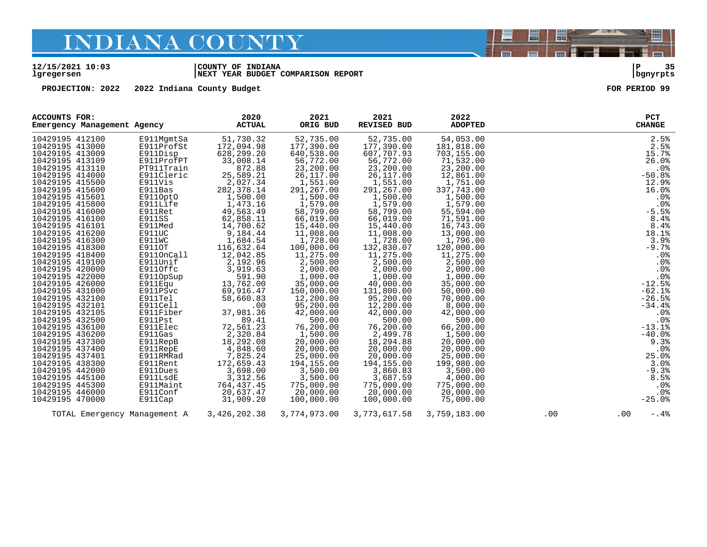#### **12/15/2021 10:03 |COUNTY OF INDIANA |P 35 lgregersen |NEXT YEAR BUDGET COMPARISON REPORT |bgnyrpts**

**PROJECTION:** 2022 2022 Indiana County Budget **FOR PERIOD** 99

| ACCOUNTS FOR:   | Emergency Management Agency |                              | 2020<br><b>ACTUAL</b> | 2021<br>ORIG BUD | 2021<br><b>REVISED BUD</b> | 2022<br><b>ADOPTED</b> |     | <b>PCT</b><br><b>CHANGE</b> |
|-----------------|-----------------------------|------------------------------|-----------------------|------------------|----------------------------|------------------------|-----|-----------------------------|
| 10429195 412100 |                             | E911MgmtSa                   | 51,730.32             | 52,735.00        | 52,735.00                  | 54,053.00              |     | 2.5%                        |
| 10429195 413000 |                             | E911ProfSt                   | 172,094.98            | 177,390.00       | 177,390.00                 | 181,818.00             |     | 2.5%                        |
| 10429195 413009 |                             | E911Disp                     | 628,299.20            | 640,538.00       | 607,707.93                 | 703,155.00             |     | 15.7%                       |
| 10429195 413109 |                             | E911ProfPT                   | 33,008.14             | 56,772.00        | 56,772.00                  | 71,532.00              |     | 26.0%                       |
| 10429195 413110 |                             | PT911Train                   | 872.88                | 23,200.00        | 23,200.00                  | 23,200.00              |     | .0%                         |
| 10429195 414000 |                             | E911Cleric                   | 25,589.21             | 26,117.00        | 26,117.00                  | 12,861.00              |     | $-50.8%$                    |
| 10429195 415500 |                             | E911Vis                      | 2,027.34              | 1,551.00         | 1,551.00                   | 1,751.00               |     | 12.9%                       |
| 10429195 415600 |                             | E911Bas                      | 282, 378.14           | 291,267.00       | 291,267.00                 | 337,743.00             |     | 16.0%                       |
| 10429195 415601 |                             | E911OptO                     | 1,500.00              | 1,500.00         | 1,500.00                   | 1,500.00               |     | .0%                         |
| 10429195 415800 |                             | E911Life                     | 1,473.16              | 1,579.00         | 1,579.00                   | 1,579.00               |     | .0%                         |
| 10429195 416000 |                             | E911Ret                      | 49,563.49             | 58,799.00        | 58,799.00                  | 55,594.00              |     | $-5.5%$                     |
| 10429195 416100 |                             | E911SS                       | 62,858.11             | 66,019.00        | 66,019.00                  | 71,591.00              |     | 8.4%                        |
| 10429195 416101 |                             | E911Med                      | 14,700.62             | 15,440.00        | 15,440.00                  | 16,743.00              |     | 8.4%                        |
| 10429195 416200 |                             | E911UC                       | 9,184.44              | 11,008.00        | 11,008.00                  | 13,000.00              |     | 18.1%                       |
| 10429195 416300 |                             | E911WC                       | 1,684.54              | 1,728.00         | 1,728.00                   | 1,796.00               |     | 3.9%                        |
| 10429195 418300 |                             | E911OT                       | 116,632.64            | 100,000.00       | 132,830.07                 | 120,000.00             |     | $-9.7%$                     |
| 10429195 418400 |                             | E911OnCall                   | 12,042.85             | 11,275.00        | 11,275.00                  | 11,275.00              |     | .0%                         |
| 10429195 419100 |                             | E911Unif                     | 2,192.96              | 2,500.00         | 2,500.00                   | 2,500.00               |     | .0%                         |
| 10429195 420000 |                             | E911Offc                     | 3,919.63              | 2,000.00         | 2,000.00                   | 2,000.00               |     | .0%                         |
| 10429195 422000 |                             | E911OpSup                    | 591.90                | 1,000.00         | 1,000.00                   | 1,000.00               |     | .0 <sub>8</sub>             |
| 10429195 426000 |                             | E911Equ                      | 13,762.00             | 35,000.00        | 40,000.00                  | 35,000.00              |     | $-12.5%$                    |
| 10429195 431000 |                             | E911PSvc                     | 69,916.47             | 150,000.00       | 131,800.00                 | 50,000.00              |     | $-62.1%$                    |
| 10429195 432100 |                             | E911Tel                      | 58,660.83             | 12,200.00        | 95,200.00                  | 70,000.00              |     | $-26.5%$                    |
| 10429195 432101 |                             | E911Cell                     | .00                   | 95,200.00        | 12,200.00                  | 8,000.00               |     | $-34.4%$                    |
| 10429195 432105 |                             | E911Fiber                    | 37,981.36             | 42,000.00        | 42,000.00                  | 42,000.00              |     | .0%                         |
| 10429195 432500 |                             | E911Pst                      | 89.41                 | 500.00           | 500.00                     | 500.00                 |     | .0%                         |
| 10429195 436100 |                             | E911Elec                     | 72,561.23             | 76,200.00        | 76,200.00                  | 66,200.00              |     | $-13.1%$                    |
| 10429195 436200 |                             | E911Gas                      | 2,320.84              | 1,500.00         | 2,499.78                   | 1,500.00               |     | $-40.0%$                    |
| 10429195 437300 |                             | E911RepB                     | 18,292.08             | 20,000.00        | 18,294.88                  | 20,000.00              |     | 9.3%                        |
| 10429195 437400 |                             | E911RepE                     | 4,848.60              | 20,000.00        | 20,000.00                  | 20,000.00              |     | .0%                         |
| 10429195 437401 |                             | E911RMRad                    | 7,825.24              | 25,000.00        | 20,000.00                  | 25,000.00              |     | 25.0%                       |
| 10429195 438300 |                             | E911Rent                     | 172,659.43            | 194,155.00       | 194,155.00                 | 199,980.00             |     | 3.0%                        |
| 10429195 442000 |                             | E911Dues                     | 3,698.00              | 3,500.00         | 3,860.83                   | 3,500.00               |     | $-9.3%$                     |
| 10429195 445100 |                             | E911LsdE                     | 3,312.56              | 3,500.00         | 3,687.59                   | 4,000.00               |     | 8.5%                        |
| 10429195 445300 |                             | E911Maint                    | 764, 437.45           | 775,000.00       | 775,000.00                 | 775,000.00             |     | .0%                         |
| 10429195 446000 |                             | E911Conf                     | 20,637.47             | 20,000.00        | 20,000.00                  | 20,000.00              |     | .0%                         |
| 10429195 470000 |                             | E911Cap                      | 31,909.20             | 100,000.00       | 100,000.00                 | 75,000.00              |     | $-25.0%$                    |
|                 |                             | TOTAL Emergency Management A | 3,426,202.38          | 3,774,973.00     | 3,773,617.58               | 3,759,183.00           | .00 | .00<br>$-.4%$               |

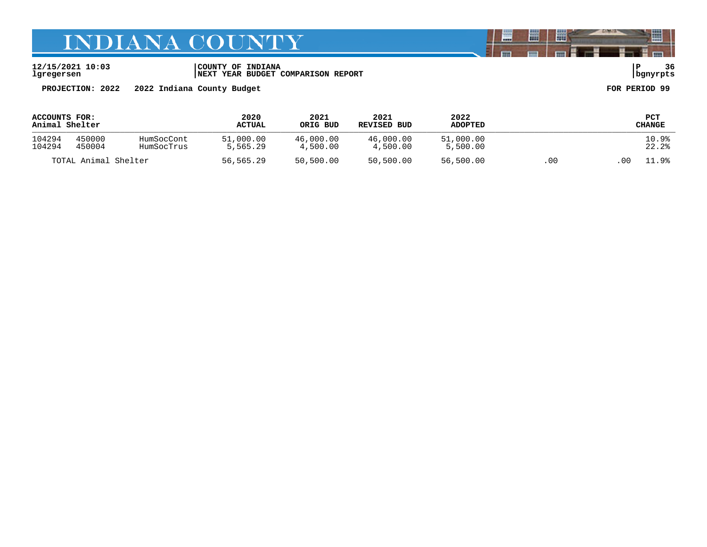**12/15/2021 10:03 |COUNTY OF INDIANA |P 36 lgregersen |NEXT YEAR BUDGET COMPARISON REPORT |bgnyrpts**

**PROJECTION: 2022 2022 Indiana County Budget FOR PERIOD 99**

| ACCOUNTS FOR:<br>Animal Shelter |                  |                          | 2020<br><b>ACTUAL</b> | 2021<br>ORIG BUD      | 2021<br>REVISED BUD   | 2022<br><b>ADOPTED</b> |    |       | PCT<br>CHANGE  |
|---------------------------------|------------------|--------------------------|-----------------------|-----------------------|-----------------------|------------------------|----|-------|----------------|
| 104294<br>104294                | 450000<br>450004 | HumSocCont<br>HumSocTrus | 51,000.00<br>5,565.29 | 46,000.00<br>4,500.00 | 46,000.00<br>4,500.00 | 51,000.00<br>5,500.00  |    |       | 10.9%<br>22.2% |
| TOTAL Animal Shelter            |                  | 56,565.29                | 50,500.00             | 50,500.00             | 56,500.00             | .00                    | 00 | 11.9% |                |

闇

圌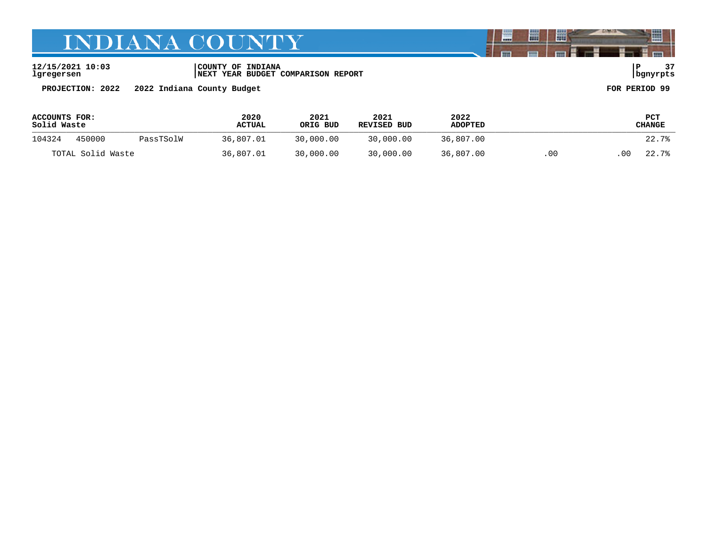**12/15/2021 10:03 |COUNTY OF INDIANA |P 37 lgregersen |NEXT YEAR BUDGET COMPARISON REPORT |bgnyrpts**

**PROJECTION: 2022 2022 Indiana County Budget FOR PERIOD 99**

| <b>ACCOUNTS FOR:</b><br>Solid Waste |                     |           | 2020<br><b>ACTUAL</b> | 2021<br>ORIG BUD | 2021<br>REVISED BUD | 2022<br><b>ADOPTED</b> |                         | PCT<br>CHANGE |
|-------------------------------------|---------------------|-----------|-----------------------|------------------|---------------------|------------------------|-------------------------|---------------|
| 104324                              | 450000<br>PassTSolW |           | 36,807.01             | 30,000.00        | 30,000.00           | 36,807.00              |                         | 22.7%         |
| TOTAL Solid Waste                   |                     | 36,807.01 | 30,000.00             | 30,000.00        | 36,807.00           | .00                    | 0 <sub>0</sub><br>22.7% |               |

闇

圌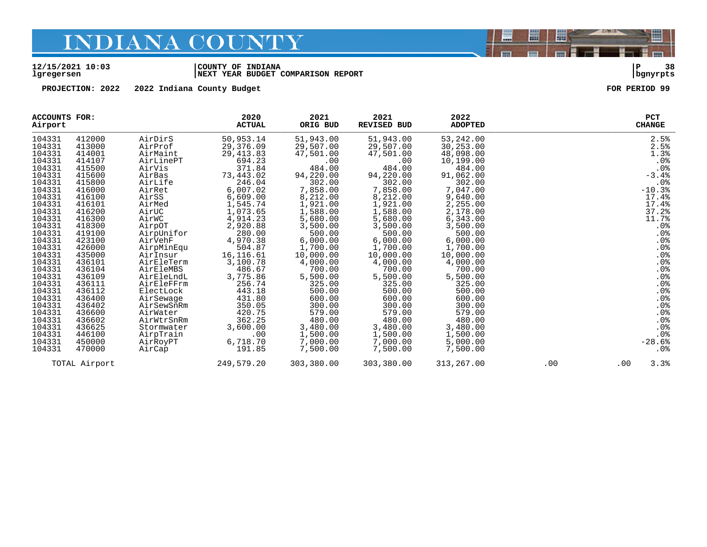#### **12/15/2021 10:03 |COUNTY OF INDIANA |P 38 lgregersen |NEXT YEAR BUDGET COMPARISON REPORT |bgnyrpts**

**PROJECTION: 2022 2022 Indiana County Budget FOR PERIOD 99**

| ACCOUNTS FOR:<br>Airport |               |            | 2020<br><b>ACTUAL</b> | 2021<br>ORIG BUD | 2021<br><b>REVISED BUD</b> | 2022<br><b>ADOPTED</b> |     | <b>PCT</b><br><b>CHANGE</b> |
|--------------------------|---------------|------------|-----------------------|------------------|----------------------------|------------------------|-----|-----------------------------|
| 104331                   | 412000        | AirDirS    | 50,953.14             | 51,943.00        | 51,943.00                  | 53,242.00              |     | 2.5%                        |
| 104331                   | 413000        | AirProf    | 29,376.09             | 29,507.00        | 29,507.00                  | 30,253.00              |     | 2.5%                        |
| 104331                   | 414001        | AirMaint   | 29, 413.83            | 47,501.00        | 47,501.00                  | 48,098.00              |     | 1.3%                        |
| 104331                   | 414107        | AirLinePT  | 694.23                | .00              | .00                        | 10,199.00              |     | .0%                         |
| 104331                   | 415500        | AirVis     | 371.84                | 484.00           | 484.00                     | 484.00                 |     | .0%                         |
| 104331                   | 415600        | AirBas     | 73,443.02             | 94,220.00        | 94,220.00                  | 91,062.00              |     | $-3.4%$                     |
| 104331                   | 415800        | AirLife    | 246.04                | 302.00           | 302.00                     | 302.00                 |     | .0%                         |
| 104331                   | 416000        | AirRet     | 6,007.02              | 7,858.00         | 7,858.00                   | 7,047.00               |     | $-10.3%$                    |
| 104331                   | 416100        | AirSS      | 6,609.00              | 8,212.00         | 8,212.00                   | 9,640.00               |     | 17.4%                       |
| 104331                   | 416101        | AirMed     | 1,545.74              | 1,921.00         | 1,921.00                   | 2,255.00               |     | 17.4%                       |
| 104331                   | 416200        | AirUC      | 1,073.65              | 1,588.00         | 1,588.00                   | 2,178.00               |     | 37.2%                       |
| 104331                   | 416300        | AirWC      | 4,914.23              | 5,680.00         | 5,680.00                   | 6,343.00               |     | 11.7%                       |
| 104331                   | 418300        | AirpOT     | 2,920.88              | 3,500.00         | 3,500.00                   | 3,500.00               |     | $.0\%$                      |
| 104331                   | 419100        | AirpUnifor | 280.00                | 500.00           | 500.00                     | 500.00                 |     | $.0\%$                      |
| 104331                   | 423100        | AirVehF    | 4,970.38              | 6,000.00         | 6,000.00                   | 6,000.00               |     | .0%                         |
| 104331                   | 426000        | AirpMinEqu | 504.87                | 1,700.00         | 1,700.00                   | 1,700.00               |     | .0%                         |
| 104331                   | 435000        | AirInsur   | 16, 116.61            | 10,000.00        | 10,000.00                  | 10,000.00              |     | .0%                         |
| 104331                   | 436101        | AirEleTerm | 3,100.78              | 4,000.00         | 4,000.00                   | 4,000.00               |     | .0%                         |
| 104331                   | 436104        | AirEleMBS  | 486.67                | 700.00           | 700.00                     | 700.00                 |     | .0%                         |
| 104331                   | 436109        | AirEleLndL | 3,775.86              | 5,500.00         | 5,500.00                   | 5,500.00               |     | .0%                         |
| 104331                   | 436111        | AirEleFFrm | 256.74                | 325.00           | 325.00                     | 325.00                 |     | .0%                         |
| 104331                   | 436112        | ElectLock  | 443.18                | 500.00           | 500.00                     | 500.00                 |     | .0%                         |
| 104331                   | 436400        | AirSewage  | 431.80                | 600.00           | 600.00                     | 600.00                 |     | .0%                         |
| 104331                   | 436402        | AirSewSnRm | 350.05                | 300.00           | 300.00                     | 300.00                 |     | .0%                         |
| 104331                   | 436600        | AirWater   | 420.75                | 579.00           | 579.00                     | 579.00                 |     | .0%                         |
| 104331                   | 436602        | AirWtrSnRm | 362.25                | 480.00           | 480.00                     | 480.00                 |     | .0%                         |
| 104331                   | 436625        | Stormwater | 3,600.00              | 3,480.00         | 3,480.00                   | 3,480.00               |     | .0%                         |
| 104331                   | 446100        | AirpTrain  | .00                   | 1,500.00         | 1,500.00                   | 1,500.00               |     | .0%                         |
| 104331                   | 450000        | AirRoyPT   | 6,718.70              | 7,000.00         | 7,000.00                   | 5,000.00               |     | $-28.6%$                    |
| 104331                   | 470000        | AirCap     | 191.85                | 7,500.00         | 7,500.00                   | 7,500.00               |     | .0%                         |
|                          | TOTAL Airport |            | 249,579.20            | 303,380.00       | 303,380.00                 | 313,267.00             | .00 | 3.3%<br>$.00 \,$            |

闇

圌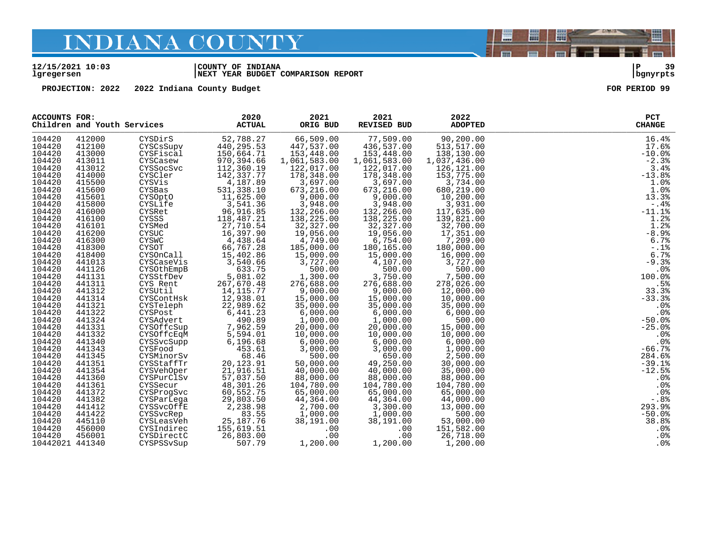#### **12/15/2021 10:03 |COUNTY OF INDIANA |P 39 lgregersen |NEXT YEAR BUDGET COMPARISON REPORT |bgnyrpts**

**PROJECTION: 2022 2022 Indiana County Budget FOR PERIOD 99**

| <b>ACCOUNTS FOR:</b> | Children and Youth Services |                                                   | 2020<br><b>ACTUAL</b>            | 2021<br>ORIG BUD                    | 2021<br>REVISED BUD                | 2022<br><b>ADOPTED</b> | PCT<br><b>CHANGE</b> |
|----------------------|-----------------------------|---------------------------------------------------|----------------------------------|-------------------------------------|------------------------------------|------------------------|----------------------|
| 104420               | 412000                      | CYSDirS                                           | 52,788.27                        | 66,509.00                           | 77,509.00                          | 90,200.00              | 16.4%                |
| 104420               | 412100                      | CYSCsSupv                                         | 440, 295.53                      | 447,537.00                          | 436,537.00                         | 513,517.00             | 17.6%                |
| 104420               | 413000                      | CYSFiscal                                         | 150,664.71                       | 153,448.00                          | 153,448.00                         | 138,130.00             | $-10.0%$             |
| 104420               | 413011                      | CYSCasew                                          | 970,394.66                       | 1,061,583.00                        | 1,061,583.00                       | 1,037,436.00           | $-2.3%$              |
| 104420               | 413012                      | CYSSocSvc                                         | 112,360.19                       | 122,017.00                          | 122,017.00                         | 126,121.00             | 3.4%                 |
| 104420               | 414000                      | CYSCler                                           | 142,337.77                       | 178,348.00                          | 178,348.00                         | 153,775.00             | $-13.8%$             |
| 104420               | 415500                      | CYSVis                                            | 4,187.89                         | 3,697.00                            | 3,697.00                           | 3,734.00               | 1.0%                 |
| 104420               | 415600                      | CYSBas                                            | 531,338.10                       | 673,216.00                          | 673,216.00                         | 680,219.00             | 1.0%                 |
| 104420               | 415601                      | CYSOptO                                           | 11,625.00                        | 9,000.00                            | 9,000.00                           | 10,200.00              | 13.3%                |
| 104420               | 415800                      | CYSLife                                           | 3,541.36                         | 3,948.00                            | 3,948.00                           | 3,931.00               | $-.4%$               |
| 104420               | 416000                      | CYSRet                                            | 96,916.85                        | 132,266.00                          | 132,266.00                         | 117,635.00             | $-11.1%$             |
| 104420               | 416100                      | CYSSS                                             | 118,487.21                       | 138,225.00                          | 138,225.00                         | 139,821.00             | 1.2%                 |
| 104420               | 416101                      | CYSMed                                            | 27,710.54                        | 32,327.00                           | 32,327.00                          | 32,700.00              | 1.2%                 |
| 104420               | 416200                      | CYSUC                                             | 16,397.90                        | 19,056.00                           | 19,056.00                          | 17,351.00              | $-8.9%$              |
| 104420               | 416300                      | CYSWC                                             | 4,438.64                         | 4,749.00                            | 6,754.00                           | 7,209.00               | 6.7%                 |
| 104420               | 418300                      | CYSOT                                             | 66,767.28                        | 185,000.00                          | 180,165.00                         | 180,000.00             | $-.1$ %              |
| 104420               | 418400                      | CYSOnCall                                         | 15,402.86                        |                                     |                                    | 16,000.00              | 6.7%                 |
| 104420               | 441013                      | CYSCaseVis                                        | 3,540.66                         | $15,000.00$<br>3.727.00<br>3,727.00 | $15,000.00$<br>$4,100$<br>4,107.00 | 3,727.00               | $-9.3%$              |
| 104420               | 441126                      | CYSOthEmpB                                        | 633.75                           | 500.00                              | 500.00                             | 500.00                 | .0%                  |
| 104420               | 441131                      | CYSStfDev                                         | 5,081.02                         | $500.00$<br>1,300.00                | 3,750.00                           | 7,500.00               | 100.0%               |
| 104420               | 441311                      | CYS Rent                                          | 267,670.48                       | 276,688.00                          | 276,688.00                         | 278,026.00             | .5%                  |
| 104420               | 441312                      | CYSUtil                                           | 14, 115.77                       | 9,000.00                            | 9,000.00                           | 12,000.00              | 33.3%                |
| 104420               | 441314                      | CYSContHsk                                        | 12,938.01                        | 15,000.00                           |                                    | 10,000.00              | $-33.3%$             |
| 104420               | 441321                      | CYSTeleph                                         | 22,989.62                        | 35,000.00                           | 9,000.00<br>15,000.00<br>35,000.00 | 35,000.00              | .0 <sub>8</sub>      |
| 104420               | 441322                      | CYSPost                                           | 6,441.23                         | 6,000.00                            | 6,000.00                           | 6,000.00               | .0%                  |
| 104420               | 441324                      | CYSAdvert                                         | 490.89                           | 1,000.00                            | 6,000.00<br>1,000.00               | 500.00                 | $-50.0%$             |
| 104420               | 441331                      | CYSOffcSup                                        | 7,962.59<br>5,594.01<br>6,196.68 | 20,000.00                           | 20,000.00                          | 15,000.00              | $-25.0%$             |
| 104420               | 441332                      | CYSOffcEqM                                        |                                  | 10,000.00                           | 10,000.00                          | 10,000.00              | .0%                  |
| 104420               | 441340                      | CYSSvcSupp                                        | 6,196.68                         | 6,000.00                            | 6,000.00                           | 6,000.00               | .0%                  |
| 104420               | 441343                      | CYSFood                                           | 453.61                           | 3,000.00                            | 3,000.00                           | 1,000.00               | $-66.7%$             |
| 104420               | 441345                      |                                                   | 68.46                            | 500.00                              | 650.00                             | 2,500.00               | 284.6%               |
| 104420               | 441351                      | CYSFood<br>CYSMinorSv<br>CYSStaffTr<br>CYSStaffTr | 20,123.91                        | 50,000.00                           | 49,250.00                          | 30,000.00              | $-39.1%$             |
| 104420               | 441354                      | <b>CYSVehOper</b>                                 | 21,916.51                        | 40,000.00                           | 40,000.00                          | 35,000.00              | $-12.5%$             |
| 104420               | 441360                      | CYSPurClSv                                        | 57,037.50                        | 88,000.00                           | 88,000.00                          | 88,000.00              | .0%                  |
| 104420               | 441361                      | CYSSecur                                          |                                  | 104,780.00                          | 104,780.00                         | 104,780.00             | .0%                  |
| 104420               | 441372                      | CYSProgSvc                                        | 48, 301.26<br>60, 552.75         | 65,000.00                           | 65,000.00                          | 65,000.00              | .0%                  |
| 104420               | 441382                      | CYSParLega                                        | 29,803.50                        | 44,364.00                           | 44,364.00                          | 44,000.00              | $-.88$               |
| 104420               | 441412                      | CYSSvcOffE                                        | 2,238.98                         | 2,700.00                            | 3,300.00                           | 13,000.00              | 293.9%               |
| 104420               | 441422                      | CYSSvcRep                                         | 83.55                            | 1,000.00                            | 1,000.00                           | 500.00                 | $-50.0%$             |
| 104420               | 445110                      | CYSLeasVeh                                        | 25, 187. 76                      | 38,191.00                           | 38,191.00                          | 53,000.00              | 38.8%                |
| 104420               | 456000                      | CYSIndirec                                        | 155,619.51                       | .00                                 | .00                                | 151,582.00             | .0%                  |
| 104420               | 456001                      | CYSDirectC                                        | 26,803.00                        | .00                                 | .00                                | 26,718.00              | $.0\%$               |
| 10442021 441340      |                             | CYSPSSvSup                                        | 507.79                           | 1,200.00                            | 1,200.00                           | 1,200.00               | .0%                  |



闇

圌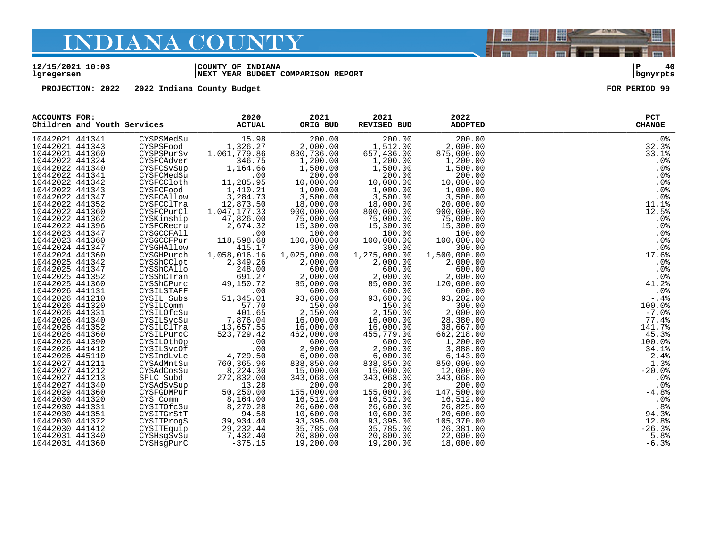#### **12/15/2021 10:03 |COUNTY OF INDIANA |P 40 lgregersen |NEXT YEAR BUDGET COMPARISON REPORT |bgnyrpts**

**PROJECTION: 2022 2022 Indiana County Budget FOR PERIOD 99**

| <b>ACCOUNTS FOR:</b><br>Children and Youth Services |                   | 2020<br><b>ACTUAL</b> | 2021<br>ORIG BUD | 2021<br><b>REVISED BUD</b> | 2022<br><b>ADOPTED</b> | PCT<br><b>CHANGE</b> |
|-----------------------------------------------------|-------------------|-----------------------|------------------|----------------------------|------------------------|----------------------|
| 10442021 441341                                     | CYSPSMedSu        | 15.98                 | 200.00           | 200.00                     | 200.00                 | $.0\%$               |
| 10442021 441343                                     | CYSPSFood         | 1,326.27              | 2,000.00         | 1,512.00                   | 2,000.00               | 32.3%                |
| 10442021 441360                                     | CYSPSPurSv        | 1,061,779.86          | 830,736.00       | 657,436.00                 | 875,000.00             | 33.1%                |
| 10442022 441324                                     | CYSFCAdver        | 346.75                | 1,200.00         | 1,200.00                   | 1,200.00               | .0%                  |
| 10442022 441340                                     | CYSFCSvSup        | 1,164.66              | 1,500.00         | 1,500.00                   | 1,500.00               | .0%                  |
| 10442022 441341                                     | CYSFCMedSu        | .00                   | 200.00           | 200.00                     | 200.00                 | .0%                  |
| 10442022 441342                                     | CYSFCCloth        | 11,285.95             | 10,000.00        | 10,000.00                  | 10,000.00              | .0%                  |
| 10442022 441343                                     | CYSFCFood         | 1,410.21              | 1,000.00         | 1,000.00                   | 1,000.00               | .0%                  |
| 10442022 441347                                     | CYSFCAllow        | 3,284.73              | 3,500.00         | 3,500.00                   | 3,500.00               | .0%                  |
| 10442022 441352                                     | CYSFCClTra        | 12,873.50             | 18,000.00        | 18,000.00                  | 20,000.00              | 11.1%                |
| 10442022 441360                                     | CYSFCPurCl        | 1,047,177.33          | 900,000.00       | 800,000.00                 | 900,000.00             | 12.5%                |
| 10442022 441362                                     | CYSKinship        | 47,826.00             | 75,000.00        | 75,000.00                  | 75,000.00              | .0%                  |
| 10442022 441396                                     | CYSFCRecru        | 2,674.32              | 15,300.00        | 15,300.00                  | 15,300.00              | .0%                  |
| 10442023 441347                                     | <b>CYSGCCFAll</b> | .00                   | 100.00           | 100.00                     | 100.00                 | .0%                  |
| 10442023 441360                                     | CYSGCCFPur        | 118,598.68            | 100,000.00       | 100,000.00                 | 100,000.00             | .0%                  |
| 10442024 441347                                     | CYSGHAllow        | 415.17                | 300.00           | 300.00                     | 300.00                 | $.0\%$               |
| 10442024 441360                                     | CYSGHPurch        | 1,058,016.16          | 1,025,000.00     | 1,275,000.00               | 1,500,000.00           | 17.6%                |
| 10442025 441342                                     | CYSShCClot        | 2,349.26              | 2,000.00         | 2,000.00                   | 2,000.00               | .0%                  |
| 10442025 441347                                     | CYSShCAllo        | 248.00                | 600.00           | 600.00                     | 600.00                 | .0%                  |
| 10442025 441352                                     | CYSShCTran        | 691.27                | 2,000.00         | 2,000.00                   | 2,000.00               | .0%                  |
| 10442025 441360                                     | CYSShCPurc        | 49,150.72             | 85,000.00        | 85,000.00                  | 120,000.00             | 41.2%                |
| 10442026 441131                                     | CYSILSTAFF        | .00                   | 600.00           | 600.00                     | 600.00                 | .0%                  |
| 10442026 441210                                     | CYSIL Subs        | 51, 345.01            | 93,600.00        | 93,600.00                  | 93,202.00              | $-0.4%$              |
| 10442026 441320                                     | CYSILComm         | 57.70                 | 150.00           | 150.00                     | 300.00                 | 100.0%               |
| 10442026 441331                                     | CYSILOfcSu        | 401.65                | 2,150.00         | 2,150.00                   | 2,000.00               | $-7.0%$              |
| 10442026 441340                                     | CYSILSvcSu        | 7,876.04              | 16,000.00        | 16,000.00                  | 28,380.00              | 77.4%                |
| 10442026 441352                                     | CYSILClTra        | 13,657.55             | 16,000.00        | 16,000.00                  | 38,667.00              | 141.7%               |
| 10442026 441360                                     | CYSILPurcC        | 523,729.42            | 462,000.00       | 455,779.00                 | 662,218.00             | 45.3%                |
| 10442026 441390                                     | CYSILOthOp        | .00                   | 600.00           | 600.00                     | 1,200.00               | 100.0%               |
| 10442026 441412                                     | CYSILSvcOf        | .00                   | 2,900.00         | 2,900.00                   | 3,888.00               | 34.1%                |
| 10442026 445110                                     | CYSIndLvLe        | 4,729.50              | 6,000.00         | 6,000.00                   | 6, 143.00              | 2.4%                 |
| 10442027 441211                                     | CYSAdMntSu        | 760, 365.96           | 838,850.00       | 838,850.00                 | 850,000.00             | 1.3%                 |
| 10442027 441212                                     | CYSAdCosSu        | 8,224.30              | 15,000.00        | 15,000.00                  | 12,000.00              | $-20.0%$             |
| 10442027 441213                                     | SPLC Subd         | 272,832.00            | 343,068.00       | 343,068.00                 | 343,068.00             | .0%                  |
| 10442027 441340                                     | CYSAdSvSup        | 13.28                 | 200.00           | 200.00                     | 200.00                 | .0%                  |
| 10442029 441360                                     | CYSFGDMPur        | 50,250.00             | 155,000.00       | 155,000.00                 | 147,500.00             | $-4.8%$              |
| 10442030 441320                                     | CYS Comm          | 8,164.00              | 16,512.00        | 16,512.00                  | 16,512.00              | .0 <sub>8</sub>      |
| 10442030 441331                                     | CYSITOfcSu        | 8,270.28              | 26,600.00        | 26,600.00                  | 26,825.00              | .8%                  |
| 10442030 441351                                     | CYSITGrStT        | 94.58                 | 10,600.00        | 10,600.00                  | 20,600.00              | 94.3%                |
| 10442030 441372                                     | CYSITProgS        | 39,934.40             | 93,395.00        | 93,395.00                  | 105,370.00             | 12.8%                |
| 10442030 441412                                     | CYSITEquip        | 29, 232.44            | 35,785.00        | 35,785.00                  | 26,381.00              | $-26.3%$             |
| 10442031 441340                                     | CYSHsgSvSu        | 7,432.40              | 20,800.00        | 20,800.00                  | 22,000.00              | 5.8%                 |
| 10442031 441360                                     | CYSHsqPurC        | $-375.15$             | 19,200.00        | 19,200.00                  | 18,000.00              | $-6.3%$              |

闇

圌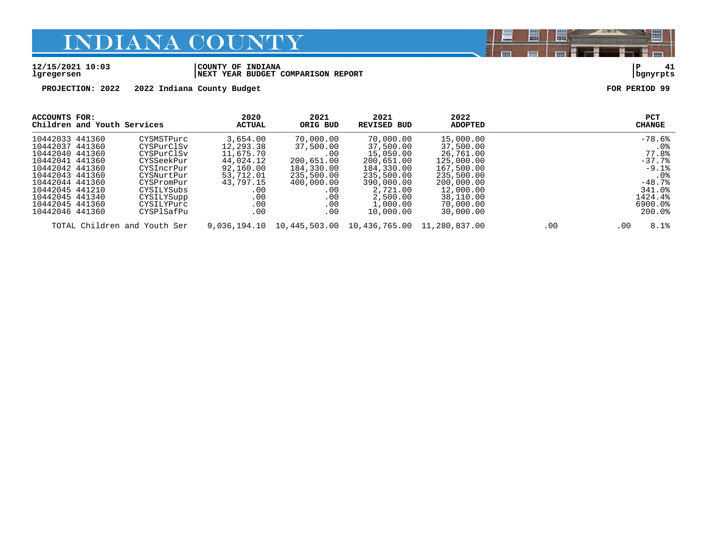#### **12/15/2021 10:03 |COUNTY OF INDIANA |P 41 lgregersen |NEXT YEAR BUDGET COMPARISON REPORT |bgnyrpts**

**PROJECTION: 2022 2022 Indiana County Budget FOR PERIOD 99**

| ACCOUNTS FOR:<br>Children and Youth Services |            | 2020<br><b>ACTUAL</b> | 2021<br>ORIG BUD | 2021<br>REVISED BUD                                    | 2022<br><b>ADOPTED</b> |     | PCT<br><b>CHANGE</b> |
|----------------------------------------------|------------|-----------------------|------------------|--------------------------------------------------------|------------------------|-----|----------------------|
| 10442033 441360                              | CYSMSTPurc | 3,654.00              | 70,000.00        | 70,000.00                                              | 15,000.00              |     | $-78.6%$             |
| 10442037 441360                              | CYSPurClSv | 12,293.38             | 37,500.00        | 37,500.00                                              | 37,500.00              |     | . 0%                 |
| 10442040 441360                              | CYSPurClSv | 11,675.70             | .00              | 15,050.00                                              | 26,761.00              |     | 77.8%                |
| 10442041 441360                              | CYSSeekPur | 44,024.12             | 200,651.00       | 200,651.00                                             | 125,000.00             |     | $-37.7%$             |
| 10442042 441360                              | CYSIncrPur | 92,160.00             | 184,330.00       | 184,330.00                                             | 167,500.00             |     | $-9.1%$              |
| 10442043 441360                              | CYSNurtPur | 53,712.01             | 235,500.00       | 235,500.00                                             | 235,500.00             |     | $.0\%$               |
| 10442044 441360                              | CYSPromPur | 43,797.15             | 400,000.00       | 390,000.00                                             | 200,000.00             |     | $-48.7%$             |
| 10442045 441210                              | CYSILYSubs | .00                   | .00              | 2,721.00                                               | 12,000.00              |     | 341.0%               |
| 10442045 441340                              | CYSILYSupp | .00                   | .00              | 2,500.00                                               | 38,110.00              |     | 1424.4%              |
| 10442045 441360                              | CYSILYPurc | .00                   | .00              | 1,000.00                                               | 70,000.00              |     | 6900.0%              |
| 10442046 441360                              | CYSPlSafPu | .00                   | .00              | 10,000.00                                              | 30,000.00              |     | 200.0%               |
| TOTAL Children and Youth Ser                 |            |                       |                  | 9,036,194.10 10,445,503.00 10,436,765.00 11,280,837.00 |                        | .00 | 8.1%<br>.00          |

闇

圌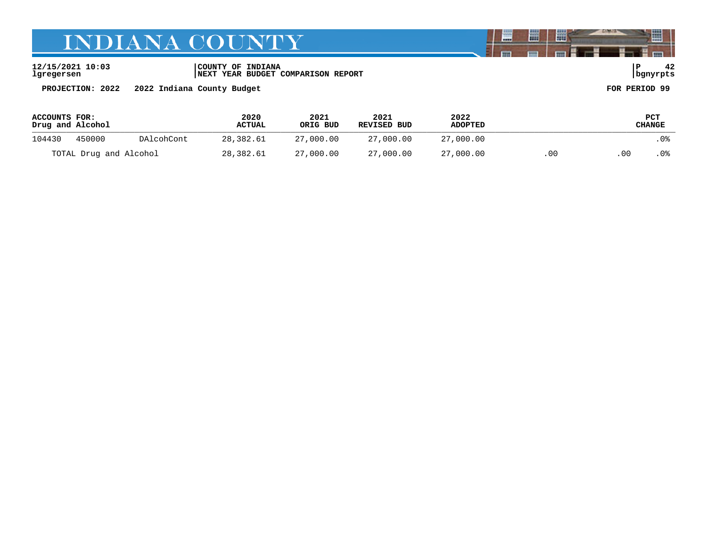**12/15/2021 10:03 |COUNTY OF INDIANA |P 42 lgregersen |NEXT YEAR BUDGET COMPARISON REPORT |bgnyrpts**

**PROJECTION: 2022 2022 Indiana County Budget FOR PERIOD 99**

| ACCOUNTS FOR:<br>Drug and Alcohol |        |            | 2020<br>2021<br><b>ACTUAL</b> | ORIG BUD  | 2021<br>REVISED BUD | 2022<br><b>ADOPTED</b> |    | PCT<br>CHANGE |      |  |
|-----------------------------------|--------|------------|-------------------------------|-----------|---------------------|------------------------|----|---------------|------|--|
| 104430                            | 450000 | DAlcohCont | 28,382.61                     | 27,000.00 | 27,000.00           | 27,000.00              |    |               | . 0% |  |
| TOTAL Drug and Alcohol            |        | 28,382.61  | 27,000.00                     | 27,000.00 | 27,000.00           | .00                    | 00 | . 0%          |      |  |

闇

圌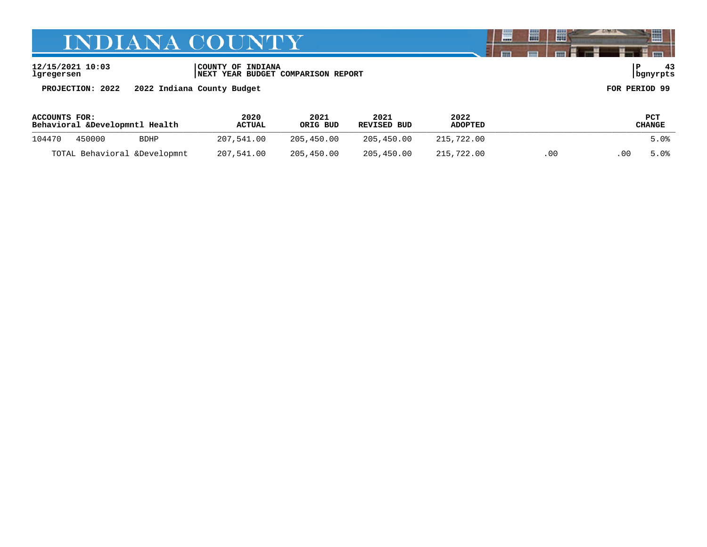**lgregersen |NEXT YEAR BUDGET COMPARISON REPORT |bgnyrpts**

**12/15/2021 10:03 |COUNTY OF INDIANA |P 43**

**PROJECTION: 2022 2022 Indiana County Budget FOR PERIOD 99**

| <b>ACCOUNTS FOR:</b><br>Behavioral &Developmntl Health |                       | 2020<br>2021<br>ORIG BUD<br><b>ACTUAL</b> |            | 2021<br>REVISED BUD | 2022<br><b>ADOPTED</b> |            | PCT<br>CHANGE |      |      |
|--------------------------------------------------------|-----------------------|-------------------------------------------|------------|---------------------|------------------------|------------|---------------|------|------|
| 104470                                                 | 450000<br><b>BDHP</b> |                                           | 207.541.00 | 205,450.00          | 205,450.00             | 215,722.00 |               |      | 5.0% |
| TOTAL Behavioral &Developmnt                           |                       | 207,541.00                                | 205,450.00 | 205,450.00          | 215,722.00             | .00        | .00           | 5.0% |      |

圌

晨

闇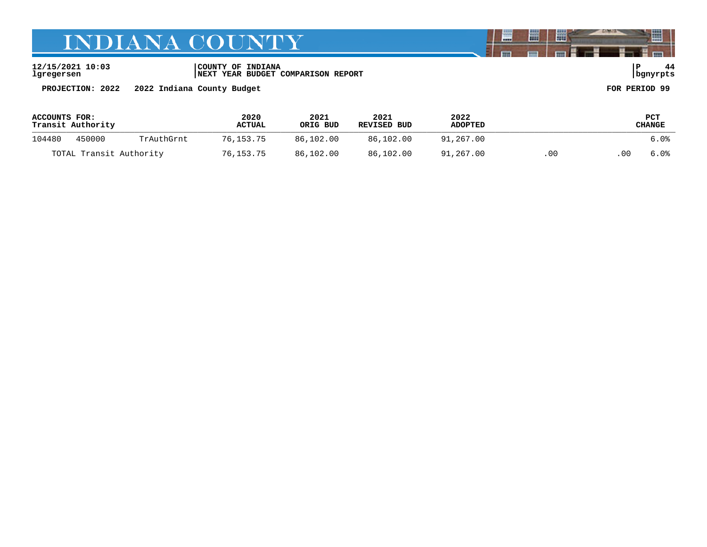**12/15/2021 10:03 |COUNTY OF INDIANA |P 44 lgregersen |NEXT YEAR BUDGET COMPARISON REPORT |bgnyrpts**

**PROJECTION: 2022 2022 Indiana County Budget FOR PERIOD 99**

| ACCOUNTS FOR:<br>Transit Authority |                      |           | 2020<br><b>ACTUAL</b> | 2021<br>ORIG BUD | 2021<br>REVISED BUD | 2022<br><b>ADOPTED</b> |    |      | <b>PCT</b><br>CHANGE |
|------------------------------------|----------------------|-----------|-----------------------|------------------|---------------------|------------------------|----|------|----------------------|
| 104480                             | 450000<br>TrAuthGrnt |           | 76.153.75             | 86,102.00        | 86,102.00           | 91,267.00              |    |      | 6.0%                 |
| TOTAL Transit Authority            |                      | 76,153.75 | 86,102.00             | 86,102.00        | 91,267.00           | .00                    | 00 | 6.0% |                      |

闇

圌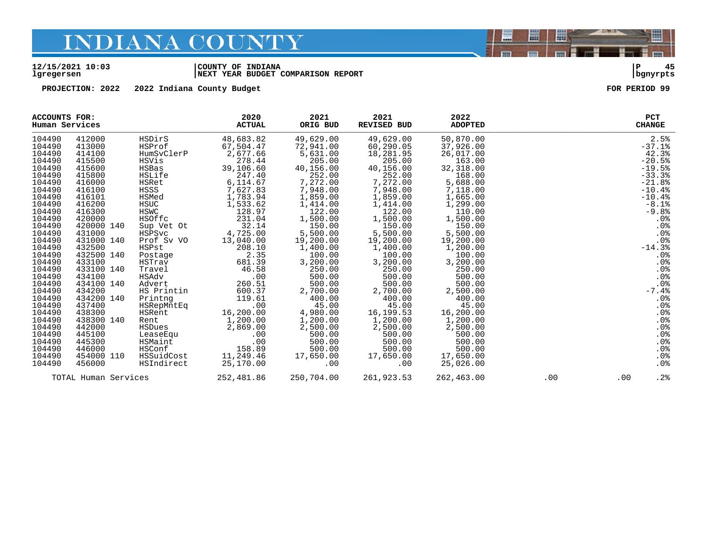#### **12/15/2021 10:03 |COUNTY OF INDIANA |P 45 lgregersen |NEXT YEAR BUDGET COMPARISON REPORT |bgnyrpts**

**PROJECTION: 2022 2022 Indiana County Budget FOR PERIOD 99**

|                                                                                                                                                                                                                                                                                      | ACCOUNTS FOR:<br>Human Services                                                                                                                                                                                                                                                                                  |                                                                                                                                                                                                                                                                                                              | 2020<br><b>ACTUAL</b>                                                                                                                                                                                                                                                                                  | 2021<br>ORIG BUD                                                                                                                                                                                                                                                                                                          | 2021<br><b>REVISED BUD</b>                                                                                                                                                                                                                                                                                                      | 2022<br><b>ADOPTED</b>                                                                                                                                                                                                                                                                                                      |     | <b>PCT</b><br><b>CHANGE</b>                                                                                                                                                                                                                                            |
|--------------------------------------------------------------------------------------------------------------------------------------------------------------------------------------------------------------------------------------------------------------------------------------|------------------------------------------------------------------------------------------------------------------------------------------------------------------------------------------------------------------------------------------------------------------------------------------------------------------|--------------------------------------------------------------------------------------------------------------------------------------------------------------------------------------------------------------------------------------------------------------------------------------------------------------|--------------------------------------------------------------------------------------------------------------------------------------------------------------------------------------------------------------------------------------------------------------------------------------------------------|---------------------------------------------------------------------------------------------------------------------------------------------------------------------------------------------------------------------------------------------------------------------------------------------------------------------------|---------------------------------------------------------------------------------------------------------------------------------------------------------------------------------------------------------------------------------------------------------------------------------------------------------------------------------|-----------------------------------------------------------------------------------------------------------------------------------------------------------------------------------------------------------------------------------------------------------------------------------------------------------------------------|-----|------------------------------------------------------------------------------------------------------------------------------------------------------------------------------------------------------------------------------------------------------------------------|
| 104490<br>104490<br>104490<br>104490<br>104490<br>104490<br>104490<br>104490<br>104490<br>104490<br>104490<br>104490<br>104490<br>104490<br>104490<br>104490<br>104490<br>104490<br>104490<br>104490<br>104490<br>104490<br>104490<br>104490<br>104490<br>104490<br>104490<br>104490 | 412000<br>413000<br>414100<br>415500<br>415600<br>415800<br>416000<br>416100<br>416101<br>416200<br>416300<br>420000<br>420000 140<br>431000<br>431000 140<br>432500<br>432500 140<br>433100<br>433100 140<br>434100<br>434100 140<br>434200<br>434200 140<br>437400<br>438300<br>438300 140<br>442000<br>445100 | HSDirS<br>HSProf<br>HumSvClerP<br>HSVis<br>HSBas<br>HSLife<br>HSRet<br>HSSS<br>HSMed<br><b>HSUC</b><br><b>HSWC</b><br>HSOffc<br>Sup Vet Ot<br>HSPSvc<br>Prof Sv VO<br>HSPst<br>Postage<br>HSTrav<br>Travel<br>HSAdv<br>Advert<br>HS Printin<br>Printng<br>HSRepMntEq<br>HSRent<br>Rent<br>HSDues<br>LeaseEqu | 48,683.82<br>67,504.47<br>2,677.66<br>278.44<br>39,106.60<br>247.40<br>6,114.67<br>7,627.83<br>1,783.94<br>1,533.62<br>128.97<br>231.04<br>32.14<br>4,725.00<br>13,040.00<br>208.10<br>2.35<br>681.39<br>46.58<br>.00<br>260.51<br>600.37<br>119.61<br>.00<br>16,200.00<br>1,200.00<br>2,869.00<br>.00 | 49,629.00<br>72,941.00<br>5,631.00<br>205.00<br>40,156.00<br>252.00<br>7,272.00<br>7,948.00<br>1,859.00<br>1,414.00<br>122.00<br>1,500.00<br>150.00<br>5,500.00<br>19,200.00<br>1,400.00<br>100.00<br>3,200.00<br>250.00<br>500.00<br>500.00<br>2,700.00<br>400.00<br>45.00<br>4,980.00<br>1,200.00<br>2,500.00<br>500.00 | 49,629.00<br>60,290.05<br>18,281.95<br>205.00<br>40,156.00<br>252.00<br>7,272.00<br>7,948.00<br>1,859.00<br>$1,414.00$<br>$122.00$<br>1,500.00<br>150.00<br>5,500.00<br>19,200.00<br>1,400.00<br>100.00<br>3,200.00<br>250.00<br>500.00<br>500.00<br>2,700.00<br>400.00<br>45.00<br>16,199.53<br>1,200.00<br>2,500.00<br>500.00 | 50,870.00<br>37,926.00<br>26,017.00<br>163.00<br>32,318.00<br>168.00<br>5,688.00<br>7,118.00<br>1,665.00<br>1,299.00<br>110.00<br>1,500.00<br>150.00<br>5,500.00<br>19,200.00<br>1,200.00<br>100.00<br>3,200.00<br>250.00<br>500.00<br>500.00<br>2,500.00<br>400.00<br>45.00<br>16,200.00<br>1,200.00<br>2,500.00<br>500.00 |     | 2.5%<br>$-37.1%$<br>42.3%<br>$-20.5%$<br>$-19.5%$<br>$-33.3%$<br>$-21.8%$<br>$-10.4%$<br>$-10.4%$<br>$-8.1%$<br>$-9.8%$<br>.0%<br>.0%<br>.0%<br>.0%<br>$-14.3%$<br>.0%<br>.0%<br>.0%<br>.0%<br>.0%<br>$-7.4%$<br>.0%<br>$.0\%$<br>.0%<br>.0%<br>.0%<br>$.0\frac{8}{8}$ |
| 104490<br>104490<br>104490<br>104490                                                                                                                                                                                                                                                 | 445300<br>446000<br>454000 110<br>456000                                                                                                                                                                                                                                                                         | HSMaint<br>HSConf<br>HSSuidCost<br>HSIndirect                                                                                                                                                                                                                                                                | .00<br>158.89<br>11,249.46<br>25,170.00                                                                                                                                                                                                                                                                | 500.00<br>500.00<br>17,650.00<br>.00                                                                                                                                                                                                                                                                                      | 500.00<br>500.00<br>17,650.00<br>.00                                                                                                                                                                                                                                                                                            | 500.00<br>500.00<br>17,650.00<br>25,026.00                                                                                                                                                                                                                                                                                  |     | .0%<br>.0%<br>.0 <sup>8</sup>                                                                                                                                                                                                                                          |
|                                                                                                                                                                                                                                                                                      | TOTAL Human Services                                                                                                                                                                                                                                                                                             |                                                                                                                                                                                                                                                                                                              | 252,481.86                                                                                                                                                                                                                                                                                             | 250,704.00                                                                                                                                                                                                                                                                                                                | 261,923.53                                                                                                                                                                                                                                                                                                                      | 262,463.00                                                                                                                                                                                                                                                                                                                  | .00 | .2%<br>.00                                                                                                                                                                                                                                                             |

闇

圌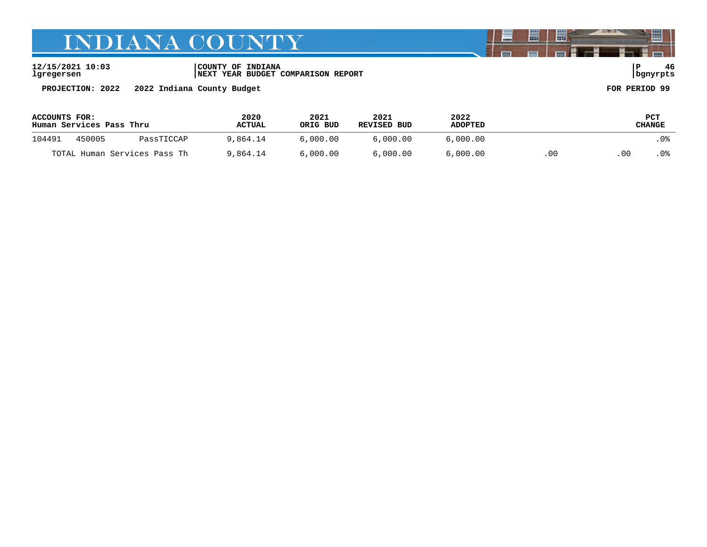**12/15/2021 10:03 |COUNTY OF INDIANA |P 46 lgregersen |NEXT YEAR BUDGET COMPARISON REPORT |bgnyrpts**

**PROJECTION: 2022 2022 Indiana County Budget FOR PERIOD 99**

| ACCOUNTS FOR:<br>Human Services Pass Thru |        |            | 2020<br><b>ACTUAL</b> | 2021<br>ORIG BUD | 2021<br>REVISED BUD | 2022<br><b>ADOPTED</b> |    |      | PCT<br>CHANGE |
|-------------------------------------------|--------|------------|-----------------------|------------------|---------------------|------------------------|----|------|---------------|
| 104491                                    | 450005 | PassTICCAP | 9.864.14              | 6.000.00         | 6.000.00            | 6.000.00               |    |      | .0%           |
| TOTAL Human Services Pass Th              |        | 9,864.14   | 6,000,00              | 6.000.00         | 6,000.00            | .00                    | 00 | . 0% |               |

闇

圌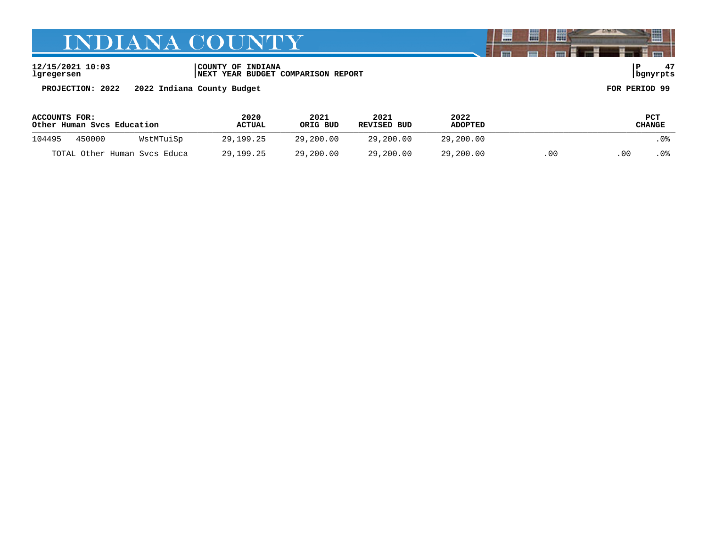**12/15/2021 10:03 |COUNTY OF INDIANA |P 47 lgregersen |NEXT YEAR BUDGET COMPARISON REPORT |bgnyrpts**

**PROJECTION: 2022 2022 Indiana County Budget FOR PERIOD 99**

| ACCOUNTS FOR:<br>Other Human Svcs Education |        |                              | 2020<br><b>ACTUAL</b> | 2021<br>ORIG BUD | 2021<br>REVISED BUD | 2022<br><b>ADOPTED</b> |     |    | PCT<br>CHANGE |
|---------------------------------------------|--------|------------------------------|-----------------------|------------------|---------------------|------------------------|-----|----|---------------|
| 104495                                      | 450000 | WstMTuiSp                    | 29,199.25             | 29,200.00        | 29,200.00           | 29,200.00              |     |    | .0%           |
|                                             |        | TOTAL Other Human Svcs Educa | 29,199.25             | 29,200.00        | 29,200.00           | 29,200.00              | .00 | 00 | . 0%          |

闇

圌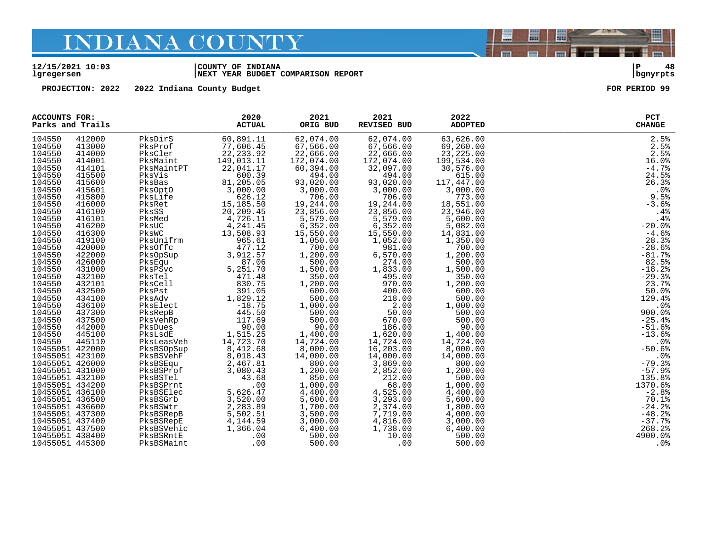#### **12/15/2021 10:03 |COUNTY OF INDIANA |P 48 lgregersen |NEXT YEAR BUDGET COMPARISON REPORT |bgnyrpts**

**PROJECTION: 2022 2022 Indiana County Budget FOR PERIOD 99**

| <b>ACCOUNTS FOR:</b><br>Parks and Trails |                  |                    | 2020<br><b>ACTUAL</b> | 2021<br>ORIG BUD   | 2021<br><b>REVISED BUD</b> | 2022<br><b>ADOPTED</b> | PCT<br><b>CHANGE</b> |
|------------------------------------------|------------------|--------------------|-----------------------|--------------------|----------------------------|------------------------|----------------------|
| 104550                                   | 412000           | PksDirS            | 60,891.11             | 62,074.00          | 62,074.00                  | 63,626.00              | 2.5%                 |
| 104550                                   | 413000           | PksProf            | 77,606.45             | 67,566.00          | 67,566.00                  | 69,260.00              | 2.5%                 |
| 104550                                   | 414000           | PksCler            | 22, 233.92            | 22,666.00          | 22,666.00                  | 23, 225.00             | 2.5%                 |
| 104550                                   | 414001           | PksMaint           | 149,013.11            | 172,074.00         | 172,074.00                 | 199,534.00             | 16.0%                |
| 104550                                   | 414101           | PksMaintPT         | 22,041.17             | 60,394.00          | 32,097.00                  | 30,576.00              | $-4.7%$              |
| 104550                                   | 415500           | PksVis             | 600.39                | 494.00             | 494.00                     | 615.00                 | 24.5%                |
| 104550                                   | 415600           | PksBas             | 81,205.05             | 93,020.00          | 93,020.00<br>3,000.00      | 117,447.00             | 26.3%                |
| 104550                                   | 415601           | PksOptO            | 3,000.00              | 3,000.00           |                            | 3,000.00               | .0%                  |
| 104550                                   | 415800           | PksLife            | 626.12                | 706.00             | 706.00                     | 773.00                 | 9.5%                 |
| 104550                                   | 416000           | PksRet             | 15,185.50             | 19,244.00          | 19,244.00                  | 18,551.00              | $-3.6%$              |
| 104550                                   | 416100           | PksSS              | 20, 209.45            | 23,856.00          | 23,856.00                  | 23,946.00              | .4%                  |
| 104550                                   | 416101           | PksMed             | 4,726.11              | 5,579.00           | 5,579.00                   | 5,600.00               | .4%                  |
| 104550                                   | 416200           | PksUC              | 4,241.45              | 6,352.00           | 6,352.00                   | 5,082.00               | $-20.0%$             |
| 104550<br>104550                         | 416300           | PksWC<br>PksUnifrm | 13,508.93             | 15,550.00          | 15,550.00                  | 14,831.00<br>1,350.00  | $-4.6%$<br>28.3%     |
| 104550                                   | 419100<br>420000 | PksOffc            | 965.61<br>477.12      | 1,050.00<br>700.00 | 1,052.00<br>981.00         | 700.00                 | $-28.6%$             |
| 104550                                   | 422000           | PksOpSup           | 3,912.57              | 1,200.00           | 6,570.00                   | 1,200.00               | $-81.7%$             |
| 104550                                   | 426000           | PksEqu             | 87.06                 | 500.00             | 274.00                     | 500.00                 | 82.5%                |
| 104550                                   | 431000           | PksPSvc            | 5,251.70              | 1,500.00           | 1,833.00                   | 1,500.00               | $-18.2%$             |
| 104550                                   | 432100           | PksTel             | 471.48                | 350.00             | 495.00                     | 350.00                 | $-29.3%$             |
| 104550                                   | 432101           | PksCell            | 830.75                | 1,200.00           | 970.00                     | 1,200.00               | 23.7%                |
| 104550                                   | 432500           | PksPst             | 391.05                | 600.00             | 400.00                     | 600.00                 | 50.0%                |
| 104550                                   | 434100           | PksAdv             | 1,829.12              | 500.00             | 218.00                     | 500.00                 | 129.4%               |
| 104550                                   | 436100           | PksElect           | $-18.75$              | 1,000.00           | 2.00                       | 1,000.00               | .0 <sup>8</sup>      |
| 104550                                   | 437300           | PksRepB            | 445.50                | 500.00             | 50.00                      | 500.00                 | 900.0%               |
| 104550                                   | 437500           | PksVehRp           | 117.69                | 500.00             | 670.00                     | 500.00                 | $-25.4%$             |
| 104550                                   | 442000           | PksDues            | 90.00                 | 90.00              | 186.00                     | 90.00                  | $-51.6%$             |
| 104550                                   | 445100           | PksLsdE            | 1,515.25              | 1,400.00           | 1,620.00                   | 1,400.00               | $-13.6%$             |
| 104550                                   | 445110           | PksLeasVeh         | 14,723.70             | 14,724.00          | 14,724.00                  | 14,724.00              | .0%                  |
| 10455051 422000                          |                  | PksBSOpSup         | 8,412.68              | 8,000.00           | 16,203.00                  | 8,000.00               | $-50.6%$             |
| 10455051 423100                          |                  | PksBSVehF          | 8,018.43              | 14,000.00          | 14,000.00                  | 14,000.00              | $.0\%$               |
| 10455051 426000                          |                  | PksBSEqu           | 2,467.81              | 800.00             | 3,869.00                   | 800.00                 | $-79.3%$             |
| 10455051 431000                          |                  | PksBSProf          | 3,080.43              | 1,200.00           | 2,852.00                   | 1,200.00               | $-57.9%$             |
| 10455051 432100                          |                  | PksBSTel           | 43.68                 | 850.00             | 212.00                     | 500.00                 | 135.8%               |
| 10455051 434200                          |                  | PksBSPrnt          | .00                   | 1,000.00           | 68.00                      | 1,000.00               | 1370.6%              |
| 10455051 436100                          |                  | PksBSElec          | 5,626.47              | 4,400.00           | 4,525.00                   | 4,400.00               | $-2.8%$              |
| 10455051 436500                          |                  | PksBSGrb           | 3,520.00              | 5,600.00           | 3,293.00                   | 5,600.00               | 70.1%                |
| 10455051 436600                          |                  | PksBSWtr           | 2,283.89              | 1,700.00           | 2,374.00                   | 1,800.00               | $-24.2%$             |
| 10455051 437300                          |                  | PksBSRepB          | 5,502.51              | 3,500.00           | 7,719.00                   | 4,000.00               | $-48.2%$             |
| 10455051 437400                          |                  | PksBSRepE          | 4,144.59              | 3,000.00           | 4,816.00                   | 3,000.00               | $-37.7%$             |
| 10455051 437500                          |                  | PksBSVehic         | 1,366.04              | 6,400.00           | 1,738.00                   | 6,400.00               | 268.2%               |
| 10455051 438400                          |                  | PksBSRntE          | .00                   | 500.00             | 10.00                      | 500.00                 | 4900.0%              |
| 10455051 445300                          |                  | PksBSMaint         | .00                   | 500.00             | .00                        | 500.00                 | .0%                  |



闇

圌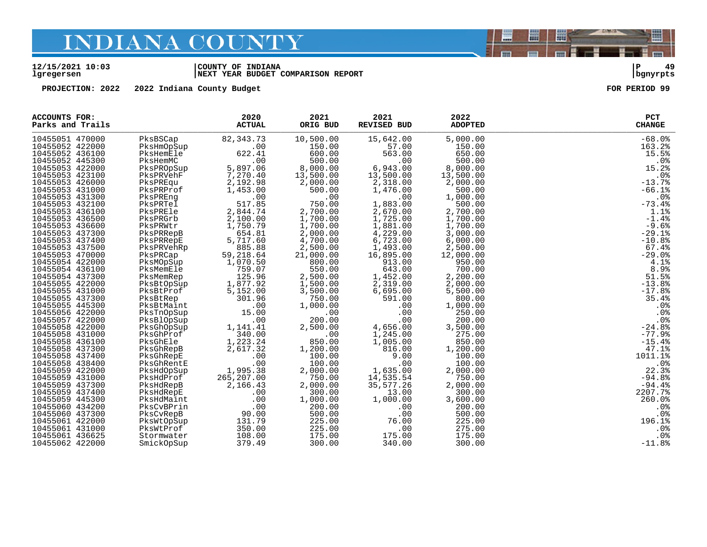#### **12/15/2021 10:03 |COUNTY OF INDIANA |P 49 lgregersen |NEXT YEAR BUDGET COMPARISON REPORT |bgnyrpts**

**PROJECTION: 2022 2022 Indiana County Budget FOR PERIOD 99**

| <b>ACCOUNTS FOR:</b><br>Parks and Trails |            | 2020<br><b>ACTUAL</b> | 2021<br>ORIG BUD | 2021<br><b>REVISED BUD</b> | 2022<br><b>ADOPTED</b> | PCT<br><b>CHANGE</b> |
|------------------------------------------|------------|-----------------------|------------------|----------------------------|------------------------|----------------------|
| 10455051 470000                          | PksBSCap   | 82, 343. 73           | 10,500.00        | 15,642.00                  | 5,000.00               | $-68.0%$             |
| 10455052 422000                          | PksHmOpSup | .00                   | 150.00           | 57.00                      | 150.00                 | 163.2%               |
| 10455052 436100                          | PksHemEle  | 622.41                | 600.00           | 563.00                     | 650.00                 | 15.5%                |
| 10455052 445300                          | PksHemMC   | .00                   | 500.00           | .00                        | 500.00                 | .0%                  |
| 10455053 422000                          | PksPROpSup | 5,897.06              | 8,000.00         | 6,943.00                   | 8,000.00               | 15.2%                |
| 10455053 423100                          | PksPRVehF  | 7,270.40              | 13,500.00        | 13,500.00                  | 13,500.00              | .0 <sub>8</sub>      |
| 10455053 426000                          | PksPREqu   | 2,192.98              | 2,000.00         | 2,318.00                   | 2,000.00               | $-13.7%$             |
| 10455053 431000                          | PksPRProf  | 1,453.00              | 500.00           | 1,476.00                   | 500.00                 | $-66.1%$             |
| 10455053 431300                          | PksPREng   | .00                   | .00              | .00                        | 1,000.00               | .0%                  |
| 10455053 432100                          | PksPRTel   | 517.85                | 750.00           | 1,883.00                   | 500.00                 | $-73.4%$             |
| 10455053 436100                          | PksPREle   | 2,844.74              | 2,700.00         | 2,670.00                   | 2,700.00               | 1.1%                 |
| 10455053 436500                          | PksPRGrb   | 2,100.00              | 1,700.00         | 1,725.00                   | 1,700.00               | $-1.4%$              |
| 10455053 436600                          | PksPRWtr   | 1,750.79              | 1,700.00         | 1,881.00                   | 1,700.00               | $-9.6%$              |
| 10455053 437300                          | PksPRRepB  | 654.81                | 2,000.00         | 4,229.00                   | 3,000.00               | $-29.1%$             |
| 10455053 437400                          | PksPRRepE  | 5,717.60              | 4,700.00         | 6,723.00                   | 6,000.00               | $-10.8%$             |
| 10455053 437500                          | PksPRVehRp | 885.88                | 2,500.00         | 1,493.00                   | 2,500.00               | 67.4%                |
| 10455053 470000                          | PksPRCap   | 59,218.64             | 21,000.00        | 16,895.00                  | 12,000.00              | $-29.0%$             |
| 10455054 422000                          | PksMOpSup  | 1,070.50              | 800.00           | 913.00                     | 950.00                 | 4.1%                 |
| 10455054 436100                          | PksMemEle  | 759.07                | 550.00           | 643.00                     | 700.00                 | 8.9%                 |
| 10455054 437300                          | PksMemRep  | 125.96                | 2,500.00         | 1,452.00                   | 2,200.00               | 51.5%                |
| 10455055 422000                          | PksBtOpSup | 1,877.92              | 1,500.00         | 2,319.00                   | 2,000.00               | $-13.8%$             |
| 10455055 431000                          | PksBtProf  | 5,152.00              | 3,500.00         | 6,695.00                   | 5,500.00               | $-17.8%$             |
| 10455055 437300                          | PksBtRep   | 301.96                | 750.00           | 591.00                     | 800.00                 | 35.4%                |
| 10455055 445300                          | PksBtMaint | .00                   | 1,000.00         | .00                        | 1,000.00               | .0 <sub>8</sub>      |
| 10455056 422000                          | PksTnOpSup | 15.00                 | .00              | .00                        | 250.00                 | .0%                  |
| 10455057 422000                          | PksBlOpSup | .00                   | 200.00           | .00                        | 200.00                 | .0%                  |
| 10455058 422000                          | PksGhOpSup | 1,141.41              | 2,500.00         | 4,656.00                   | 3,500.00               | $-24.8%$             |
| 10455058 431000                          | PksGhProf  | 340.00                | .00              | 1,245.00                   | 275.00                 | $-77.9%$             |
| 10455058 436100                          | PksGhEle   | 1,223.24              | 850.00           | 1,005.00                   | 850.00                 | $-15.4%$             |
| 10455058 437300                          | PksGhRepB  | 2,617.32              | 1,200.00         | 816.00                     | 1,200.00               | 47.1%                |
| 10455058 437400                          | PksGhRepE  | .00                   | 100.00           | 9.00                       | 100.00                 | 1011.1%              |
| 10455058 438400                          | PksGhRentE | .00                   | 100.00           | .00                        | 100.00                 | .0 <sub>8</sub>      |
| 10455059 422000                          | PksHdOpSup | 1,995.38              | 2,000.00         | 1,635.00                   | 2,000.00               | 22.3%<br>$-94.8%$    |
| 10455059 431000                          | PksHdProf  | 265,207.00            | 750.00           | 14,535.54                  | 750.00                 |                      |
| 10455059 437300<br>10455059 437400       | PksHdRepB  | 2,166.43              | 2,000.00         | 35,577.26                  | 2,000.00               | $-94.4%$<br>2207.7%  |
|                                          | PksHdRepE  | .00                   | 300.00           | 13.00                      | 300.00                 |                      |
| 10455059 445300                          | PksHdMaint | .00                   | 1,000.00         | 1,000.00                   | 3,600.00               | 260.0%               |
| 10455060 434200                          | PksCvBPrin | .00                   | 200.00           | .00                        | 200.00                 | .0%                  |
| 10455060 437300                          | PksCvRepB  | 90.00                 | 500.00           | .00                        | 500.00                 | .0%                  |
| 10455061 422000                          | PksWtOpSup | 131.79                | 225.00           | 76.00                      | 225.00                 | 196.1%               |
| 10455061 431000                          | PksWtProf  | 350.00                | 225.00           | .00                        | 275.00                 | .0%                  |
| 10455061 436625                          | Stormwater | 108.00                | 175.00           | 175.00                     | 175.00                 | .0%                  |
| 10455062 422000                          | SmickOpSup | 379.49                | 300.00           | 340.00                     | 300.00                 | $-11.8%$             |



闇

圌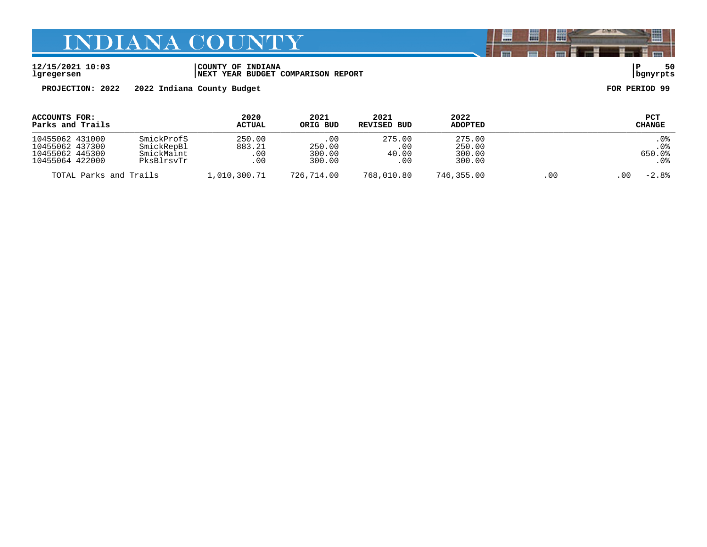**12/15/2021 10:03 |COUNTY OF INDIANA |P 50 lgregersen |NEXT YEAR BUDGET COMPARISON REPORT |bgnyrpts**

**PROJECTION: 2022 2022 Indiana County Budget FOR PERIOD 99**

| ACCOUNTS FOR:<br>Parks and Trails                                        |                                                      | 2020<br><b>ACTUAL</b>          | 2021<br>ORIG BUD                  | 2021<br>REVISED BUD           | 2022<br><b>ADOPTED</b>               |     | <b>PCT</b><br><b>CHANGE</b>   |
|--------------------------------------------------------------------------|------------------------------------------------------|--------------------------------|-----------------------------------|-------------------------------|--------------------------------------|-----|-------------------------------|
| 10455062 431000<br>10455062 437300<br>10455062 445300<br>10455064 422000 | SmickProfS<br>SmickRepBl<br>SmickMaint<br>PksBlrsvTr | 250.00<br>883.21<br>.00<br>.00 | .00<br>250.00<br>300.00<br>300.00 | 275.00<br>.00<br>40.00<br>.00 | 275.00<br>250.00<br>300.00<br>300.00 |     | .0%<br>. 0%<br>650.0%<br>. 0% |
| TOTAL Parks and Trails                                                   |                                                      | 1,010,300.71                   | 726,714.00                        | 768,010.80                    | 746,355.00                           | .00 | $-2.8%$<br>. 00               |

闇

圌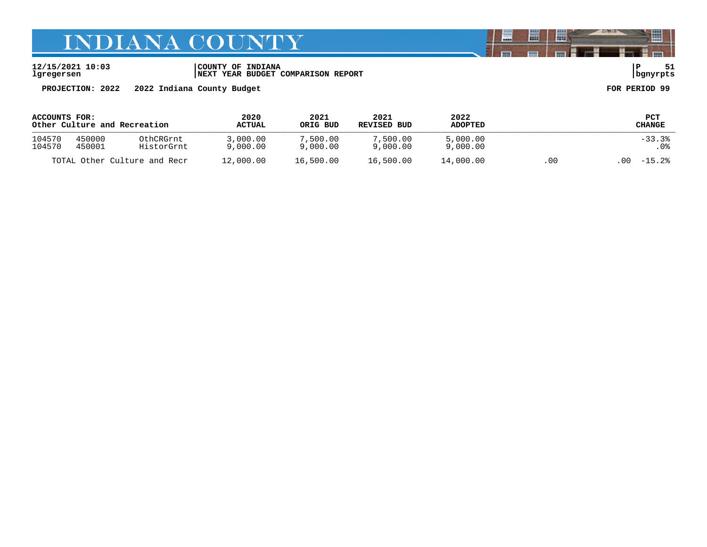**12/15/2021 10:03 |COUNTY OF INDIANA |P 51 lgregersen |NEXT YEAR BUDGET COMPARISON REPORT |bgnyrpts**

**PROJECTION: 2022 2022 Indiana County Budget FOR PERIOD 99**

| ACCOUNTS FOR:                |        | 2020          | 2021      | 2021        | 2022           |          | PCT             |         |
|------------------------------|--------|---------------|-----------|-------------|----------------|----------|-----------------|---------|
| Other Culture and Recreation |        | <b>ACTUAL</b> | ORIG BUD  | REVISED BUD | <b>ADOPTED</b> |          | CHANGE          |         |
| 104570                       | 450000 | OthCRGrnt     | 3,000.00  | 7,500.00    | 7,500.00       | 5,000.00 |                 | $-33.3$ |
| 104570                       | 450001 | HistorGrnt    | 9,000.00  | 9,000.00    | 9,000.00       | 9,000.00 |                 | . 0%    |
| TOTAL Other Culture and Recr |        | 12,000.00     | 16,500.00 | 16,500.00   | 14,000.00      | .00      | $-15.2%$<br>.00 |         |

闇

圌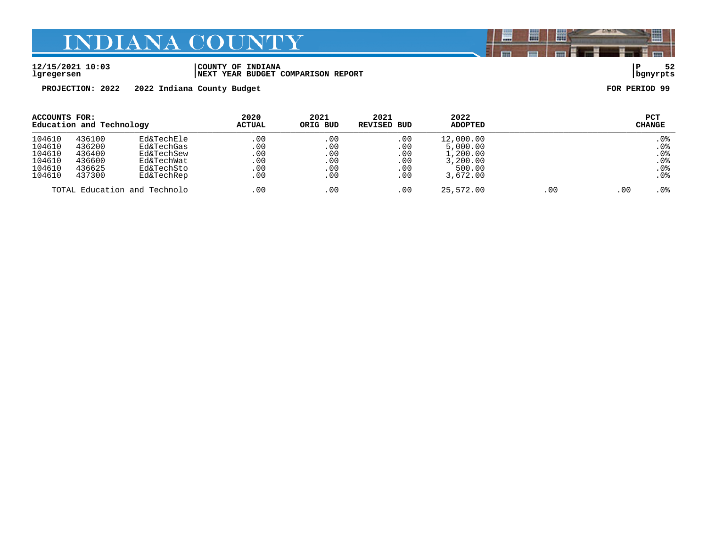**12/15/2021 10:03 |COUNTY OF INDIANA |P 52 lgregersen |NEXT YEAR BUDGET COMPARISON REPORT |bgnyrpts**

**PROJECTION: 2022 2022 Indiana County Budget FOR PERIOD 99**

| ACCOUNTS FOR:<br>Education and Technology |        | 2020<br><b>ACTUAL</b>        | 2021<br>ORIG BUD | 2021<br>REVISED BUD | 2022<br><b>ADOPTED</b> |           | <b>PCT</b><br><b>CHANGE</b> |     |                 |
|-------------------------------------------|--------|------------------------------|------------------|---------------------|------------------------|-----------|-----------------------------|-----|-----------------|
| 104610                                    | 436100 | Ed&TechEle                   | .00              | .00                 | .00                    | 12,000.00 |                             |     | .0%             |
| 104610                                    | 436200 | Ed&TechGas                   | .00              | $.00 \,$            | .00                    | 5,000.00  |                             |     | .0%             |
| 104610                                    | 436400 | Ed&TechSew                   | .00              | .00                 | .00                    | 1,200.00  |                             |     | .0 <sub>8</sub> |
| 104610                                    | 436600 | Ed&TechWat                   | .00              | $.00 \,$            | .00                    | 3,200.00  |                             |     | .0%             |
| 104610                                    | 436625 | Ed&TechSto                   | .00              | . 00                | $.00 \,$               | 500.00    |                             |     | .0 <sub>8</sub> |
| 104610                                    | 437300 | Ed&TechRep                   | .00              | .00                 | .00                    | 3,672.00  |                             |     | .0 <sub>8</sub> |
|                                           |        | TOTAL Education and Technolo | .00              | .00                 | .00                    | 25,572.00 | .00                         | .00 | . 0%            |

闇

圌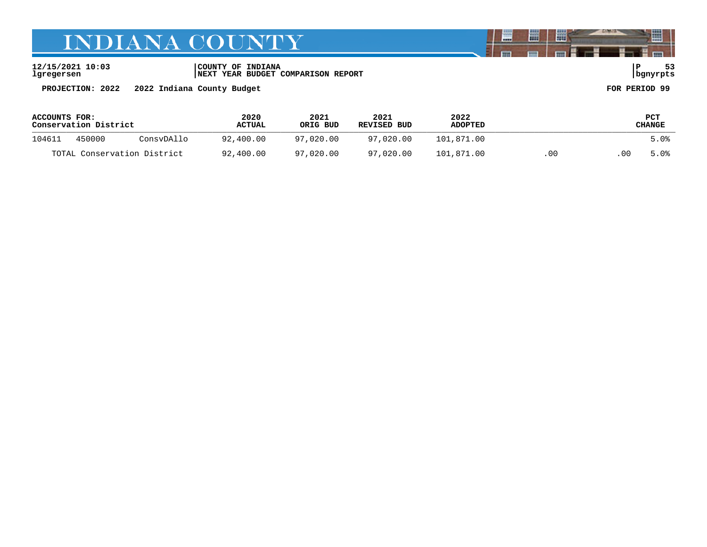**12/15/2021 10:03 |COUNTY OF INDIANA |P 53 lgregersen |NEXT YEAR BUDGET COMPARISON REPORT |bgnyrpts**

**PROJECTION: 2022 2022 Indiana County Budget FOR PERIOD 99**

**ACCOUNTS FOR: 2020 2021 2021 2022 PCT Conservation District ACTUAL ORIG BUD REVISED BUD ADOPTED CHANGE**  \_\_\_\_\_\_\_\_\_\_\_\_\_\_\_\_\_\_\_\_\_\_\_\_\_\_\_\_\_\_\_\_\_\_\_\_\_\_\_\_\_\_\_\_\_\_\_\_\_\_\_\_\_\_\_\_\_\_\_\_\_\_\_\_\_\_\_\_\_\_\_\_\_\_\_\_\_\_\_\_\_\_\_\_\_\_\_\_\_\_\_\_\_\_\_\_\_\_\_\_\_\_\_\_\_\_\_\_\_\_\_\_\_\_\_\_\_\_\_\_\_\_\_\_\_\_\_\_\_\_\_\_ 104611 450000 ConsvDAllo 92,400.00 97,020.00 97,020.00 101,871.00 5.0% TOTAL Conservation District 92,400.00 97,020.00 97,020.00 101,871.00 .00 .00 5.0%

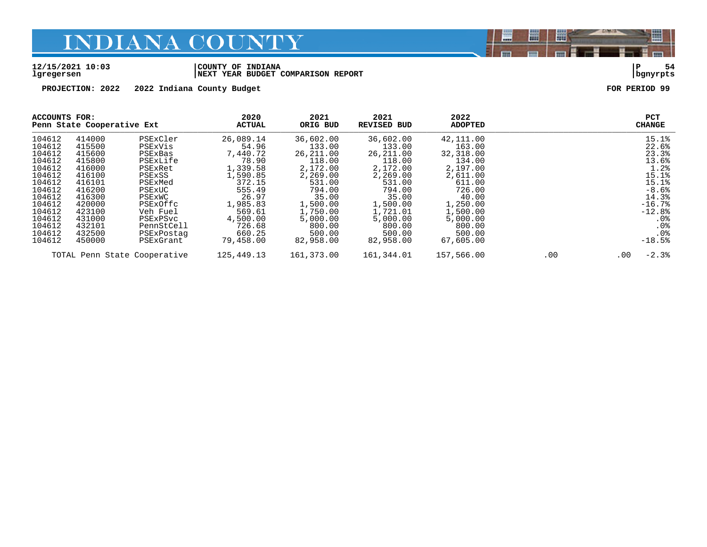#### **12/15/2021 10:03 |COUNTY OF INDIANA |P 54 lgregersen |NEXT YEAR BUDGET COMPARISON REPORT |bgnyrpts**

**PROJECTION: 2022 2022 Indiana County Budget FOR PERIOD 99**

| ACCOUNTS FOR:<br>Penn State Cooperative Ext |        | 2020<br><b>ACTUAL</b>        | 2021<br>ORIG BUD | 2021<br><b>REVISED BUD</b> | 2022<br><b>ADOPTED</b> |            |     | PCT<br><b>CHANGE</b> |                 |
|---------------------------------------------|--------|------------------------------|------------------|----------------------------|------------------------|------------|-----|----------------------|-----------------|
| 104612                                      | 414000 | PSExCler                     | 26,089.14        | 36,602.00                  | 36,602.00              | 42,111.00  |     |                      | 15.1%           |
| 104612                                      | 415500 | PSExVis                      | 54.96            | 133.00                     | 133.00                 | 163.00     |     |                      | 22.6%           |
| 104612                                      | 415600 | PSExBas                      | 7,440.72         | 26, 211, 00                | 26, 211, 00            | 32,318.00  |     |                      | 23.3%           |
| 104612                                      | 415800 | PSExLife                     | 78.90            | 118.00                     | 118.00                 | 134.00     |     |                      | 13.6%           |
| 104612                                      | 416000 | PSExRet                      | 1,339.58         | 2,172.00                   | 2,172.00               | 2,197.00   |     |                      | 1.2%            |
| 104612                                      | 416100 | PSExSS                       | 1,590.85         | 2,269.00                   | 2,269.00               | 2,611.00   |     |                      | 15.1%           |
| 104612                                      | 416101 | PSExMed                      | 372.15           | 531.00                     | 531.00                 | 611.00     |     |                      | 15.1%           |
| 104612                                      | 416200 | PSExUC                       | 555.49           | 794.00                     | 794.00                 | 726.00     |     |                      | $-8.6%$         |
| 104612                                      | 416300 | PSEXWC                       | 26.97            | 35.00                      | 35.00                  | 40.00      |     |                      | 14.3%           |
| 104612                                      | 420000 | PSExOffc                     | 1,985.83         | 1,500.00                   | 1,500.00               | 1,250.00   |     |                      | $-16.7%$        |
| 104612                                      | 423100 | Veh Fuel                     | 569.61           | 1,750.00                   | 1,721.01               | 1,500.00   |     |                      | $-12.8%$        |
| 104612                                      | 431000 | PSExPSvc                     | 4,500.00         | 5,000.00                   | 5,000.00               | 5,000.00   |     |                      | .0 <sub>8</sub> |
| 104612                                      | 432101 | PennStCell                   | 726.68           | 800.00                     | 800.00                 | 800.00     |     |                      | .0 <sub>8</sub> |
| 104612                                      | 432500 | PSExPostag                   | 660.25           | 500.00                     | 500.00                 | 500.00     |     |                      | .0 <sub>8</sub> |
| 104612                                      | 450000 | PSExGrant                    | 79,458.00        | 82,958.00                  | 82,958.00              | 67,605.00  |     |                      | $-18.5%$        |
|                                             |        | TOTAL Penn State Cooperative | 125,449.13       | 161,373.00                 | 161,344.01             | 157,566.00 | .00 | $.00 \,$             | $-2.3%$         |

闇

圌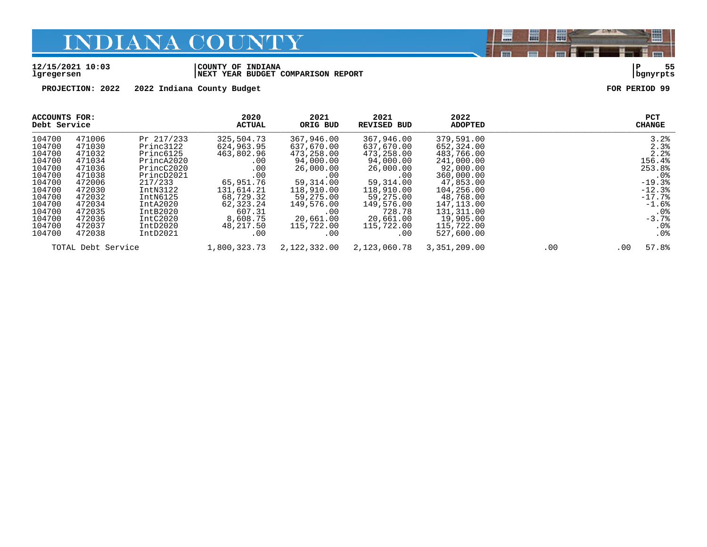#### **12/15/2021 10:03 |COUNTY OF INDIANA |P 55 lgregersen |NEXT YEAR BUDGET COMPARISON REPORT |bgnyrpts**

**PROJECTION: 2022 2022 Indiana County Budget FOR PERIOD 99**

| ACCOUNTS FOR:<br>Debt Service |                    |                         | 2020<br><b>ACTUAL</b>    | 2021<br>ORIG BUD         | 2021<br><b>REVISED BUD</b> | 2022<br><b>ADOPTED</b>   |     |     | <b>PCT</b><br><b>CHANGE</b> |
|-------------------------------|--------------------|-------------------------|--------------------------|--------------------------|----------------------------|--------------------------|-----|-----|-----------------------------|
| 104700<br>104700              | 471006<br>471030   | Pr 217/233<br>Princ3122 | 325,504.73<br>624,963.95 | 367,946.00<br>637,670.00 | 367,946.00<br>637,670.00   | 379,591.00<br>652,324.00 |     |     | 3.2%<br>2.3%                |
| 104700                        | 471032             | Princ6125               | 463,802.96               | 473,258.00               | 473,258.00                 | 483,766.00               |     |     | 2.2%                        |
| 104700                        | 471034             | PrincA2020              | .00                      | 94,000.00                | 94,000.00                  | 241,000.00               |     |     | 156.4%                      |
| 104700                        | 471036             | PrincC2020              | .00                      | 26,000.00                | 26,000.00                  | 92,000.00                |     |     | 253.8%                      |
| 104700                        | 471038             | PrincD2021              | .00                      | .00                      | .00                        | 360,000.00               |     |     | .0 <sub>8</sub>             |
| 104700                        | 472006             | 217/233                 | 65,951.76                | 59,314.00                | 59, 314, 00                | 47,853.00                |     |     | $-19.3%$                    |
| 104700                        | 472030             | IntN3122                | 131,614.21               | 118,910.00               | 118,910.00                 | 104,256.00               |     |     | $-12.3%$                    |
| 104700                        | 472032             | IntN6125                | 68,729.32                | 59,275.00                | 59,275.00                  | 48,768.00                |     |     | $-17.7%$                    |
| 104700                        | 472034             | IntA2020                | 62,323.24                | 149,576.00               | 149,576.00                 | 147, 113.00              |     |     | $-1.6%$                     |
| 104700                        | 472035             | IntB2020                | 607.31                   | .00                      | 728.78                     | 131,311.00               |     |     | . 0 %                       |
| 104700                        | 472036             | IntC2020                | 8,608.75                 | 20,661.00                | 20,661.00                  | 19,905.00                |     |     | $-3.7%$                     |
| 104700                        | 472037             | IntD2020                | 48,217.50                | 115,722.00               | 115,722.00                 | 115,722.00               |     |     | .0 <sub>8</sub>             |
| 104700                        | 472038             | IntD2021                | .00                      | .00                      | .00                        | 527,600.00               |     |     | .0%                         |
|                               | TOTAL Debt Service |                         | 1,800,323.73             | 2,122,332.00             | 2,123,060.78               | 3,351,209.00             | .00 | .00 | 57.8%                       |

闇

圌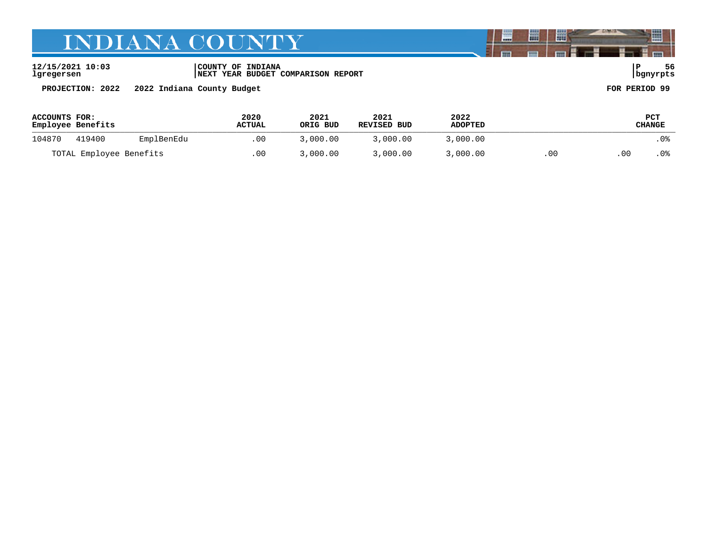### **12/15/2021 10:03 |COUNTY OF INDIANA |P 56 lgregersen |NEXT YEAR BUDGET COMPARISON REPORT |bgnyrpts**

**PROJECTION: 2022 2022 Indiana County Budget FOR PERIOD 99**

| <b>ACCOUNTS FOR:</b><br>Employee Benefits |        | 2020<br><b>ACTUAL</b> | 2021<br>ORIG BUD | 2021<br>REVISED BUD | 2022<br><b>ADOPTED</b> |          | PCT<br>CHANGE |      |  |
|-------------------------------------------|--------|-----------------------|------------------|---------------------|------------------------|----------|---------------|------|--|
| 104870                                    | 419400 | EmplBenEdu            | .00              | 3,000.00            | 3,000.00               | 3,000.00 |               | . 0% |  |
| TOTAL Employee Benefits                   |        | .00                   | 3,000.00         | 3,000.00            | 3,000.00               | . oc     | 00            | . 0% |  |

闇

圌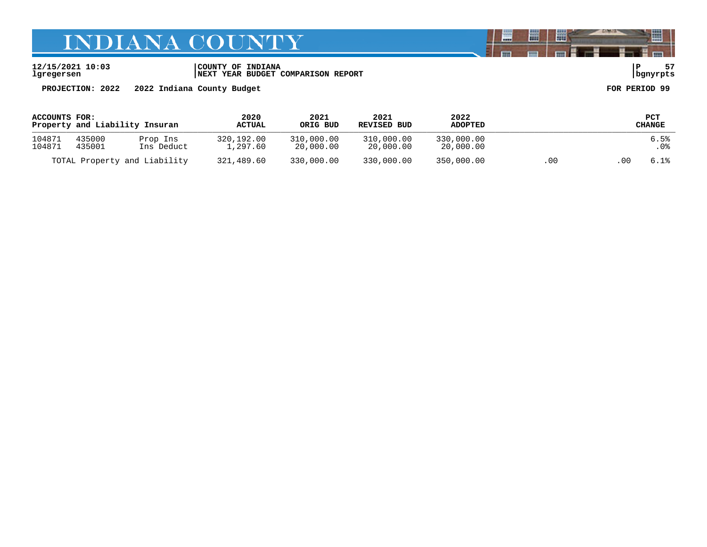**12/15/2021 10:03 |COUNTY OF INDIANA |P 57 lgregersen |NEXT YEAR BUDGET COMPARISON REPORT |bgnyrpts**

**PROJECTION: 2022 2022 Indiana County Budget FOR PERIOD 99**

| ACCOUNTS FOR:<br>Property and Liability Insuran |                  | 2020<br><b>ACTUAL</b>        | 2021<br>ORIG BUD       | 2021<br>REVISED BUD     | 2022<br><b>ADOPTED</b>  |                         | PCT<br>CHANGE |    |              |
|-------------------------------------------------|------------------|------------------------------|------------------------|-------------------------|-------------------------|-------------------------|---------------|----|--------------|
| 104871<br>104871                                | 435000<br>435001 | Prop Ins<br>Ins Deduct       | 320,192.00<br>1,297.60 | 310,000.00<br>20,000.00 | 310,000.00<br>20,000.00 | 330,000.00<br>20,000.00 |               |    | 6.5%<br>. 0% |
|                                                 |                  | TOTAL Property and Liability | 321,489.60             | 330,000.00              | 330,000.00              | 350,000.00              | .00           | 00 | 6.1%         |

闇

圌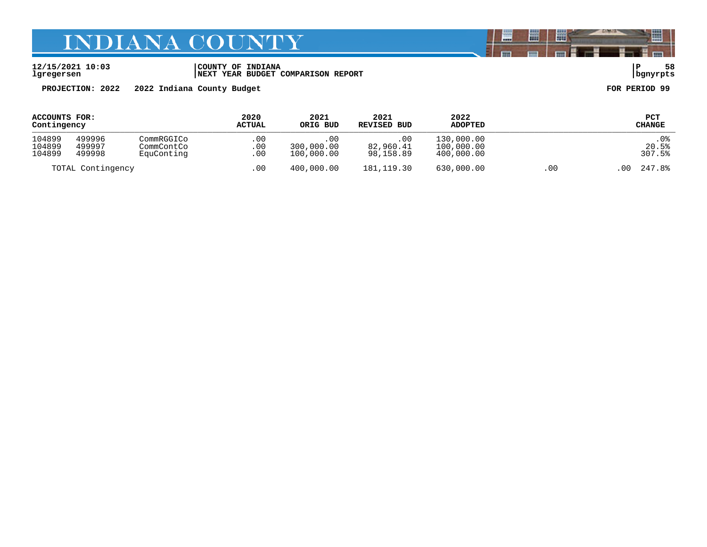#### **12/15/2021 10:03 |COUNTY OF INDIANA |P 58 lgregersen |NEXT YEAR BUDGET COMPARISON REPORT |bgnyrpts**

**PROJECTION: 2022 2022 Indiana County Budget FOR PERIOD 99**

| ACCOUNTS FOR:     |        | 2020       | 2021       | 2021        | 2022           | PCT        |                |        |
|-------------------|--------|------------|------------|-------------|----------------|------------|----------------|--------|
| Contingency       |        | ACTUAL     | ORIG BUD   | REVISED BUD | <b>ADOPTED</b> | CHANGE     |                |        |
| 104899            | 499996 | CommRGGICo | .00        | .00         | .00            | 130,000.00 |                | .0%    |
| 104899            | 499997 | CommContCo | $.00 \,$   | 300,000.00  | 82,960.41      | 100,000.00 |                | 20.5%  |
| 104899            | 499998 | EquConting | .00        | 100,000.00  | 98,158.89      | 400,000.00 |                | 307.5% |
| TOTAL Contingency |        | .00        | 400,000.00 | 181, 119.30 | 630,000.00     | .00        | 247.8%<br>. 00 |        |

闇

圌